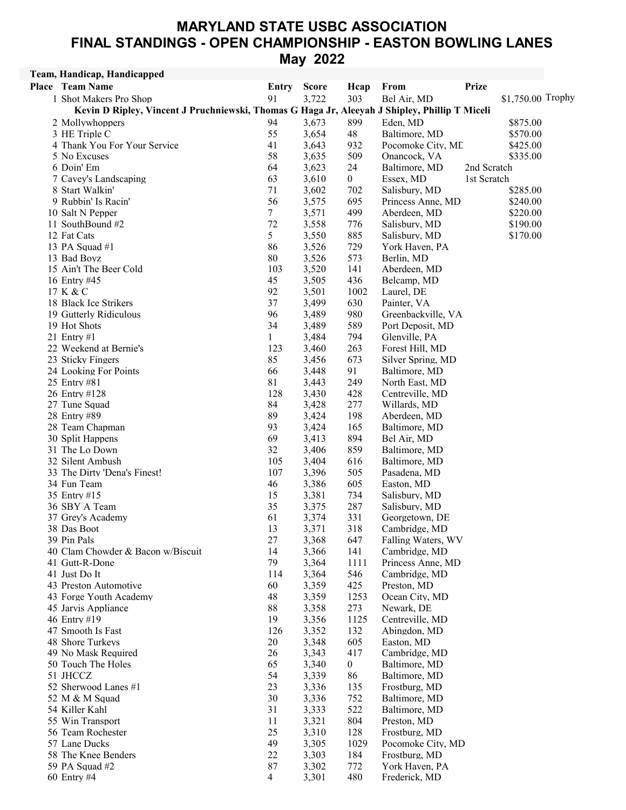## MARYLAND STATE USBC ASSOCIATION FINAL STANDINGS - OPEN CHAMPIONSHIP - EASTON BOWLING LANES May 2022

## Team, Handicap, Handicapped

| <b>Place</b> Team Name                                                                        | Entry          | <b>Score</b> | Hcap           | From               | <b>Prize</b> |                   |  |
|-----------------------------------------------------------------------------------------------|----------------|--------------|----------------|--------------------|--------------|-------------------|--|
| 1 Shot Makers Pro Shop                                                                        | 91             | 3,722        | 303            | Bel Air, MD        |              | \$1,750.00 Trophy |  |
| Kevin D Ripley, Vincent J Pruchniewski, Thomas G Haga Jr, Aleeyah J Shipley, Phillip T Miceli |                |              |                |                    |              |                   |  |
| 2 Mollywhoppers                                                                               | 94             | 3,673        | 899            | Eden, MD           |              | \$875.00          |  |
| 3 HE Triple C                                                                                 | 55             | 3,654        | 48             | Baltimore, MD      |              | \$570.00          |  |
| 4 Thank You For Your Service                                                                  | 41             | 3,643        | 932            | Pocomoke City, ML  |              | \$425.00          |  |
| 5 No Excuses                                                                                  | 58             | 3,635        | 509            | Onancock, VA       |              | \$335.00          |  |
| 6 Doin' Em                                                                                    | 64             | 3,623        | 24             | Baltimore, MD      | 2nd Scratch  |                   |  |
| 7 Cavey's Landscaping                                                                         | 63             | 3,610        | $\overline{0}$ | Essex, MD          | 1st Scratch  |                   |  |
| 8 Start Walkin'                                                                               | 71             | 3,602        | 702            | Salisbury, MD      |              | \$285.00          |  |
| 9 Rubbin' Is Racin'                                                                           | 56             | 3,575        | 695            | Princess Anne, MD  |              | \$240.00          |  |
| 10 Salt N Pepper                                                                              | $\tau$         | 3,571        | 499            | Aberdeen, MD       |              | \$220.00          |  |
| 11 SouthBound #2                                                                              | 72             | 3,558        | 776            |                    |              | \$190.00          |  |
|                                                                                               |                |              |                | Salisbury, MD      |              |                   |  |
| 12 Fat Cats                                                                                   | 5<br>86        | 3,550        | 885            | Salisbury, MD      |              | \$170.00          |  |
| 13 PA Squad #1                                                                                |                | 3,526        | 729            | York Haven, PA     |              |                   |  |
| 13 Bad Boyz                                                                                   | 80             | 3,526        | 573            | Berlin, MD         |              |                   |  |
| 15 Ain't The Beer Cold                                                                        | 103            | 3,520        | 141            | Aberdeen, MD       |              |                   |  |
| 16 Entry #45                                                                                  | 45             | 3,505        | 436            | Belcamp, MD        |              |                   |  |
| 17 K & C                                                                                      | 92             | 3,501        | 1002           | Laurel, DE         |              |                   |  |
| 18 Black Ice Strikers                                                                         | 37             | 3,499        | 630            | Painter, VA        |              |                   |  |
| 19 Gutterly Ridiculous                                                                        | 96             | 3,489        | 980            | Greenbackville, VA |              |                   |  |
| 19 Hot Shots                                                                                  | 34             | 3,489        | 589            | Port Deposit, MD   |              |                   |  |
| 21 Entry $#1$                                                                                 | 1              | 3,484        | 794            | Glenville, PA      |              |                   |  |
| 22 Weekend at Bernie's                                                                        | 123            | 3,460        | 263            | Forest Hill, MD    |              |                   |  |
| 23 Sticky Fingers                                                                             | 85             | 3,456        | 673            | Silver Spring, MD  |              |                   |  |
| 24 Looking For Points                                                                         | 66             | 3,448        | 91             | Baltimore, MD      |              |                   |  |
| 25 Entry #81                                                                                  | 81             | 3,443        | 249            | North East, MD     |              |                   |  |
| 26 Entry #128                                                                                 | 128            | 3,430        | 428            | Centreville, MD    |              |                   |  |
| 27 Tune Squad                                                                                 | 84             | 3,428        | 277            | Willards, MD       |              |                   |  |
| 28 Entry #89                                                                                  | 89             | 3,424        | 198            | Aberdeen, MD       |              |                   |  |
| 28 Team Chapman                                                                               | 93             | 3,424        | 165            | Baltimore, MD      |              |                   |  |
| 30 Split Happens                                                                              | 69             | 3,413        | 894            | Bel Air, MD        |              |                   |  |
| 31 The Lo Down                                                                                | 32             | 3,406        | 859            | Baltimore, MD      |              |                   |  |
| 32 Silent Ambush                                                                              | 105            | 3,404        | 616            | Baltimore, MD      |              |                   |  |
| 33 The Dirty 'Dena's Finest!                                                                  | 107            | 3,396        | 505            | Pasadena, MD       |              |                   |  |
| 34 Fun Team                                                                                   | 46             | 3,386        | 605            | Easton, MD         |              |                   |  |
| 35 Entry #15                                                                                  | 15             | 3,381        | 734            | Salisbury, MD      |              |                   |  |
| 36 SBY A Team                                                                                 | 35             | 3,375        | 287            | Salisbury, MD      |              |                   |  |
| 37 Grey's Academy                                                                             | 61             | 3,374        | 331            | Georgetown, DE     |              |                   |  |
| 38 Das Boot                                                                                   | 13             | 3,371        | 318            | Cambridge, MD      |              |                   |  |
| 39 Pin Pals                                                                                   | 27             | 3,368        | 647            | Falling Waters, WV |              |                   |  |
| 40 Clam Chowder & Bacon w/Biscuit                                                             | 14             | 3,366        | 141            | Cambridge, MD      |              |                   |  |
| 41 Gutt-R-Done                                                                                | 79             | 3,364        | 1111           | Princess Anne, MD  |              |                   |  |
| 41 Just Do It                                                                                 | 114            | 3,364        | 546            | Cambridge, MD      |              |                   |  |
| 43 Preston Automotive                                                                         | 60             | 3,359        | 425            | Preston, MD        |              |                   |  |
| 43 Forge Youth Academy                                                                        | 48             | 3,359        | 1253           | Ocean City, MD     |              |                   |  |
| 45 Jarvis Appliance                                                                           | 88             | 3,358        | 273            | Newark, DE         |              |                   |  |
| 46 Entry #19                                                                                  | 19             | 3,356        | 1125           | Centreville, MD    |              |                   |  |
| 47 Smooth Is Fast                                                                             | 126            | 3,352        | 132            | Abingdon, MD       |              |                   |  |
| 48 Shore Turkeys                                                                              | 20             | 3,348        | 605            | Easton, MD         |              |                   |  |
| 49 No Mask Required                                                                           | 26             | 3,343        | 417            | Cambridge, MD      |              |                   |  |
| 50 Touch The Holes                                                                            | 65             | 3,340        | $\mathbf{0}$   | Baltimore, MD      |              |                   |  |
| 51 JHCCZ                                                                                      | 54             | 3,339        | 86             | Baltimore, MD      |              |                   |  |
| 52 Sherwood Lanes #1                                                                          | 23             | 3,336        | 135            | Frostburg, MD      |              |                   |  |
| 52 M & M Squad                                                                                | 30             | 3,336        | 752            | Baltimore, MD      |              |                   |  |
| 54 Killer Kahl                                                                                | 31             | 3,333        | 522            | Baltimore, MD      |              |                   |  |
| 55 Win Transport                                                                              | 11             | 3,321        | 804            | Preston, MD        |              |                   |  |
| 56 Team Rochester                                                                             | 25             | 3,310        | 128            | Frostburg, MD      |              |                   |  |
| 57 Lane Ducks                                                                                 | 49             | 3,305        | 1029           | Pocomoke City, MD  |              |                   |  |
| 58 The Knee Benders                                                                           | 22             | 3,303        | 184            | Frostburg, MD      |              |                   |  |
| 59 PA Squad #2                                                                                | 87             | 3,302        | 772            | York Haven, PA     |              |                   |  |
| 60 Entry #4                                                                                   | $\overline{4}$ | 3,301        | 480            | Frederick, MD      |              |                   |  |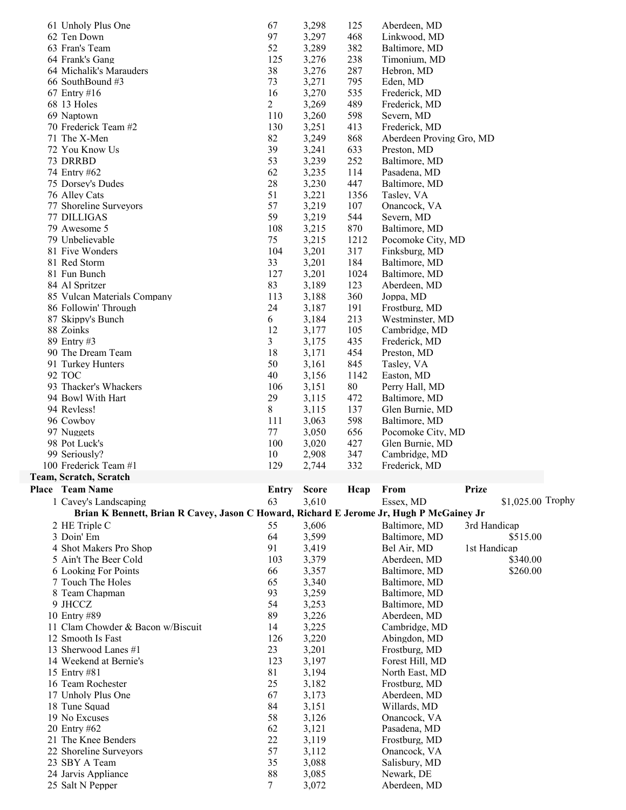| 61 Unholy Plus One                                                                      | 67             | 3,298        | 125    |                          |              |                   |  |
|-----------------------------------------------------------------------------------------|----------------|--------------|--------|--------------------------|--------------|-------------------|--|
|                                                                                         | 97             |              |        | Aberdeen, MD             |              |                   |  |
| 62 Ten Down                                                                             |                | 3,297        | 468    | Linkwood, MD             |              |                   |  |
| 63 Fran's Team                                                                          | 52             | 3,289        | 382    | Baltimore, MD            |              |                   |  |
| 64 Frank's Gang                                                                         | 125            | 3,276        | 238    | Timonium, MD             |              |                   |  |
| 64 Michalik's Marauders                                                                 | 38             | 3,276        | 287    | Hebron, MD               |              |                   |  |
| 66 SouthBound #3                                                                        | 73             | 3,271        | 795    | Eden, MD                 |              |                   |  |
| 67 Entry #16                                                                            | 16             | 3,270        | 535    | Frederick, MD            |              |                   |  |
| 68 13 Holes                                                                             | $\overline{2}$ | 3,269        | 489    | Frederick, MD            |              |                   |  |
| 69 Naptown                                                                              | 110            | 3,260        | 598    | Severn, MD               |              |                   |  |
| 70 Frederick Team #2                                                                    | 130            | 3,251        | 413    | Frederick, MD            |              |                   |  |
| 71 The X-Men                                                                            | 82             | 3,249        | 868    | Aberdeen Proving Gro, MD |              |                   |  |
| 72 You Know Us                                                                          | 39             | 3,241        | 633    | Preston, MD              |              |                   |  |
| 73 DRRBD                                                                                | 53             | 3,239        | 252    | Baltimore, MD            |              |                   |  |
| 74 Entry #62                                                                            | 62             | 3,235        | 114    | Pasadena, MD             |              |                   |  |
|                                                                                         | 28             | 3,230        | 447    | Baltimore, MD            |              |                   |  |
| 75 Dorsey's Dudes                                                                       |                |              |        |                          |              |                   |  |
| 76 Alley Cats                                                                           | 51             | 3,221        | 1356   | Tasley, VA               |              |                   |  |
| 77 Shoreline Surveyors                                                                  | 57             | 3,219        | 107    | Onancock, VA             |              |                   |  |
| 77 DILLIGAS                                                                             | 59             | 3,219        | 544    | Severn, MD               |              |                   |  |
| 79 Awesome 5                                                                            | 108            | 3,215        | 870    | Baltimore, MD            |              |                   |  |
| 79 Unbelievable                                                                         | 75             | 3,215        | 1212   | Pocomoke City, MD        |              |                   |  |
| 81 Five Wonders                                                                         | 104            | 3,201        | 317    | Finksburg, MD            |              |                   |  |
| 81 Red Storm                                                                            | 33             | 3,201        | 184    | Baltimore, MD            |              |                   |  |
| 81 Fun Bunch                                                                            | 127            | 3,201        | 1024   | Baltimore, MD            |              |                   |  |
| 84 Al Spritzer                                                                          | 83             | 3,189        | 123    | Aberdeen, MD             |              |                   |  |
| 85 Vulcan Materials Company                                                             | 113            | 3,188        | 360    | Joppa, MD                |              |                   |  |
| 86 Followin' Through                                                                    | 24             | 3,187        | 191    | Frostburg, MD            |              |                   |  |
| 87 Skippy's Bunch                                                                       | 6              | 3,184        | 213    | Westminster, MD          |              |                   |  |
|                                                                                         |                |              |        |                          |              |                   |  |
| 88 Zoinks                                                                               | 12             | 3,177        | 105    | Cambridge, MD            |              |                   |  |
| 89 Entry #3                                                                             | 3              | 3,175        | 435    | Frederick, MD            |              |                   |  |
| 90 The Dream Team                                                                       | 18             | 3,171        | 454    | Preston, MD              |              |                   |  |
| 91 Turkey Hunters                                                                       | 50             | 3,161        | 845    | Tasley, VA               |              |                   |  |
| 92 TOC                                                                                  | 40             | 3,156        | 1142   | Easton, MD               |              |                   |  |
| 93 Thacker's Whackers                                                                   | 106            | 3,151        | $80\,$ | Perry Hall, MD           |              |                   |  |
| 94 Bowl With Hart                                                                       | 29             | 3,115        | 472    | Baltimore, MD            |              |                   |  |
|                                                                                         |                |              |        |                          |              |                   |  |
| 94 Revless!                                                                             | 8              | 3,115        | 137    | Glen Burnie, MD          |              |                   |  |
|                                                                                         |                |              |        |                          |              |                   |  |
| 96 Cowboy                                                                               | 111            | 3,063        | 598    | Baltimore, MD            |              |                   |  |
| 97 Nuggets                                                                              | 77             | 3,050        | 656    | Pocomoke City, MD        |              |                   |  |
| 98 Pot Luck's                                                                           | 100            | 3,020        | 427    | Glen Burnie, MD          |              |                   |  |
| 99 Seriously?                                                                           | 10             | 2,908        | 347    | Cambridge, MD            |              |                   |  |
| 100 Frederick Team #1                                                                   | 129            | 2,744        | 332    | Frederick, MD            |              |                   |  |
| Team, Scratch, Scratch                                                                  |                |              |        |                          |              |                   |  |
| Place Team Name                                                                         | <b>Entry</b>   | <b>Score</b> | Hcap   | From                     | <b>Prize</b> |                   |  |
| 1 Cavey's Landscaping                                                                   | 63             | 3,610        |        | Essex, MD                |              | \$1,025.00 Trophy |  |
| Brian K Bennett, Brian R Cavey, Jason C Howard, Richard E Jerome Jr, Hugh P McGainey Jr |                |              |        |                          |              |                   |  |
| 2 HE Triple C                                                                           | 55             | 3,606        |        | Baltimore, MD            | 3rd Handicap |                   |  |
| 3 Doin' Em                                                                              | 64             | 3,599        |        | Baltimore, MD            |              | \$515.00          |  |
| 4 Shot Makers Pro Shop                                                                  | 91             | 3,419        |        | Bel Air, MD              | 1st Handicap |                   |  |
| 5 Ain't The Beer Cold                                                                   | 103            | 3,379        |        | Aberdeen, MD             |              | \$340.00          |  |
| 6 Looking For Points                                                                    | 66             | 3,357        |        | Baltimore, MD            |              | \$260.00          |  |
| 7 Touch The Holes                                                                       | 65             | 3,340        |        | Baltimore, MD            |              |                   |  |
|                                                                                         |                |              |        |                          |              |                   |  |
| 8 Team Chapman                                                                          | 93             | 3,259        |        | Baltimore, MD            |              |                   |  |
| 9 JHCCZ                                                                                 | 54             | 3,253        |        | Baltimore, MD            |              |                   |  |
| 10 Entry #89                                                                            | 89             | 3,226        |        | Aberdeen, MD             |              |                   |  |
| 11 Clam Chowder & Bacon w/Biscuit                                                       | 14             | 3,225        |        | Cambridge, MD            |              |                   |  |
| 12 Smooth Is Fast                                                                       | 126            | 3,220        |        | Abingdon, MD             |              |                   |  |
| 13 Sherwood Lanes #1                                                                    | 23             | 3,201        |        | Frostburg, MD            |              |                   |  |
| 14 Weekend at Bernie's                                                                  | 123            | 3,197        |        | Forest Hill, MD          |              |                   |  |
| 15 Entry #81                                                                            | 81             | 3,194        |        | North East, MD           |              |                   |  |
| 16 Team Rochester                                                                       | 25             | 3,182        |        | Frostburg, MD            |              |                   |  |
| 17 Unholy Plus One                                                                      | 67             | 3,173        |        | Aberdeen, MD             |              |                   |  |
| 18 Tune Squad                                                                           | 84             | 3,151        |        | Willards, MD             |              |                   |  |
| 19 No Excuses                                                                           | 58             | 3,126        |        | Onancock, VA             |              |                   |  |
| 20 Entry #62                                                                            | 62             | 3,121        |        | Pasadena, MD             |              |                   |  |
| 21 The Knee Benders                                                                     | 22             | 3,119        |        | Frostburg, MD            |              |                   |  |
| 22 Shoreline Surveyors                                                                  | 57             | 3,112        |        | Onancock, VA             |              |                   |  |
| 23 SBY A Team                                                                           | 35             | 3,088        |        | Salisbury, MD            |              |                   |  |
| 24 Jarvis Appliance                                                                     | 88             | 3,085        |        | Newark, DE               |              |                   |  |
| 25 Salt N Pepper                                                                        | $\tau$         | 3,072        |        | Aberdeen, MD             |              |                   |  |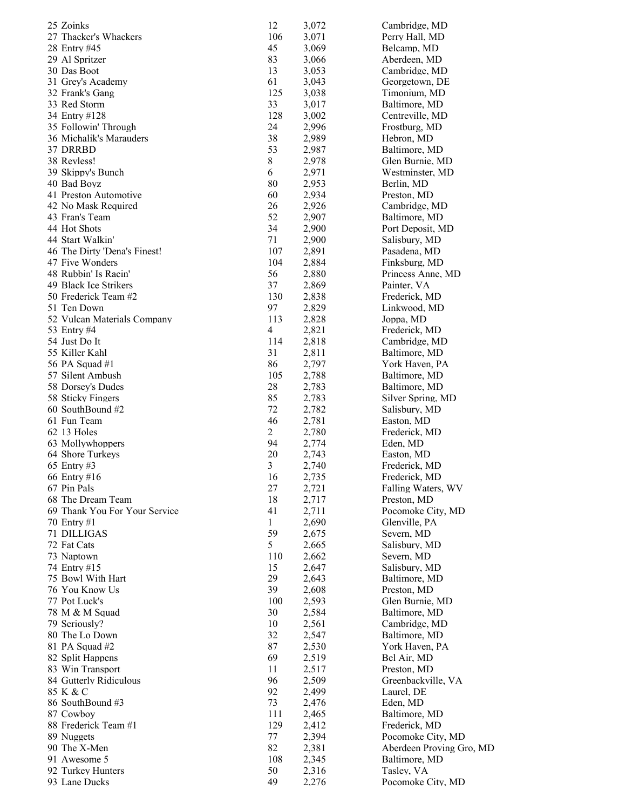| 25 Zoinks                           | 12                 | 3,072          | Cambridge, MD               |
|-------------------------------------|--------------------|----------------|-----------------------------|
| 27 Thacker's Whackers               | 106                | 3,071          | Perry Hall, MD              |
| 28 Entry #45                        | 45                 | 3,069          | Belcamp, MD                 |
| 29 Al Spritzer                      | 83                 | 3,066          | Aberdeen, MD                |
| 30 Das Boot                         | 13                 | 3,053          | Cambridge, MD               |
| 31 Grey's Academy                   | 61                 | 3,043          | Georgetown, DE              |
| 32 Frank's Gang                     | 125                | 3,038          | Timonium, MD                |
| 33 Red Storm                        | 33                 | 3,017          | Baltimore, MD               |
| 34 Entry #128                       | 128                | 3,002<br>2,996 | Centreville, MD             |
| 35 Followin' Through                | 24                 |                | Frostburg, MD               |
| 36 Michalik's Marauders<br>37 DRRBD | 38<br>53           | 2,989<br>2,987 | Hebron, MD<br>Baltimore, MD |
| 38 Revless!                         | 8                  | 2,978          | Glen Burnie, MD             |
| 39 Skippy's Bunch                   | 6                  | 2,971          | Westminster, MD             |
| 40 Bad Boyz                         | 80                 | 2,953          | Berlin, MD                  |
| 41 Preston Automotive               | 60                 | 2,934          | Preston, MD                 |
| 42 No Mask Required                 | 26                 | 2,926          | Cambridge, MD               |
| 43 Fran's Team                      | 52                 | 2,907          | Baltimore, MD               |
| 44 Hot Shots                        | 34                 | 2,900          | Port Deposit, MD            |
| 44 Start Walkin'                    | 71                 | 2,900          | Salisbury, MD               |
| 46 The Dirty 'Dena's Finest!        | 107                | 2,891          | Pasadena, MD                |
| 47 Five Wonders                     | 104                | 2,884          | Finksburg, MD               |
| 48 Rubbin' Is Racin'                | 56                 | 2,880          | Princess Anne, MD           |
| 49 Black Ice Strikers               | 37                 | 2,869          | Painter, VA                 |
| 50 Frederick Team #2                | 130                | 2,838          | Frederick, MD               |
| 51 Ten Down                         | 97                 | 2,829          | Linkwood, MD                |
| 52 Vulcan Materials Company         | 113                | 2,828          | Joppa, MD                   |
| 53 Entry #4                         | 4                  | 2,821          | Frederick, MD               |
| 54 Just Do It                       | 114                | 2,818          | Cambridge, MD               |
| 55 Killer Kahl                      | 31                 | 2,811          | Baltimore, MD               |
| 56 PA Squad #1                      | 86                 | 2,797          | York Haven, PA              |
| 57 Silent Ambush                    | 105                | 2,788          | Baltimore, MD               |
| 58 Dorsey's Dudes                   | 28                 | 2,783          | Baltimore, MD               |
| 58 Sticky Fingers                   | 85                 | 2,783          | Silver Spring, MD           |
| 60 SouthBound #2                    | 72                 | 2,782          | Salisbury, MD               |
| 61 Fun Team                         | 46                 | 2,781          | Easton, MD                  |
| 62 13 Holes                         | $\overline{c}$     | 2,780          | Frederick, MD               |
| 63 Mollywhoppers                    | 94                 | 2,774          | Eden, MD                    |
| 64 Shore Turkeys                    | 20                 | 2,743          | Easton, MD                  |
| 65 Entry #3                         | 3                  | 2,740          | Frederick, MD               |
| 66 Entry #16                        | 16                 | 2,735          | Frederick, MD               |
| 67 Pin Pals                         | 27                 | 2,721          | Falling Waters, WV          |
| 68 The Dream Team                   | 18                 | 2,717          | Preston, MD                 |
| 69 Thank You For Your Service       | 41<br>$\mathbf{1}$ | 2,711          | Pocomoke City, MD           |
| 70 Entry #1                         | 59                 | 2,690          | Glenville, PA               |
| 71 DILLIGAS<br>72 Fat Cats          | 5                  | 2,675<br>2,665 | Severn, MD<br>Salisbury, MD |
| 73 Naptown                          | 110                | 2,662          | Severn, MD                  |
| 74 Entry #15                        | 15                 | 2,647          | Salisbury, MD               |
| 75 Bowl With Hart                   | 29                 | 2,643          | Baltimore, MD               |
| 76 You Know Us                      | 39                 | 2,608          | Preston, MD                 |
| 77 Pot Luck's                       | 100                | 2,593          | Glen Burnie, MD             |
| 78 M & M Squad                      | 30                 | 2,584          | Baltimore, MD               |
| 79 Seriously?                       | 10                 | 2,561          | Cambridge, MD               |
| 80 The Lo Down                      | 32                 | 2,547          | Baltimore, MD               |
| 81 PA Squad $#2$                    | 87                 | 2,530          | York Haven, PA              |
| 82 Split Happens                    | 69                 | 2,519          | Bel Air, MD                 |
| 83 Win Transport                    | 11                 | 2,517          | Preston, MD                 |
| 84 Gutterly Ridiculous              | 96                 | 2,509          | Greenbackville, VA          |
| 85 K & C                            | 92                 | 2,499          | Laurel, DE                  |
| 86 SouthBound #3                    | 73                 | 2,476          | Eden, MD                    |
| 87 Cowboy                           | 111                | 2,465          | Baltimore, MD               |
| 88 Frederick Team #1                | 129                | 2,412          | Frederick, MD               |
| 89 Nuggets                          | 77                 | 2,394          | Pocomoke City, MD           |
| 90 The X-Men                        | 82                 | 2,381          | Aberdeen Proving Gro, MD    |
| 91 Awesome 5                        | 108                | 2,345          | Baltimore, MD               |
| 92 Turkey Hunters                   | 50                 | 2,316          | Tasley, VA                  |
| 93 Lane Ducks                       | 49                 | 2,276          | Pocomoke City, MD           |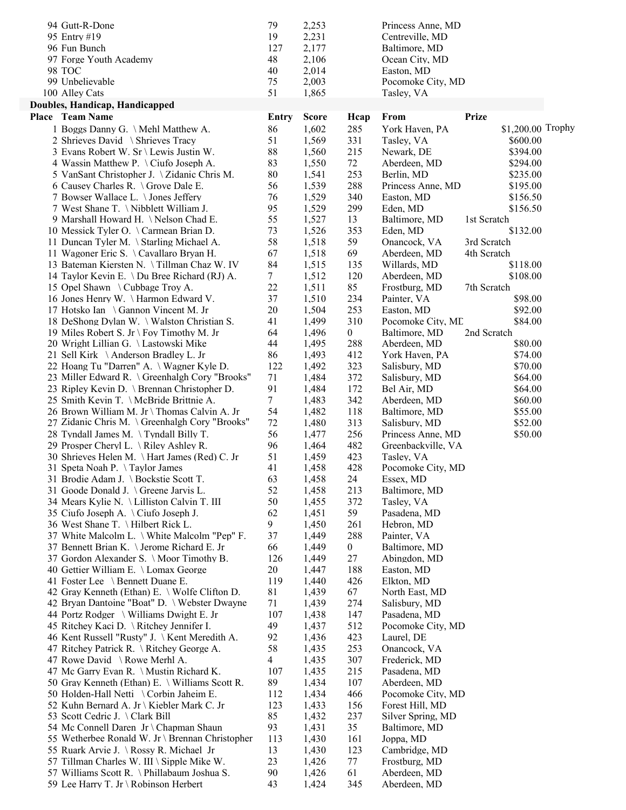| 94 Gutt-R-Done                                                                    | 79      | 2,253          |                  | Princess Anne, MD         |                   |  |
|-----------------------------------------------------------------------------------|---------|----------------|------------------|---------------------------|-------------------|--|
| 95 Entry #19                                                                      | 19      | 2,231          |                  | Centreville, MD           |                   |  |
| 96 Fun Bunch                                                                      | 127     | 2,177          |                  | Baltimore, MD             |                   |  |
| 97 Forge Youth Academy                                                            | 48      | 2,106          |                  | Ocean City, MD            |                   |  |
| 98 TOC                                                                            | 40      | 2,014          |                  | Easton, MD                |                   |  |
| 99 Unbelievable                                                                   | 75      | 2,003          |                  | Pocomoke City, MD         |                   |  |
| 100 Alley Cats                                                                    | 51      | 1,865          |                  | Tasley, VA                |                   |  |
| Doubles, Handicap, Handicapped                                                    |         |                |                  |                           |                   |  |
| <b>Place</b> Team Name                                                            | Entry   | <b>Score</b>   | Hcap             | From                      | <b>Prize</b>      |  |
| 1 Boggs Danny G. \ Mehl Matthew A.                                                | 86      | 1,602          | 285              | York Haven, PA            | \$1,200.00 Trophy |  |
| 2 Shrieves David \ Shrieves Tracy                                                 | 51      | 1,569          | 331              | Tasley, VA                | \$600.00          |  |
| 3 Evans Robert W. Sr \ Lewis Justin W.                                            | 88      | 1,560          | 215              | Newark, DE                | \$394.00          |  |
| 4 Wassin Matthew P. \Ciufo Joseph A.                                              | 83      | 1,550          | 72               | Aberdeen, MD              | \$294.00          |  |
| 5 VanSant Christopher J. \ Zidanic Chris M.                                       | 80      | 1,541          | 253              | Berlin, MD                | \$235.00          |  |
| 6 Causey Charles R. \ Grove Dale E.                                               | 56      | 1,539          | 288              | Princess Anne, MD         | \$195.00          |  |
| 7 Bowser Wallace L. \ Jones Jeffery                                               | 76      | 1,529          | 340              | Easton, MD                | \$156.50          |  |
| 7 West Shane T. \ Nibblett William J.                                             | 95      | 1,529          | 299              | Eden, MD                  | \$156.50          |  |
| 9 Marshall Howard H. \Nelson Chad E.                                              | 55      | 1,527          | 13               | Baltimore, MD             | 1st Scratch       |  |
| 10 Messick Tyler O. \ Carmean Brian D.                                            | 73      | 1,526          | 353              | Eden, MD                  | \$132.00          |  |
| 11 Duncan Tyler M. \ Starling Michael A.                                          | 58      | 1,518          | 59               | Onancock, VA              | 3rd Scratch       |  |
| 11 Wagoner Eric S. \Cavallaro Bryan H.                                            | 67      | 1,518          | 69               | Aberdeen, MD              | 4th Scratch       |  |
| 13 Bateman Kiersten N. \Tillman Chaz W. IV                                        | 84      | 1,515          | 135              | Willards, MD              | \$118.00          |  |
| 14 Taylor Kevin E. \ Du Bree Richard (RJ) A.                                      | $\tau$  | 1,512          | 120              | Aberdeen, MD              | \$108.00          |  |
| 15 Opel Shawn \ Cubbage Troy A.                                                   | 22      | 1,511          | 85               | Frostburg, MD             | 7th Scratch       |  |
| 16 Jones Henry W. \Harmon Edward V.                                               | 37      | 1,510          | 234              | Painter, VA               | \$98.00           |  |
| 17 Hotsko Ian \ Gannon Vincent M. Jr                                              | 20      | 1,504          | 253              | Easton, MD                | \$92.00           |  |
| 18 DeShong Dylan W. \ Walston Christian S.                                        | 41      | 1,499          | 310              | Pocomoke City, ME         | \$84.00           |  |
| 19 Miles Robert S. Jr \ Foy Timothy M. Jr                                         | 64      | 1,496          | $\boldsymbol{0}$ | Baltimore, MD             | 2nd Scratch       |  |
| 20 Wright Lillian G. \Lastowski Mike                                              | 44      | 1,495          | 288              | Aberdeen, MD              | \$80.00           |  |
| 21 Sell Kirk \Anderson Bradley L. Jr                                              | 86      | 1,493          | 412              | York Haven, PA            | \$74.00           |  |
| 22 Hoang Tu "Darren" A. \ Wagner Kyle D.                                          | 122     | 1,492          | 323              | Salisbury, MD             | \$70.00           |  |
| 23 Miller Edward R. \ Greenhalgh Cory "Brooks"                                    | 71      | 1,484          | 372              | Salisbury, MD             | \$64.00           |  |
| 23 Ripley Kevin D. \ Brennan Christopher D.                                       | 91      | 1,484          | 172              | Bel Air, MD               | \$64.00           |  |
| 25 Smith Kevin T. \McBride Brittnie A.                                            | 7       | 1,483          | 342              | Aberdeen, MD              | \$60.00           |  |
| 26 Brown William M. Jr \ Thomas Calvin A. Jr                                      | 54      | 1,482          | 118              | Baltimore, MD             | \$55.00           |  |
| 27 Zidanic Chris M. \ Greenhalgh Cory "Brooks"                                    | 72      | 1,480          | 313              | Salisbury, MD             | \$52.00           |  |
| 28 Tyndall James M. \Tyndall Billy T.                                             | 56      | 1,477          | 256              | Princess Anne, MD         | \$50.00           |  |
| 29 Prosper Cheryl L. \ Riley Ashley R.                                            | 96      | 1,464          | 482              | Greenbackville, VA        |                   |  |
| 30 Shrieves Helen M. \Hart James (Red) C. Jr                                      | 51      | 1,459          | 423              | Tasley, VA                |                   |  |
| 31 Speta Noah P. \Taylor James                                                    | 41      | 1,458          | 428              | Pocomoke City, MD         |                   |  |
| 31 Brodie Adam J. \ Bockstie Scott T.                                             | 63      | 1,458          | 24               | Essex, MD                 |                   |  |
| 31 Goode Donald J. \ Greene Jarvis L.                                             | 52      | 1,458          | 213              | Baltimore, MD             |                   |  |
| 34 Mears Kylie N. \ Lilliston Calvin T. III                                       | 50      | 1,455          | 372              | Tasley, VA                |                   |  |
| 35 Ciufo Joseph A. \Ciufo Joseph J.                                               | 62<br>9 | 1,451<br>1,450 | 59<br>261        | Pasadena, MD              |                   |  |
| 36 West Shane T. \Hilbert Rick L.<br>37 White Malcolm L. \ White Malcolm "Pep" F. | 37      | 1,449          | 288              | Hebron, MD<br>Painter, VA |                   |  |
| 37 Bennett Brian K. \ Jerome Richard E. Jr                                        | 66      | 1,449          | $\overline{0}$   | Baltimore, MD             |                   |  |
| 37 Gordon Alexander S. \ Moor Timothy B.                                          | 126     | 1,449          | 27               | Abingdon, MD              |                   |  |
| 40 Gettier William E. \ Lomax George                                              | 20      | 1,447          | 188              | Easton, MD                |                   |  |
| 41 Foster Lee \ Bennett Duane E.                                                  | 119     | 1,440          | 426              | Elkton, MD                |                   |  |
| 42 Gray Kenneth (Ethan) E. \ Wolfe Clifton D.                                     | 81      | 1,439          | 67               | North East, MD            |                   |  |
| 42 Bryan Dantoine "Boat" D. \ Webster Dwayne                                      | 71      | 1,439          | 274              | Salisbury, MD             |                   |  |
| 44 Portz Rodger \ Williams Dwight E. Jr                                           | 107     | 1,438          | 147              | Pasadena, MD              |                   |  |
| 45 Ritchey Kaci D. \ Ritchey Jennifer I.                                          | 49      | 1,437          | 512              | Pocomoke City, MD         |                   |  |
| 46 Kent Russell "Rusty" J. \ Kent Meredith A.                                     | 92      | 1,436          | 423              | Laurel, DE                |                   |  |
| 47 Ritchey Patrick R. \ Ritchey George A.                                         | 58      | 1,435          | 253              | Onancock, VA              |                   |  |
| 47 Rowe David \ Rowe Merhl A.                                                     | 4       | 1,435          | 307              | Frederick, MD             |                   |  |
| 47 Mc Garry Evan R. \ Mustin Richard K.                                           | 107     | 1,435          | 215              | Pasadena, MD              |                   |  |
| 50 Gray Kenneth (Ethan) E. \ Williams Scott R.                                    | 89      | 1,434          | 107              | Aberdeen, MD              |                   |  |
| 50 Holden-Hall Netti \ Corbin Jaheim E.                                           | 112     | 1,434          | 466              | Pocomoke City, MD         |                   |  |
| 52 Kuhn Bernard A. Jr \ Kiebler Mark C. Jr                                        | 123     | 1,433          | 156              | Forest Hill, MD           |                   |  |
| 53 Scott Cedric J. \Clark Bill                                                    | 85      | 1,432          | 237              | Silver Spring, MD         |                   |  |
| 54 Mc Connell Daren Jr \ Chapman Shaun                                            | 93      | 1,431          | 35               | Baltimore, MD             |                   |  |
| 55 Wetherbee Ronald W. Jr \ Brennan Christopher                                   | 113     | 1,430          | 161              | Joppa, MD                 |                   |  |
| 55 Ruark Arvie J. \ Rossy R. Michael Jr                                           | 13      | 1,430          | 123              | Cambridge, MD             |                   |  |
| 57 Tillman Charles W. III \ Sipple Mike W.                                        | 23      | 1,426          | 77               | Frostburg, MD             |                   |  |
| 57 Williams Scott R. \ Phillabaum Joshua S.                                       | 90      | 1,426          | 61               | Aberdeen, MD              |                   |  |
| 59 Lee Harry T. Jr \ Robinson Herbert                                             | 43      | 1,424          | 345              | Aberdeen, MD              |                   |  |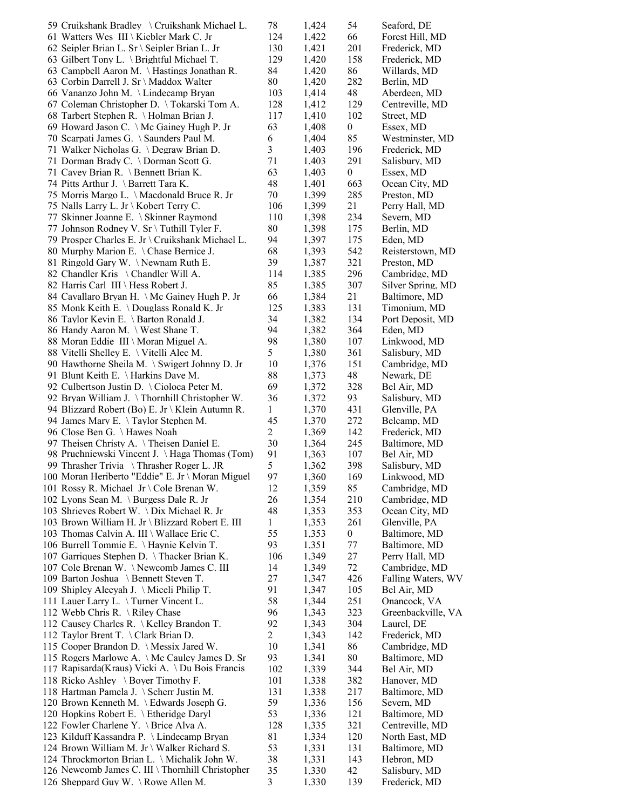| 59 Cruikshank Bradley \ Cruikshank Michael L.                                             | 78                      | 1,424          | 54               | Seaford, DE                        |
|-------------------------------------------------------------------------------------------|-------------------------|----------------|------------------|------------------------------------|
| 61 Watters Wes III \ Kiebler Mark C. Jr                                                   | 124                     | 1,422          | 66               | Forest Hill, MD                    |
| 62 Seipler Brian L. Sr \ Seipler Brian L. Jr                                              | 130                     | 1,421          | 201              | Frederick, MD                      |
| 63 Gilbert Tony L. \ Brightful Michael T.                                                 | 129                     | 1,420          | 158              | Frederick, MD                      |
| 63 Campbell Aaron M. \ Hastings Jonathan R.                                               | 84                      | 1,420          | 86               | Willards, MD                       |
| 63 Corbin Darrell J. Sr \ Maddox Walter                                                   | 80                      | 1,420          | 282              | Berlin, MD                         |
| 66 Vananzo John M. \Lindecamp Bryan                                                       | 103                     | 1,414          | 48               | Aberdeen, MD                       |
| 67 Coleman Christopher D. \Tokarski Tom A.                                                | 128                     | 1,412          | 129              | Centreville, MD                    |
| 68 Tarbert Stephen R. \ Holman Brian J.<br>69 Howard Jason C. \ Mc Gainey Hugh P. Jr      | 117<br>63               | 1,410<br>1,408 | 102<br>0         | Street, MD                         |
| 70 Scarpati James G. \ Saunders Paul M.                                                   | 6                       | 1,404          | 85               | Essex, MD<br>Westminster, MD       |
| 71 Walker Nicholas G. \Degraw Brian D.                                                    | $\overline{\mathbf{3}}$ | 1,403          | 196              | Frederick, MD                      |
| 71 Dorman Brady C. \ Dorman Scott G.                                                      | 71                      | 1,403          | 291              | Salisbury, MD                      |
| 71 Cavey Brian R. \ Bennett Brian K.                                                      | 63                      | 1,403          | $\boldsymbol{0}$ | Essex, MD                          |
| 74 Pitts Arthur J. \ Barrett Tara K.                                                      | 48                      | 1,401          | 663              | Ocean City, MD                     |
| 75 Morris Margo L. \ Macdonald Bruce R. Jr                                                | 70                      | 1,399          | 285              | Preston, MD                        |
| 75 Nalls Larry L. Jr \ Kobert Terry C.                                                    | 106                     | 1,399          | 21               | Perry Hall, MD                     |
| 77 Skinner Joanne E. \ Skinner Raymond                                                    | 110                     | 1,398          | 234              | Severn, MD                         |
| 77 Johnson Rodney V. Sr \ Tuthill Tyler F.                                                | 80                      | 1,398          | 175              | Berlin, MD                         |
| 79 Prosper Charles E. Jr \ Cruikshank Michael L.                                          | 94                      | 1,397          | 175              | Eden, MD                           |
| 80 Murphy Marion E. \Chase Bernice J.                                                     | 68                      | 1,393          | 542              | Reisterstown, MD                   |
| 81 Ringold Gary W. \Newnam Ruth E.                                                        | 39                      | 1,387          | 321              | Preston, MD                        |
| 82 Chandler Kris \ Chandler Will A.                                                       | 114                     | 1,385          | 296              | Cambridge, MD                      |
| 82 Harris Carl III \ Hess Robert J.<br>84 Cavallaro Bryan H. \ Mc Gainey Hugh P. Jr       | 85<br>66                | 1,385<br>1,384 | 307<br>21        | Silver Spring, MD<br>Baltimore, MD |
| 85 Monk Keith E. \ Douglass Ronald K. Jr                                                  | 125                     | 1,383          | 131              | Timonium, MD                       |
| 86 Taylor Kevin E. \ Barton Ronald J.                                                     | 34                      | 1,382          | 134              | Port Deposit, MD                   |
| 86 Handy Aaron M. \ West Shane T.                                                         | 94                      | 1,382          | 364              | Eden, MD                           |
| 88 Moran Eddie III \ Moran Miguel A.                                                      | 98                      | 1,380          | 107              | Linkwood, MD                       |
| 88 Vitelli Shelley E. \ Vitelli Alec M.                                                   | 5                       | 1,380          | 361              | Salisbury, MD                      |
| 90 Hawthorne Sheila M. \ Swigert Johnny D. Jr                                             | 10                      | 1,376          | 151              | Cambridge, MD                      |
| 91 Blunt Keith E. \ Harkins Dave M.                                                       | 88                      | 1,373          | 48               | Newark, DE                         |
| 92 Culbertson Justin D. \Cioloca Peter M.                                                 | 69                      | 1,372          | 328              | Bel Air, MD                        |
| 92 Bryan William J. \Thornhill Christopher W.                                             | 36                      | 1,372          | 93               | Salisbury, MD                      |
| 94 Blizzard Robert (Bo) E. Jr \ Klein Autumn R.                                           | $\mathbf{1}$            | 1,370          | 431              | Glenville, PA                      |
| 94 James Mary E. \Taylor Stephen M.                                                       | 45                      | 1,370          | 272              | Belcamp, MD                        |
| 96 Close Ben G. \ Hawes Noah                                                              | $\overline{c}$          | 1,369          | 142              | Frederick, MD                      |
| 97 Theisen Christy A. \Theisen Daniel E.<br>98 Pruchniewski Vincent J. \Haga Thomas (Tom) | 30<br>91                | 1,364<br>1,363 | 245<br>107       | Baltimore, MD<br>Bel Air, MD       |
| 99 Thrasher Trivia \Thrasher Roger L. JR                                                  | 5                       | 1,362          | 398              | Salisbury, MD                      |
| 100 Moran Heriberto "Eddie" E. Jr \ Moran Miguel                                          | 97                      | 1,360          | 169              | Linkwood, MD                       |
| 101 Rossy R. Michael Jr \ Cole Brenan W.                                                  | 12                      | 1,359          | 85               | Cambridge, MD                      |
| 102 Lyons Sean M. \ Burgess Dale R. Jr                                                    | 26                      | 1,354          | 210              | Cambridge, MD                      |
| 103 Shrieves Robert W. \Dix Michael R. Jr                                                 | 48                      | 1,353          | 353              | Ocean City, MD                     |
| 103 Brown William H. Jr \ Blizzard Robert E. III                                          | $\mathbf{1}$            | 1,353          | 261              | Glenville, PA                      |
| 103 Thomas Calvin A. III \ Wallace Eric C.                                                | 55                      | 1,353          | 0                | Baltimore, MD                      |
| 106 Burrell Tommie E. \ Haynie Kelvin T.                                                  | 93                      | 1,351          | 77               | Baltimore, MD                      |
| 107 Garriques Stephen D. \Thacker Brian K.                                                | 106                     | 1,349          | 27               | Perry Hall, MD                     |
| 107 Cole Brenan W. \Newcomb James C. III                                                  | 14                      | 1,349          | 72               | Cambridge, MD                      |
| 109 Barton Joshua \ Bennett Steven T.                                                     | 27                      | 1,347          | 426              | Falling Waters, WV                 |
| 109 Shipley Aleeyah J. \ Miceli Philip T.                                                 | 91                      | 1,347          | 105              | Bel Air, MD                        |
| 111 Lauer Larry L. \Turner Vincent L.                                                     | 58                      | 1,344          | 251              | Onancock, VA                       |
| 112 Webb Chris R. \ Riley Chase<br>112 Causey Charles R. \ Kelley Brandon T.              | 96<br>92                | 1,343<br>1,343 | 323<br>304       | Greenbackville, VA<br>Laurel, DE   |
| 112 Taylor Brent T. \Clark Brian D.                                                       | 2                       | 1,343          | 142              | Frederick, MD                      |
| 115 Cooper Brandon D. \ Messix Jared W.                                                   | 10                      | 1,341          | 86               | Cambridge, MD                      |
| 115 Rogers Marlowe A. \ Mc Cauley James D. Sr                                             | 93                      | 1,341          | 80               | Baltimore, MD                      |
| 117 Rapisarda(Kraus) Vicki A. \Du Bois Francis                                            | 102                     | 1,339          | 344              | Bel Air, MD                        |
| 118 Ricko Ashley \ Boyer Timothy F.                                                       | 101                     | 1,338          | 382              | Hanover, MD                        |
| 118 Hartman Pamela J. \ Scherr Justin M.                                                  | 131                     | 1,338          | 217              | Baltimore, MD                      |
| 120 Brown Kenneth M. \ Edwards Joseph G.                                                  | 59                      | 1,336          | 156              | Severn, MD                         |
| 120 Hopkins Robert E. \ Etheridge Daryl                                                   | 53                      | 1,336          | 121              | Baltimore, MD                      |
| 122 Fowler Charlene Y. \ Brice Alva A.                                                    | 128                     | 1,335          | 321              | Centreville, MD                    |
| 123 Kilduff Kassandra P. \ Lindecamp Bryan                                                | 81                      | 1,334          | 120              | North East, MD                     |
| 124 Brown William M. Jr \ Walker Richard S.                                               | 53                      | 1,331          | 131              | Baltimore, MD                      |
| 124 Throckmorton Brian L. \ Michalik John W.                                              | 38                      | 1,331          | 143              | Hebron, MD                         |
| 126 Newcomb James C. III \ Thornhill Christopher<br>126 Sheppard Guy W. \Rowe Allen M.    | 35<br>3                 | 1,330<br>1,330 | 42<br>139        | Salisbury, MD<br>Frederick, MD     |
|                                                                                           |                         |                |                  |                                    |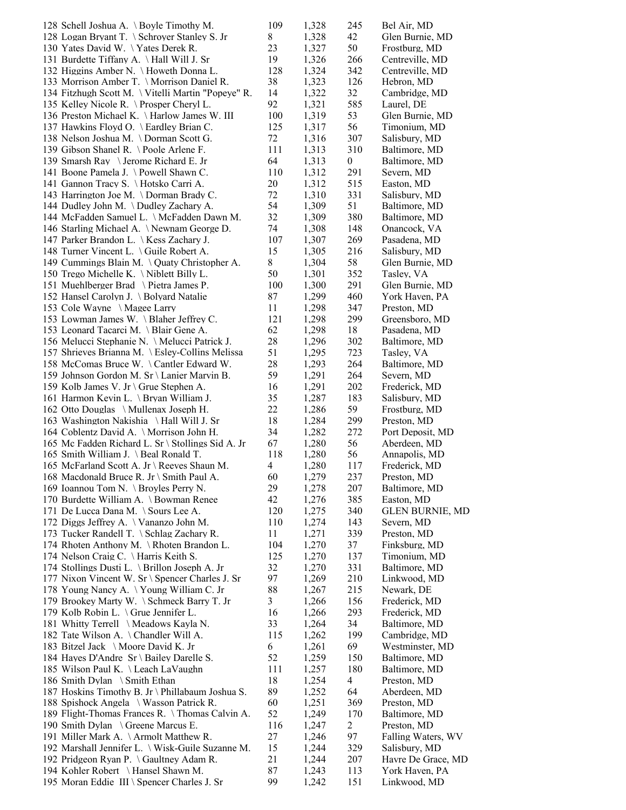| 128 Schell Joshua A. \ Boyle Timothy M.             | 109 | 1,328 | 245              | Bel Air, MD            |
|-----------------------------------------------------|-----|-------|------------------|------------------------|
| 128 Logan Bryant T. \ Schroyer Stanley S. Jr        | 8   | 1,328 | 42               | Glen Burnie, MD        |
| 130 Yates David W. \Yates Derek R.                  | 23  | 1,327 | 50               | Frostburg, MD          |
| 131 Burdette Tiffany A. \Hall Will J. Sr            | 19  | 1,326 | 266              | Centreville, MD        |
| 132 Higgins Amber N. \ Howeth Donna L.              | 128 | 1,324 | 342              | Centreville, MD        |
| 133 Morrison Amber T. \ Morrison Daniel R.          | 38  | 1,323 | 126              | Hebron, MD             |
| 134 Fitzhugh Scott M. \ Vitelli Martin "Popeye" R.  | 14  | 1,322 | 32               | Cambridge, MD          |
| 135 Kelley Nicole R. \Prosper Cheryl L.             | 92  | 1,321 | 585              | Laurel, DE             |
| 136 Preston Michael K. \Harlow James W. III         | 100 | 1,319 | 53               | Glen Burnie, MD        |
| 137 Hawkins Floyd O. \ Eardley Brian C.             | 125 | 1,317 | 56               | Timonium, MD           |
| 138 Nelson Joshua M. \Dorman Scott G.               | 72  | 1,316 | 307              | Salisbury, MD          |
| 139 Gibson Shanel R. \Poole Arlene F.               | 111 | 1,313 | 310              | Baltimore, MD          |
| 139 Smarsh Ray \Jerome Richard E. Jr                | 64  | 1,313 | $\boldsymbol{0}$ | Baltimore, MD          |
| 141 Boone Pamela J. \Powell Shawn C.                | 110 | 1,312 | 291              | Severn, MD             |
| 141 Gannon Tracy S. \Hotsko Carri A.                | 20  | 1,312 | 515              | Easton, MD             |
| 143 Harrington Joe M. \ Dorman Brady C.             | 72  | 1,310 | 331              | Salisbury, MD          |
| 144 Dudley John M. \Dudley Zachary A.               | 54  | 1,309 | 51               | Baltimore, MD          |
| 144 McFadden Samuel L. \ McFadden Dawn M.           | 32  | 1,309 | 380              | Baltimore, MD          |
| 146 Starling Michael A. \Newnam George D.           | 74  | 1,308 | 148              | Onancock, VA           |
| 147 Parker Brandon L. \ Kess Zachary J.             | 107 | 1,307 | 269              | Pasadena, MD           |
| 148 Turner Vincent L. \Guile Robert A.              | 15  | 1,305 | 216              | Salisbury, MD          |
| 149 Cummings Blain M. \ Quaty Christopher A.        | 8   | 1,304 | 58               | Glen Burnie, MD        |
| 150 Trego Michelle K. $\backslash$ Niblett Billy L. | 50  | 1,301 | 352              | Tasley, VA             |
| 151 Muehlberger Brad \ Pietra James P.              | 100 | 1,300 | 291              | Glen Burnie, MD        |
| 152 Hansel Carolyn J. \ Bolyard Natalie             | 87  | 1,299 | 460              | York Haven, PA         |
| 153 Cole Wayne \ Magee Larry                        | 11  | 1,298 | 347              | Preston, MD            |
| 153 Lowman James W. \Blaher Jeffrey C.              | 121 | 1,298 | 299              | Greensboro, MD         |
| 153 Leonard Tacarci M. \ Blair Gene A.              | 62  | 1,298 | 18               | Pasadena, MD           |
| 156 Melucci Stephanie N. \ Melucci Patrick J.       | 28  | 1,296 | 302              | Baltimore, MD          |
| 157 Shrieves Brianna M. \ Esley-Collins Melissa     | 51  | 1,295 | 723              | Tasley, VA             |
| 158 McComas Bruce W. \Cantler Edward W.             | 28  | 1,293 | 264              | Baltimore, MD          |
| 159 Johnson Gordon M. Sr \ Lanier Marvin B.         | 59  | 1,291 | 264              | Severn, MD             |
| 159 Kolb James V. Jr \ Grue Stephen A.              | 16  | 1,291 | 202              | Frederick, MD          |
| 161 Harmon Kevin L. \ Bryan William J.              | 35  | 1,287 | 183              | Salisbury, MD          |
| 162 Otto Douglas \ Mullenax Joseph H.               | 22  | 1,286 | 59               | Frostburg, MD          |
| 163 Washington Nakishia \Hall Will J. Sr            | 18  | 1,284 | 299              | Preston, MD            |
| 164 Coblentz David A. \Morrison John H.             | 34  | 1,282 | 272              | Port Deposit, MD       |
| 165 Mc Fadden Richard L. Sr \ Stollings Sid A. Jr   | 67  | 1,280 | 56               | Aberdeen, MD           |
| 165 Smith William J. \ Beal Ronald T.               | 118 | 1,280 | 56               | Annapolis, MD          |
| 165 McFarland Scott A. Jr \ Reeves Shaun M.         | 4   | 1,280 | 117              | Frederick, MD          |
| 168 Macdonald Bruce R. Jr \ Smith Paul A.           | 60  | 1,279 | 237              | Preston, MD            |
| 169 Ioannou Tom N. \ Broyles Perry N.               | 29  | 1,278 | 207              | Baltimore, MD          |
| 170 Burdette William A. \ Bowman Renee              | 42  | 1,276 | 385              | Easton, MD             |
| 171 De Lucca Dana M. \ Sours Lee A.                 | 120 | 1,275 | 340              | <b>GLEN BURNIE, MD</b> |
| 172 Diggs Jeffrey A. \ Vananzo John M.              | 110 | 1,274 | 143              | Severn, MD             |
| 173 Tucker Randell T. \ Schlag Zachary R.           | 11  | 1,271 | 339              | Preston, MD            |
| 174 Rhoten Anthony M. \Rhoten Brandon L.            | 104 | 1,270 | 37               | Finksburg, MD          |
| 174 Nelson Craig C. \ Harris Keith S.               | 125 | 1,270 | 137              | Timonium, MD           |
| 174 Stollings Dusti L. \ Brillon Joseph A. Jr       | 32  | 1,270 | 331              | Baltimore, MD          |
| 177 Nixon Vincent W. Sr \ Spencer Charles J. Sr     | 97  | 1,269 | 210              | Linkwood, MD           |
| 178 Young Nancy A. \Young William C. Jr             | 88  | 1,267 | 215              | Newark, DE             |
| 179 Brookey Marty W. \ Schmeck Barry T. Jr          | 3   | 1,266 | 156              | Frederick, MD          |
| 179 Kolb Robin L. \ Grue Jennifer L.                | 16  | 1,266 | 293              | Frederick, MD          |
| 181 Whitty Terrell \ Meadows Kayla N.               | 33  | 1,264 | 34               | Baltimore, MD          |
| 182 Tate Wilson A. \Chandler Will A.                | 115 | 1,262 | 199              | Cambridge, MD          |
| 183 Bitzel Jack \ Moore David K. Jr                 | 6   | 1,261 | 69               | Westminster, MD        |
| 184 Hayes D'Andre Sr \ Bailey Darelle S.            | 52  | 1,259 | 150              | Baltimore, MD          |
| 185 Wilson Paul K. \ Leach LaVaughn                 | 111 | 1,257 | 180              | Baltimore, MD          |
| 186 Smith Dylan \ Smith Ethan                       | 18  | 1,254 | 4                | Preston, MD            |
| 187 Hoskins Timothy B. Jr \ Phillabaum Joshua S.    | 89  | 1,252 | 64               | Aberdeen, MD           |
| 188 Spishock Angela \ Wasson Patrick R.             | 60  | 1,251 | 369              | Preston, MD            |
| 189 Flight-Thomas Frances R. \Thomas Calvin A.      | 52  | 1,249 | 170              | Baltimore, MD          |
| 190 Smith Dylan \ Greene Marcus E.                  | 116 | 1,247 | $\overline{2}$   | Preston, MD            |
| 191 Miller Mark A. \Armolt Matthew R.               | 27  | 1,246 | 97               | Falling Waters, WV     |
| 192 Marshall Jennifer L. \ Wisk-Guile Suzanne M.    | 15  | 1,244 | 329              | Salisbury, MD          |
| 192 Pridgeon Ryan P. \ Gaultney Adam R.             | 21  | 1,244 | 207              | Havre De Grace, MD     |
| 194 Kohler Robert \ Hansel Shawn M.                 | 87  | 1,243 | 113              | York Haven, PA         |
| 195 Moran Eddie III \ Spencer Charles J. Sr         | 99  | 1,242 | 151              | Linkwood, MD           |
|                                                     |     |       |                  |                        |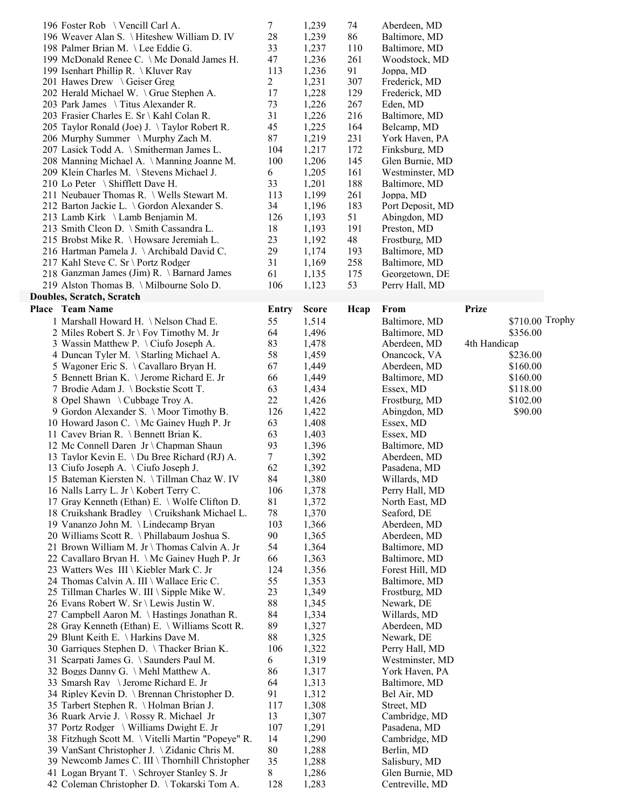| 196 Foster Rob \ Vencill Carl A.                                                          | 7        | 1,239          | 74   | Aberdeen, MD                       |              |                 |
|-------------------------------------------------------------------------------------------|----------|----------------|------|------------------------------------|--------------|-----------------|
| 196 Weaver Alan S. \ Hiteshew William D. IV                                               | 28       | 1,239          | 86   | Baltimore, MD                      |              |                 |
| 198 Palmer Brian M. \Lee Eddie G.                                                         | 33       | 1,237          | 110  | Baltimore, MD                      |              |                 |
| 199 McDonald Renee C. \ Mc Donald James H.                                                | 47       | 1,236          | 261  | Woodstock, MD                      |              |                 |
| 199 Isenhart Phillip R. \ Kluver Ray                                                      | 113      | 1,236          | 91   | Joppa, MD                          |              |                 |
| 201 Hawes Drew \ Geiser Greg                                                              | 2        | 1,231          | 307  | Frederick, MD                      |              |                 |
|                                                                                           | 17       | 1,228          | 129  |                                    |              |                 |
| 202 Herald Michael W. \ Grue Stephen A.                                                   |          |                |      | Frederick, MD                      |              |                 |
| 203 Park James \ Titus Alexander R.                                                       | 73       | 1,226          | 267  | Eden, MD                           |              |                 |
| 203 Frasier Charles E. Sr \ Kahl Colan R.                                                 | 31       | 1,226          | 216  | Baltimore, MD                      |              |                 |
| 205 Taylor Ronald (Joe) J. \Taylor Robert R.                                              | 45       | 1,225          | 164  | Belcamp, MD                        |              |                 |
| 206 Murphy Summer \Murphy Zach M.                                                         | 87       | 1,219          | 231  | York Haven, PA                     |              |                 |
| 207 Lasick Todd A. \ Smitherman James L.                                                  | 104      | 1,217          | 172  | Finksburg, MD                      |              |                 |
| 208 Manning Michael A. \ Manning Joanne M.                                                | 100      | 1,206          | 145  | Glen Burnie, MD                    |              |                 |
| 209 Klein Charles M. \ Stevens Michael J.                                                 | 6        | 1,205          | 161  | Westminster, MD                    |              |                 |
| 210 Lo Peter \ Shifflett Dave H.                                                          | 33       | 1,201          | 188  | Baltimore, MD                      |              |                 |
| 211 Neubauer Thomas R. \ Wells Stewart M.                                                 | 113      | 1,199          | 261  | Joppa, MD                          |              |                 |
| 212 Barton Jackie L. \ Gordon Alexander S.                                                | 34       | 1,196          | 183  | Port Deposit, MD                   |              |                 |
| 213 Lamb Kirk \ Lamb Benjamin M.                                                          | 126      | 1,193          | 51   | Abingdon, MD                       |              |                 |
| 213 Smith Cleon D. \ Smith Cassandra L.                                                   | 18       | 1,193          | 191  | Preston, MD                        |              |                 |
| 215 Brobst Mike R. \ Howsare Jeremiah L.                                                  | 23       | 1,192          | 48   | Frostburg, MD                      |              |                 |
| 216 Hartman Pamela J. \ Archibald David C.                                                | 29       | 1,174          | 193  | Baltimore, MD                      |              |                 |
| 217 Kahl Steve C. Sr \ Portz Rodger                                                       | 31       | 1,169          | 258  | Baltimore, MD                      |              |                 |
| 218 Ganzman James (Jim) R. \ Barnard James                                                | 61       |                | 175  |                                    |              |                 |
| 219 Alston Thomas B. \Milbourne Solo D.                                                   |          | 1,135          |      | Georgetown, DE                     |              |                 |
|                                                                                           | 106      | 1,123          | 53   | Perry Hall, MD                     |              |                 |
| <b>Doubles, Scratch, Scratch</b>                                                          |          |                |      |                                    |              |                 |
| Place Team Name                                                                           | Entry    | <b>Score</b>   | Hcap | From                               | <b>Prize</b> |                 |
| 1 Marshall Howard H. \Nelson Chad E.                                                      | 55       | 1,514          |      | Baltimore, MD                      |              | \$710.00 Trophy |
| 2 Miles Robert S. Jr \ Foy Timothy M. Jr                                                  | 64       | 1,496          |      | Baltimore, MD                      | \$356.00     |                 |
| 3 Wassin Matthew P. \Ciufo Joseph A.                                                      | 83       | 1,478          |      | Aberdeen, MD                       | 4th Handicap |                 |
| 4 Duncan Tyler M. \ Starling Michael A.                                                   | 58       | 1,459          |      | Onancock, VA                       | \$236.00     |                 |
| 5 Wagoner Eric S. \ Cavallaro Bryan H.                                                    | 67       | 1,449          |      | Aberdeen, MD                       | \$160.00     |                 |
| 5 Bennett Brian K. \ Jerome Richard E. Jr                                                 | 66       | 1,449          |      | Baltimore, MD                      | \$160.00     |                 |
| 7 Brodie Adam J. \ Bockstie Scott T.                                                      | 63       | 1,434          |      | Essex, MD                          | \$118.00     |                 |
| 8 Opel Shawn \ Cubbage Troy A.                                                            | 22       | 1,426          |      | Frostburg, MD                      | \$102.00     |                 |
| 9 Gordon Alexander S. \ Moor Timothy B.                                                   | 126      | 1,422          |      | Abingdon, MD                       | \$90.00      |                 |
| 10 Howard Jason C. \ Mc Gainey Hugh P. Jr                                                 | 63       | 1,408          |      | Essex, MD                          |              |                 |
| 11 Cavey Brian R. \ Bennett Brian K.                                                      | 63       | 1,403          |      | Essex, MD                          |              |                 |
| 12 Mc Connell Daren Jr \ Chapman Shaun                                                    | 93       | 1,396          |      | Baltimore, MD                      |              |                 |
| 13 Taylor Kevin E. \ Du Bree Richard (RJ) A.                                              | $\tau$   | 1,392          |      | Aberdeen, MD                       |              |                 |
| 13 Ciufo Joseph A. \Ciufo Joseph J.                                                       | 62       | 1,392          |      | Pasadena, MD                       |              |                 |
| 15 Bateman Kiersten N. \Tillman Chaz W. IV                                                | 84       | 1,380          |      | Willards, MD                       |              |                 |
| 16 Nalls Larry L. Jr \ Kobert Terry C.                                                    |          |                |      |                                    |              |                 |
|                                                                                           | 106      | 1,378          |      | Perry Hall, MD                     |              |                 |
| 17 Gray Kenneth (Ethan) E. \ Wolfe Clifton D.                                             | 81       | 1,372          |      | North East, MD                     |              |                 |
| 18 Cruikshank Bradley \ Cruikshank Michael L.                                             | 78       | 1,370          |      | Seaford, DE                        |              |                 |
| 19 Vananzo John M. \Lindecamp Bryan                                                       | 103      | 1,366          |      | Aberdeen, MD                       |              |                 |
| 20 Williams Scott R. \ Phillabaum Joshua S.                                               | 90       | 1,365          |      | Aberdeen, MD                       |              |                 |
| 21 Brown William M. Jr \ Thomas Calvin A. Jr                                              | 54       | 1,364          |      | Baltimore, MD                      |              |                 |
| 22 Cavallaro Bryan H. \ Mc Gainey Hugh P. Jr                                              | 66       | 1,363          |      | Baltimore, MD                      |              |                 |
| 23 Watters Wes III \ Kiebler Mark C. Jr                                                   | 124      | 1,356          |      | Forest Hill, MD                    |              |                 |
| 24 Thomas Calvin A. III \ Wallace Eric C.                                                 | 55       | 1,353          |      | Baltimore, MD                      |              |                 |
| 25 Tillman Charles W. III \ Sipple Mike W.                                                | 23       | 1,349          |      | Frostburg, MD                      |              |                 |
| 26 Evans Robert W. Sr \ Lewis Justin W.                                                   | 88       | 1,345          |      | Newark, DE                         |              |                 |
| 27 Campbell Aaron M. \ Hastings Jonathan R.                                               | 84       | 1,334          |      | Willards, MD                       |              |                 |
| 28 Gray Kenneth (Ethan) E. \ Williams Scott R.                                            | 89       | 1,327          |      | Aberdeen, MD                       |              |                 |
| 29 Blunt Keith E. \ Harkins Dave M.                                                       | 88       | 1,325          |      | Newark, DE                         |              |                 |
| 30 Garriques Stephen D. \Thacker Brian K.                                                 | 106      | 1,322          |      | Perry Hall, MD                     |              |                 |
| 31 Scarpati James G. \ Saunders Paul M.                                                   | 6        | 1,319          |      | Westminster, MD                    |              |                 |
| 32 Boggs Danny G. \ Mehl Matthew A.                                                       | 86       | 1,317          |      | York Haven, PA                     |              |                 |
| 33 Smarsh Ray \ Jerome Richard E. Jr                                                      | 64       | 1,313          |      | Baltimore, MD                      |              |                 |
| 34 Ripley Kevin D. \ Brennan Christopher D.                                               | 91       | 1,312          |      | Bel Air, MD                        |              |                 |
| 35 Tarbert Stephen R. \ Holman Brian J.                                                   | 117      | 1,308          |      | Street, MD                         |              |                 |
| 36 Ruark Arvie J. \ Rossy R. Michael Jr                                                   | 13       | 1,307          |      | Cambridge, MD                      |              |                 |
|                                                                                           | 107      | 1,291          |      | Pasadena, MD                       |              |                 |
|                                                                                           |          |                |      |                                    |              |                 |
| 37 Portz Rodger \ Williams Dwight E. Jr                                                   |          |                |      |                                    |              |                 |
| 38 Fitzhugh Scott M. \ Vitelli Martin "Popeye" R.                                         | 14       | 1,290          |      | Cambridge, MD                      |              |                 |
| 39 VanSant Christopher J. \ Zidanic Chris M.                                              | 80       | 1,288          |      | Berlin, MD                         |              |                 |
| 39 Newcomb James C. III \ Thornhill Christopher                                           | 35       | 1,288          |      | Salisbury, MD                      |              |                 |
| 41 Logan Bryant T. \ Schroyer Stanley S. Jr<br>42 Coleman Christopher D. \Tokarski Tom A. | 8<br>128 | 1,286<br>1,283 |      | Glen Burnie, MD<br>Centreville, MD |              |                 |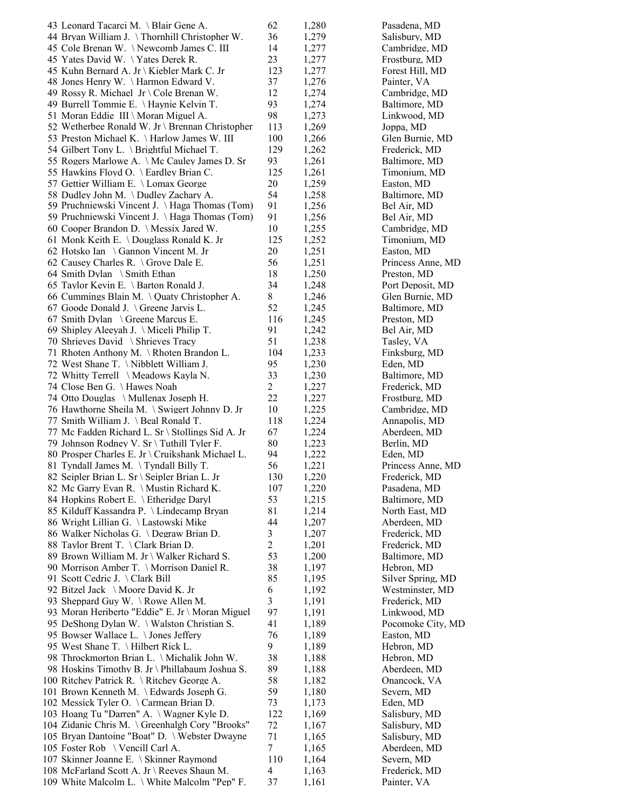| 43 Leonard Tacarci M. \ Blair Gene A.            | 62             | 1,280 | Pasadena, MD      |
|--------------------------------------------------|----------------|-------|-------------------|
| 44 Bryan William J. \Thornhill Christopher W.    | 36             | 1,279 | Salisbury, MD     |
| 45 Cole Brenan W. \Newcomb James C. III          | 14             | 1,277 | Cambridge, MD     |
| 45 Yates David W. \Yates Derek R.                | 23             | 1,277 | Frostburg, MD     |
| 45 Kuhn Bernard A. Jr \ Kiebler Mark C. Jr       | 123            | 1,277 | Forest Hill, MD   |
| 48 Jones Henry W. \Harmon Edward V.              | 37             | 1,276 | Painter, VA       |
| 49 Rossy R. Michael Jr \ Cole Brenan W.          | 12             | 1,274 | Cambridge, MD     |
| 49 Burrell Tommie E. \ Haynie Kelvin T.          | 93             | 1,274 | Baltimore, MD     |
| 51 Moran Eddie III \ Moran Miguel A.             | 98             | 1,273 | Linkwood, MD      |
| 52 Wetherbee Ronald W. Jr \ Brennan Christopher  | 113            | 1,269 | Joppa, MD         |
| 53 Preston Michael K. \ Harlow James W. III      | 100            | 1,266 | Glen Burnie, MD   |
| 54 Gilbert Tony L. \ Brightful Michael T.        | 129            | 1,262 | Frederick, MD     |
| 55 Rogers Marlowe A. \ Mc Cauley James D. Sr     | 93             | 1,261 | Baltimore, MD     |
| 55 Hawkins Floyd O. \ Eardley Brian C.           | 125            | 1,261 | Timonium, MD      |
| 57 Gettier William E. \ Lomax George             | 20             | 1,259 | Easton, MD        |
| 58 Dudley John M. \Dudley Zachary A.             | 54             | 1,258 | Baltimore, MD     |
| 59 Pruchniewski Vincent J. \Haga Thomas (Tom)    | 91             | 1,256 | Bel Air, MD       |
| 59 Pruchniewski Vincent J. \Haga Thomas (Tom)    | 91             | 1,256 | Bel Air, MD       |
| 60 Cooper Brandon D. \ Messix Jared W.           | 10             | 1,255 | Cambridge, MD     |
| 61 Monk Keith E. \ Douglass Ronald K. Jr         | 125            | 1,252 | Timonium, MD      |
| 62 Hotsko Ian \ Gannon Vincent M. Jr             | 20             | 1,251 | Easton, MD        |
| 62 Causey Charles R. \ Grove Dale E.             | 56             | 1,251 | Princess Anne, MD |
| 64 Smith Dylan \ Smith Ethan                     | 18             | 1,250 | Preston, MD       |
| 65 Taylor Kevin E. \ Barton Ronald J.            | 34             | 1,248 | Port Deposit, MD  |
| 66 Cummings Blain M. \ Quaty Christopher A.      | 8              | 1,246 | Glen Burnie, MD   |
| 67 Goode Donald J. \ Greene Jarvis L.            | 52             | 1,245 | Baltimore, MD     |
| 67 Smith Dylan \ Greene Marcus E.                | 116            | 1,245 | Preston, MD       |
| 69 Shipley Aleeyah J. \ Miceli Philip T.         | 91             | 1,242 | Bel Air, MD       |
| 70 Shrieves David \ Shrieves Tracy               | 51             | 1,238 | Tasley, VA        |
| 71 Rhoten Anthony M. \Rhoten Brandon L.          | 104            | 1,233 | Finksburg, MD     |
| 72 West Shane T. \ Nibblett William J.           | 95             | 1,230 | Eden, MD          |
| 72 Whitty Terrell \ Meadows Kayla N.             | 33             | 1,230 | Baltimore, MD     |
| 74 Close Ben G. \Hawes Noah                      | $\overline{2}$ | 1,227 | Frederick, MD     |
| 74 Otto Douglas \ Mullenax Joseph H.             | 22             | 1,227 | Frostburg, MD     |
| 76 Hawthorne Sheila M. \ Swigert Johnny D. Jr    | 10             | 1,225 | Cambridge, MD     |
| 77 Smith William J. \ Beal Ronald T.             | 118            | 1,224 | Annapolis, MD     |
| 77 Mc Fadden Richard L. Sr \ Stollings Sid A. Jr | 67             | 1,224 | Aberdeen, MD      |
| 79 Johnson Rodney V. Sr \ Tuthill Tyler F.       | 80             | 1,223 | Berlin, MD        |
| 80 Prosper Charles E. Jr \ Cruikshank Michael L. | 94             | 1,222 | Eden, MD          |
| 81 Tyndall James M. \Tyndall Billy T.            | 56             | 1,221 | Princess Anne, MD |
| 82 Seipler Brian L. Sr \ Seipler Brian L. Jr     | 130            | 1,220 | Frederick, MD     |
| 82 Mc Garry Evan R. \ Mustin Richard K.          | 107            | 1,220 | Pasadena, MD      |
| 84 Hopkins Robert E. \ Etheridge Daryl           | 53             | 1,215 | Baltimore, MD     |
| 85 Kilduff Kassandra P. \ Lindecamp Bryan        | 81             | 1,214 | North East, MD    |
| 86 Wright Lillian G. \Lastowski Mike             | 44             | 1,207 | Aberdeen, MD      |
| 86 Walker Nicholas G. \Degraw Brian D.           | 3              | 1,207 | Frederick, MD     |
| 88 Taylor Brent T. \Clark Brian D.               | 2              | 1,201 | Frederick, MD     |
| 89 Brown William M. Jr \ Walker Richard S.       | 53             | 1,200 | Baltimore, MD     |
| 90 Morrison Amber T. \ Morrison Daniel R.        | 38             | 1,197 | Hebron, MD        |
| 91 Scott Cedric J. \Clark Bill                   | 85             | 1,195 | Silver Spring, MD |
| 92 Bitzel Jack \ Moore David K. Jr               | 6              | 1,192 | Westminster, MD   |
| 93 Sheppard Guy W. \Rowe Allen M.                | 3              | 1,191 | Frederick, MD     |
| 93 Moran Heriberto "Eddie" E. Jr \ Moran Miguel  | 97             | 1,191 | Linkwood, MD      |
| 95 DeShong Dylan W. \ Walston Christian S.       | 41             | 1,189 | Pocomoke City, MD |
| 95 Bowser Wallace L. \ Jones Jeffery             | 76             | 1,189 | Easton, MD        |
| 95 West Shane T. \ Hilbert Rick L.               | 9              | 1,189 | Hebron, MD        |
| 98 Throckmorton Brian L. \ Michalik John W.      | 38             | 1,188 | Hebron, MD        |
| 98 Hoskins Timothy B. Jr \ Phillabaum Joshua S.  | 89             | 1,188 | Aberdeen, MD      |
| 100 Ritchey Patrick R. \ Ritchey George A.       | 58             | 1,182 | Onancock, VA      |
| 101 Brown Kenneth M. \ Edwards Joseph G.         | 59             | 1,180 | Severn, MD        |
| 102 Messick Tyler O. \ Carmean Brian D.          | 73             | 1,173 | Eden, MD          |
| 103 Hoang Tu "Darren" A. \ Wagner Kyle D.        | 122            | 1,169 | Salisbury, MD     |
| 104 Zidanic Chris M. \ Greenhalgh Cory "Brooks"  | 72             | 1,167 | Salisbury, MD     |
| 105 Bryan Dantoine "Boat" D. \ Webster Dwayne    | 71             | 1,165 | Salisbury, MD     |
| 105 Foster Rob \ Vencill Carl A.                 | 7              | 1,165 | Aberdeen, MD      |
| 107 Skinner Joanne E. \ Skinner Raymond          | 110            | 1,164 | Severn, MD        |
| 108 McFarland Scott A. Jr \ Reeves Shaun M.      | 4              | 1,163 | Frederick, MD     |
| 109 White Malcolm L. \ White Malcolm "Pep" F.    | 37             | 1,161 | Painter, VA       |
|                                                  |                |       |                   |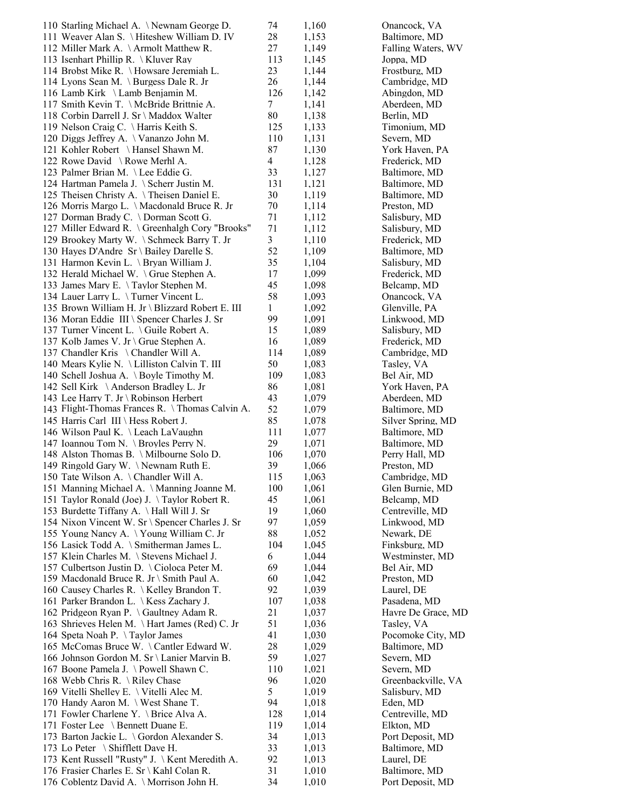| 110 Starling Michael A. \Newnam George D.                                              | 74        | 1,160          | Onancock, VA                   |
|----------------------------------------------------------------------------------------|-----------|----------------|--------------------------------|
| 111 Weaver Alan S. \ Hiteshew William D. IV                                            | 28        | 1,153          | Baltimore, MD                  |
| 112 Miller Mark A. \ Armolt Matthew R.                                                 | 27        | 1,149          | Falling Waters, WV             |
| 113 Isenhart Phillip R. \ Kluver Ray                                                   | 113       | 1,145          | Joppa, MD                      |
| 114 Brobst Mike R. \ Howsare Jeremiah L.                                               | 23        | 1,144          | Frostburg, MD                  |
| 114 Lyons Sean M. \ Burgess Dale R. Jr                                                 | 26        | 1,144          | Cambridge, MD                  |
| 116 Lamb Kirk \ Lamb Benjamin M.                                                       | 126       | 1,142          | Abingdon, MD                   |
| 117 Smith Kevin T. \ McBride Brittnie A.                                               | 7         | 1,141          | Aberdeen, MD                   |
| 118 Corbin Darrell J. Sr \ Maddox Walter                                               | 80        | 1,138          | Berlin, MD                     |
| 119 Nelson Craig C. \Harris Keith S.                                                   | 125       | 1,133          | Timonium, MD                   |
| 120 Diggs Jeffrey A. \ Vananzo John M.                                                 | 110       | 1,131          | Severn, MD                     |
| 121 Kohler Robert \Hansel Shawn M.                                                     | 87        | 1,130          | York Haven, PA                 |
| 122 Rowe David \ Rowe Merhl A.                                                         | 4         | 1,128          | Frederick, MD                  |
| 123 Palmer Brian M. \Lee Eddie G.<br>124 Hartman Pamela J. \ Scherr Justin M.          | 33        | 1,127          | Baltimore, MD                  |
| 125 Theisen Christy A. \Theisen Daniel E.                                              | 131<br>30 | 1,121          | Baltimore, MD<br>Baltimore, MD |
| 126 Morris Margo L. \ Macdonald Bruce R. Jr                                            | 70        | 1,119          | Preston, MD                    |
| 127 Dorman Brady C. \ Dorman Scott G.                                                  | 71        | 1,114<br>1,112 | Salisbury, MD                  |
| 127 Miller Edward R. \ Greenhalgh Cory "Brooks"                                        | 71        | 1,112          | Salisbury, MD                  |
| 129 Brookey Marty W. \ Schmeck Barry T. Jr                                             | 3         | 1,110          | Frederick, MD                  |
| 130 Hayes D'Andre Sr \ Bailey Darelle S.                                               | 52        | 1,109          | Baltimore, MD                  |
| 131 Harmon Kevin L. \ Bryan William J.                                                 | 35        | 1,104          | Salisbury, MD                  |
| 132 Herald Michael W. \ Grue Stephen A.                                                | 17        | 1,099          | Frederick, MD                  |
| 133 James Mary E. \Taylor Stephen M.                                                   | 45        | 1,098          | Belcamp, MD                    |
| 134 Lauer Larry L. \Turner Vincent L.                                                  | 58        | 1,093          | Onancock, VA                   |
| 135 Brown William H. Jr \ Blizzard Robert E. III                                       | 1         | 1,092          | Glenville, PA                  |
| 136 Moran Eddie III \ Spencer Charles J. Sr                                            | 99        | 1,091          | Linkwood, MD                   |
| 137 Turner Vincent L. \ Guile Robert A.                                                | 15        | 1,089          | Salisbury, MD                  |
| 137 Kolb James V. Jr \ Grue Stephen A.                                                 | 16        | 1,089          | Frederick, MD                  |
| 137 Chandler Kris \Chandler Will A.                                                    | 114       | 1,089          | Cambridge, MD                  |
| 140 Mears Kylie N. \ Lilliston Calvin T. III                                           | 50        | 1,083          | Tasley, VA                     |
| 140 Schell Joshua A. \ Boyle Timothy M.                                                | 109       | 1,083          | Bel Air, MD                    |
| 142 Sell Kirk \Anderson Bradley L. Jr                                                  | 86        | 1,081          | York Haven, PA                 |
| 143 Lee Harry T. Jr \ Robinson Herbert                                                 | 43        | 1,079          | Aberdeen, MD                   |
| 143 Flight-Thomas Frances R. \Thomas Calvin A.                                         | 52        | 1,079          | Baltimore, MD                  |
| 145 Harris Carl III \ Hess Robert J.                                                   | 85        | 1,078          | Silver Spring, MD              |
| 146 Wilson Paul K. \Leach LaVaughn                                                     | 111       | 1,077          | Baltimore, MD                  |
| 147 Ioannou Tom N. \ Broyles Perry N.                                                  | 29        | 1,071          | Baltimore, MD                  |
| 148 Alston Thomas B. \ Milbourne Solo D.                                               | 106       | 1,070          | Perry Hall, MD                 |
| 149 Ringold Gary W. \Newnam Ruth E.                                                    | 39        | 1,066          | Preston, MD                    |
| 150 Tate Wilson A. \Chandler Will A.                                                   | 115       | 1,063          | Cambridge, MD                  |
| 151 Manning Michael A. \ Manning Joanne M.                                             | 100       | 1,061          | Glen Burnie, MD                |
| 151 Taylor Ronald (Joe) J. \Taylor Robert R.                                           | 45        | 1,061          | Belcamp, MD                    |
| 153 Burdette Tiffany A. \ Hall Will J. Sr                                              | 19        | 1,060          | Centreville, MD                |
| 154 Nixon Vincent W. Sr \ Spencer Charles J. Sr                                        | 97        | 1,059          | Linkwood, MD                   |
| 155 Young Nancy A. \Young William C. Jr                                                | 88        | 1,052          | Newark, DE                     |
| 156 Lasick Todd A. \ Smitherman James L.                                               | 104       | 1,045          | Finksburg, MD                  |
| 157 Klein Charles M. \ Stevens Michael J.                                              | 6         | 1,044          | Westminster, MD                |
| 157 Culbertson Justin D. \Cioloca Peter M.                                             | 69        | 1,044          | Bel Air, MD                    |
| 159 Macdonald Bruce R. Jr \ Smith Paul A.<br>160 Causey Charles R. \ Kelley Brandon T. | 60<br>92  | 1,042          | Preston, MD                    |
| 161 Parker Brandon L. \ Kess Zachary J.                                                | 107       | 1,039          | Laurel, DE<br>Pasadena, MD     |
| 162 Pridgeon Ryan P. \ Gaultney Adam R.                                                | 21        | 1,038<br>1,037 | Havre De Grace, MD             |
| 163 Shrieves Helen M. \Hart James (Red) C. Jr                                          | 51        | 1,036          | Tasley, VA                     |
| 164 Speta Noah P. \Taylor James                                                        | 41        | 1,030          | Pocomoke City, MD              |
| 165 McComas Bruce W. \Cantler Edward W.                                                | 28        | 1,029          | Baltimore, MD                  |
| 166 Johnson Gordon M. Sr \ Lanier Marvin B.                                            | 59        | 1,027          | Severn, MD                     |
| 167 Boone Pamela J. \Powell Shawn C.                                                   | 110       | 1,021          | Severn, MD                     |
| 168 Webb Chris R. \ Riley Chase                                                        | 96        | 1,020          | Greenbackville, VA             |
| 169 Vitelli Shelley E. \ Vitelli Alec M.                                               | 5         | 1,019          | Salisbury, MD                  |
| 170 Handy Aaron M. \ West Shane T.                                                     | 94        | 1,018          | Eden, MD                       |
| 171 Fowler Charlene Y. \ Brice Alva A.                                                 | 128       | 1,014          | Centreville, MD                |
| 171 Foster Lee \ Bennett Duane E.                                                      | 119       | 1,014          | Elkton, MD                     |
| 173 Barton Jackie L. \ Gordon Alexander S.                                             | 34        | 1,013          | Port Deposit, MD               |
| 173 Lo Peter \ Shifflett Dave H.                                                       | 33        | 1,013          | Baltimore, MD                  |
| 173 Kent Russell "Rusty" J. \ Kent Meredith A.                                         | 92        | 1,013          | Laurel, DE                     |
| 176 Frasier Charles E. Sr \ Kahl Colan R.                                              | 31        | 1,010          | Baltimore, MD                  |
| 176 Coblentz David A. \ Morrison John H.                                               | 34        | 1,010          | Port Deposit, MD               |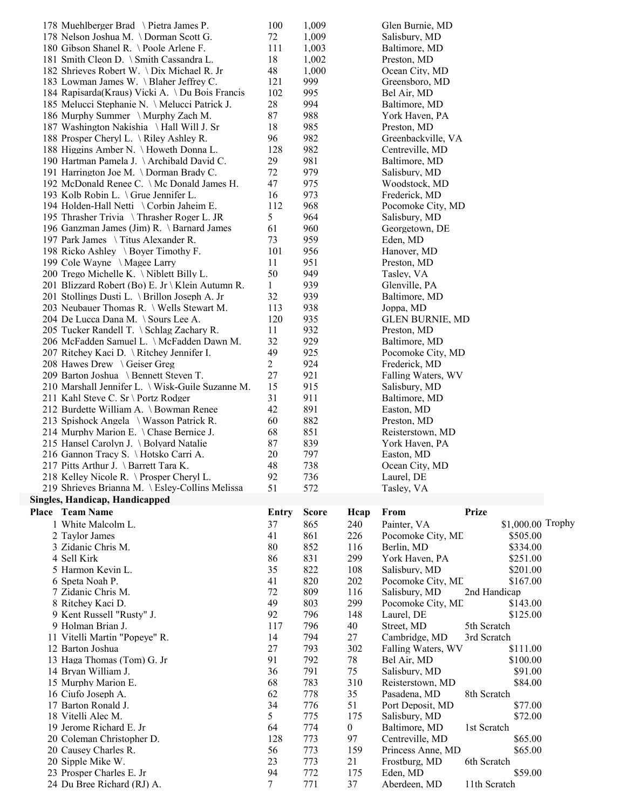| 178 Muehlberger Brad \ Pietra James P.                                                          | 100          | 1,009        |           | Glen Burnie, MD                   |                         |  |
|-------------------------------------------------------------------------------------------------|--------------|--------------|-----------|-----------------------------------|-------------------------|--|
| 178 Nelson Joshua M. \Dorman Scott G.                                                           | 72           | 1,009        |           | Salisbury, MD                     |                         |  |
| 180 Gibson Shanel R. \Poole Arlene F.                                                           | 111          | 1,003        |           | Baltimore, MD                     |                         |  |
| 181 Smith Cleon D. \ Smith Cassandra L.                                                         | 18           | 1,002        |           | Preston, MD                       |                         |  |
| 182 Shrieves Robert W. \Dix Michael R. Jr                                                       | 48           | 1,000        |           | Ocean City, MD                    |                         |  |
| 183 Lowman James W. \Blaher Jeffrey C.                                                          | 121          | 999          |           | Greensboro, MD                    |                         |  |
| 184 Rapisarda(Kraus) Vicki A. \Du Bois Francis<br>185 Melucci Stephanie N. \ Melucci Patrick J. | 102<br>28    | 995<br>994   |           | Bel Air, MD<br>Baltimore, MD      |                         |  |
| 186 Murphy Summer \Murphy Zach M.                                                               | 87           | 988          |           | York Haven, PA                    |                         |  |
| 187 Washington Nakishia \Hall Will J. Sr                                                        | 18           | 985          |           | Preston, MD                       |                         |  |
| 188 Prosper Cheryl L. \ Riley Ashley R.                                                         | 96           | 982          |           | Greenbackville, VA                |                         |  |
| 188 Higgins Amber N. \Howeth Donna L.                                                           | 128          | 982          |           | Centreville, MD                   |                         |  |
| 190 Hartman Pamela J. \ Archibald David C.                                                      | 29           | 981          |           | Baltimore, MD                     |                         |  |
| 191 Harrington Joe M. \Dorman Brady C.                                                          | 72           | 979          |           | Salisbury, MD                     |                         |  |
| 192 McDonald Renee C. \ Mc Donald James H.                                                      | 47           | 975          |           | Woodstock, MD                     |                         |  |
| 193 Kolb Robin L. \ Grue Jennifer L.                                                            | 16           | 973          |           | Frederick, MD                     |                         |  |
| 194 Holden-Hall Netti \ Corbin Jaheim E.                                                        | 112          | 968          |           | Pocomoke City, MD                 |                         |  |
| 195 Thrasher Trivia \ Thrasher Roger L. JR                                                      | 5            | 964          |           | Salisbury, MD                     |                         |  |
| 196 Ganzman James (Jim) R. \ Barnard James                                                      | 61           | 960          |           | Georgetown, DE                    |                         |  |
| 197 Park James \ Titus Alexander R.                                                             | 73           | 959          |           | Eden, MD                          |                         |  |
| 198 Ricko Ashley \ Boyer Timothy F.                                                             | 101<br>11    | 956<br>951   |           | Hanover, MD                       |                         |  |
| 199 Cole Wayne \ Magee Larry<br>200 Trego Michelle K. \ Niblett Billy L.                        | 50           | 949          |           | Preston, MD<br>Tasley, VA         |                         |  |
| 201 Blizzard Robert (Bo) E. Jr \ Klein Autumn R.                                                | 1            | 939          |           | Glenville, PA                     |                         |  |
| 201 Stollings Dusti L. \ Brillon Joseph A. Jr                                                   | 32           | 939          |           | Baltimore, MD                     |                         |  |
| 203 Neubauer Thomas R. \ Wells Stewart M.                                                       | 113          | 938          |           | Joppa, MD                         |                         |  |
| 204 De Lucca Dana M. \ Sours Lee A.                                                             | 120          | 935          |           | <b>GLEN BURNIE, MD</b>            |                         |  |
| 205 Tucker Randell T. \ Schlag Zachary R.                                                       | 11           | 932          |           | Preston, MD                       |                         |  |
| 206 McFadden Samuel L. \ McFadden Dawn M.                                                       | 32           | 929          |           | Baltimore, MD                     |                         |  |
| 207 Ritchey Kaci D. \Ritchey Jennifer I.                                                        | 49           | 925          |           | Pocomoke City, MD                 |                         |  |
| 208 Hawes Drew \ Geiser Greg                                                                    | 2            | 924          |           | Frederick, MD                     |                         |  |
| 209 Barton Joshua \ Bennett Steven T.                                                           | 27           | 921          |           | Falling Waters, WV                |                         |  |
| 210 Marshall Jennifer L. \ Wisk-Guile Suzanne M.                                                | 15           | 915          |           | Salisbury, MD                     |                         |  |
| 211 Kahl Steve C. Sr \ Portz Rodger                                                             | 31           | 911          |           | Baltimore, MD                     |                         |  |
| 212 Burdette William A. \ Bowman Renee                                                          | 42           | 891          |           | Easton, MD                        |                         |  |
| 213 Spishock Angela \ Wasson Patrick R.                                                         | 60           | 882          |           | Preston, MD                       |                         |  |
|                                                                                                 |              |              |           |                                   |                         |  |
| 214 Murphy Marion E. \Chase Bernice J.                                                          | 68           | 851          |           | Reisterstown, MD                  |                         |  |
| 215 Hansel Carolyn J. \ Bolyard Natalie                                                         | 87           | 839          |           | York Haven, PA                    |                         |  |
| 216 Gannon Tracy S. \Hotsko Carri A.                                                            | 20           | 797          |           | Easton, MD                        |                         |  |
| 217 Pitts Arthur J. \ Barrett Tara K.                                                           | 48           | 738          |           | Ocean City, MD                    |                         |  |
| 218 Kelley Nicole R. \Prosper Cheryl L.<br>219 Shrieves Brianna M. \ Esley-Collins Melissa      | 92<br>51     | 736<br>572   |           | Laurel, DE<br>Tasley, VA          |                         |  |
| Singles, Handicap, Handicapped                                                                  |              |              |           |                                   |                         |  |
| Place Team Name                                                                                 | Entry        | <b>Score</b> | Hcap      | From                              | <b>Prize</b>            |  |
| 1 White Malcolm L.                                                                              | 37           | 865          | 240       | Painter, VA                       | \$1,000.00 Trophy       |  |
| 2 Taylor James                                                                                  | 41           | 861          | 226       | Pocomoke City, ML                 | \$505.00                |  |
| 3 Zidanic Chris M.                                                                              | 80           | 852          | 116       | Berlin, MD                        | \$334.00                |  |
| 4 Sell Kirk                                                                                     | 86           | 831          | 299       | York Haven, PA                    | \$251.00                |  |
| 5 Harmon Kevin L.                                                                               | 35           | 822          | 108       | Salisbury, MD                     | \$201.00                |  |
| 6 Speta Noah P.                                                                                 | 41           | 820          | 202       | Pocomoke City, ML                 | \$167.00                |  |
| 7 Zidanic Chris M.                                                                              | 72           | 809          | 116       | Salisbury, MD                     | 2nd Handicap            |  |
| 8 Ritchey Kaci D.                                                                               | 49           | 803          | 299       | Pocomoke City, ME                 | \$143.00                |  |
| 9 Kent Russell "Rusty" J.                                                                       | 92           | 796          | 148       | Laurel, DE                        | \$125.00                |  |
| 9 Holman Brian J.                                                                               | 117          | 796          | 40        | Street, MD                        | 5th Scratch             |  |
| 11 Vitelli Martin "Popeye" R.                                                                   | 14           | 794          | 27        | Cambridge, MD                     | 3rd Scratch             |  |
| 12 Barton Joshua                                                                                | 27           | 793          | 302       | Falling Waters, WV                | \$111.00                |  |
| 13 Haga Thomas (Tom) G. Jr                                                                      | 91           | 792          | 78        | Bel Air, MD                       | \$100.00                |  |
| 14 Bryan William J.<br>15 Murphy Marion E.                                                      | 36<br>68     | 791<br>783   | 75<br>310 | Salisbury, MD<br>Reisterstown, MD | \$91.00<br>\$84.00      |  |
| 16 Ciufo Joseph A.                                                                              | 62           | 778          | 35        | Pasadena, MD                      | 8th Scratch             |  |
| 17 Barton Ronald J.                                                                             | 34           | 776          | 51        | Port Deposit, MD                  | \$77.00                 |  |
| 18 Vitelli Alec M.                                                                              | 5            | 775          | 175       | Salisbury, MD                     | \$72.00                 |  |
| 19 Jerome Richard E. Jr                                                                         | 64           | 774          | 0         | Baltimore, MD                     | 1st Scratch             |  |
| 20 Coleman Christopher D.                                                                       | 128          | 773          | 97        | Centreville, MD                   | \$65.00                 |  |
| 20 Causey Charles R.                                                                            | 56           | 773          | 159       | Princess Anne, MD                 | \$65.00                 |  |
| 20 Sipple Mike W.                                                                               | 23           | 773          | 21        | Frostburg, MD                     | 6th Scratch             |  |
| 23 Prosper Charles E. Jr<br>24 Du Bree Richard (RJ) A.                                          | 94<br>$\tau$ | 772<br>771   | 175<br>37 | Eden, MD<br>Aberdeen, MD          | \$59.00<br>11th Scratch |  |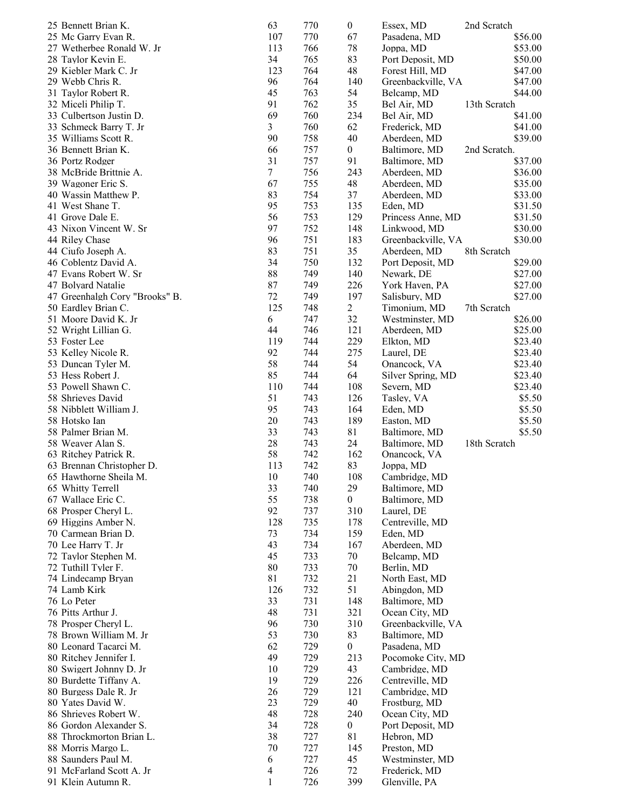| 25 Bennett Brian K.            | 63  | 770 | $\boldsymbol{0}$ | Essex, MD          | 2nd Scratch  |
|--------------------------------|-----|-----|------------------|--------------------|--------------|
| 25 Mc Garry Evan R.            | 107 | 770 | 67               | Pasadena, MD       | \$56.00      |
| 27 Wetherbee Ronald W. Jr      | 113 | 766 | 78               | Joppa, MD          | \$53.00      |
| 28 Taylor Kevin E.             | 34  | 765 | 83               | Port Deposit, MD   | \$50.00      |
| 29 Kiebler Mark C. Jr          | 123 | 764 | 48               | Forest Hill, MD    | \$47.00      |
| 29 Webb Chris R.               | 96  | 764 | 140              | Greenbackville, VA | \$47.00      |
| 31 Taylor Robert R.            | 45  | 763 | 54               | Belcamp, MD        | \$44.00      |
| 32 Miceli Philip T.            | 91  | 762 | 35               | Bel Air, MD        | 13th Scratch |
| 33 Culbertson Justin D.        | 69  | 760 | 234              | Bel Air, MD        | \$41.00      |
| 33 Schmeck Barry T. Jr         | 3   | 760 | 62               |                    |              |
|                                |     |     |                  | Frederick, MD      | \$41.00      |
| 35 Williams Scott R.           | 90  | 758 | 40               | Aberdeen, MD       | \$39.00      |
| 36 Bennett Brian K.            | 66  | 757 | $\boldsymbol{0}$ | Baltimore, MD      | 2nd Scratch. |
| 36 Portz Rodger                | 31  | 757 | 91               | Baltimore, MD      | \$37.00      |
| 38 McBride Brittnie A.         | 7   | 756 | 243              | Aberdeen, MD       | \$36.00      |
| 39 Wagoner Eric S.             | 67  | 755 | 48               | Aberdeen, MD       | \$35.00      |
| 40 Wassin Matthew P.           | 83  | 754 | 37               | Aberdeen, MD       | \$33.00      |
| 41 West Shane T.               | 95  | 753 | 135              | Eden, MD           | \$31.50      |
| 41 Grove Dale E.               | 56  | 753 | 129              | Princess Anne, MD  | \$31.50      |
| 43 Nixon Vincent W. Sr         | 97  | 752 | 148              | Linkwood, MD       | \$30.00      |
| 44 Riley Chase                 | 96  | 751 | 183              | Greenbackville, VA | \$30.00      |
| 44 Ciufo Joseph A.             | 83  | 751 | 35               | Aberdeen, MD       | 8th Scratch  |
| 46 Coblentz David A.           | 34  | 750 | 132              | Port Deposit, MD   | \$29.00      |
| 47 Evans Robert W. Sr          | 88  | 749 | 140              | Newark, DE         | \$27.00      |
| 47 Bolyard Natalie             | 87  | 749 | 226              | York Haven, PA     | \$27.00      |
| 47 Greenhalgh Cory "Brooks" B. | 72  | 749 | 197              | Salisbury, MD      | \$27.00      |
|                                | 125 |     |                  |                    |              |
| 50 Eardley Brian C.            |     | 748 | 2                | Timonium, MD       | 7th Scratch  |
| 51 Moore David K. Jr           | 6   | 747 | 32               | Westminster, MD    | \$26.00      |
| 52 Wright Lillian G.           | 44  | 746 | 121              | Aberdeen, MD       | \$25.00      |
| 53 Foster Lee                  | 119 | 744 | 229              | Elkton, MD         | \$23.40      |
| 53 Kelley Nicole R.            | 92  | 744 | 275              | Laurel, DE         | \$23.40      |
| 53 Duncan Tyler M.             | 58  | 744 | 54               | Onancock, VA       | \$23.40      |
| 53 Hess Robert J.              | 85  | 744 | 64               | Silver Spring, MD  | \$23.40      |
| 53 Powell Shawn C.             | 110 | 744 | 108              | Severn, MD         | \$23.40      |
| 58 Shrieves David              | 51  | 743 | 126              | Tasley, VA         | \$5.50       |
| 58 Nibblett William J.         | 95  | 743 | 164              | Eden, MD           | \$5.50       |
| 58 Hotsko Ian                  | 20  | 743 | 189              | Easton, MD         | \$5.50       |
| 58 Palmer Brian M.             | 33  | 743 | 81               | Baltimore, MD      | \$5.50       |
| 58 Weaver Alan S.              | 28  | 743 | 24               | Baltimore, MD      | 18th Scratch |
| 63 Ritchey Patrick R.          | 58  | 742 | 162              | Onancock, VA       |              |
| 63 Brennan Christopher D.      | 113 | 742 | 83               | Joppa, MD          |              |
|                                | 10  | 740 | 108              |                    |              |
| 65 Hawthorne Sheila M.         |     |     |                  | Cambridge, MD      |              |
| 65 Whitty Terrell              | 33  | 740 | 29               | Baltimore, MD      |              |
| 67 Wallace Eric C.             | 55  | 738 | $\boldsymbol{0}$ | Baltimore, MD      |              |
| 68 Prosper Cheryl L.           | 92  | 737 | 310              | Laurel, DE         |              |
| 69 Higgins Amber N.            | 128 | 735 | 178              | Centreville, MD    |              |
| 70 Carmean Brian D.            | 73  | 734 | 159              | Eden, MD           |              |
| 70 Lee Harry T. Jr             | 43  | 734 | 167              | Aberdeen, MD       |              |
| 72 Taylor Stephen M.           | 45  | 733 | 70               | Belcamp, MD        |              |
| 72 Tuthill Tyler F.            | 80  | 733 | $70\,$           | Berlin, MD         |              |
| 74 Lindecamp Bryan             | 81  | 732 | 21               | North East, MD     |              |
| 74 Lamb Kirk                   | 126 | 732 | 51               | Abingdon, MD       |              |
| 76 Lo Peter                    | 33  | 731 | 148              | Baltimore, MD      |              |
| 76 Pitts Arthur J.             | 48  | 731 | 321              | Ocean City, MD     |              |
| 78 Prosper Cheryl L.           | 96  | 730 | 310              | Greenbackville, VA |              |
| 78 Brown William M. Jr         | 53  | 730 | 83               | Baltimore, MD      |              |
| 80 Leonard Tacarci M.          | 62  | 729 | $\boldsymbol{0}$ |                    |              |
|                                |     |     |                  | Pasadena, MD       |              |
| 80 Ritchey Jennifer I.         | 49  | 729 | 213              | Pocomoke City, MD  |              |
| 80 Swigert Johnny D. Jr        | 10  | 729 | 43               | Cambridge, MD      |              |
| 80 Burdette Tiffany A.         | 19  | 729 | 226              | Centreville, MD    |              |
| 80 Burgess Dale R. Jr          | 26  | 729 | 121              | Cambridge, MD      |              |
| 80 Yates David W.              | 23  | 729 | 40               | Frostburg, MD      |              |
| 86 Shrieves Robert W.          | 48  | 728 | 240              | Ocean City, MD     |              |
| 86 Gordon Alexander S.         | 34  | 728 | $\boldsymbol{0}$ | Port Deposit, MD   |              |
| 88 Throckmorton Brian L.       | 38  | 727 | 81               | Hebron, MD         |              |
| 88 Morris Margo L.             | 70  | 727 | 145              | Preston, MD        |              |
| 88 Saunders Paul M.            | 6   | 727 | 45               | Westminster, MD    |              |
| 91 McFarland Scott A. Jr       | 4   | 726 | 72               | Frederick, MD      |              |
|                                |     |     |                  |                    |              |
| 91 Klein Autumn R.             | 1   | 726 | 399              | Glenville, PA      |              |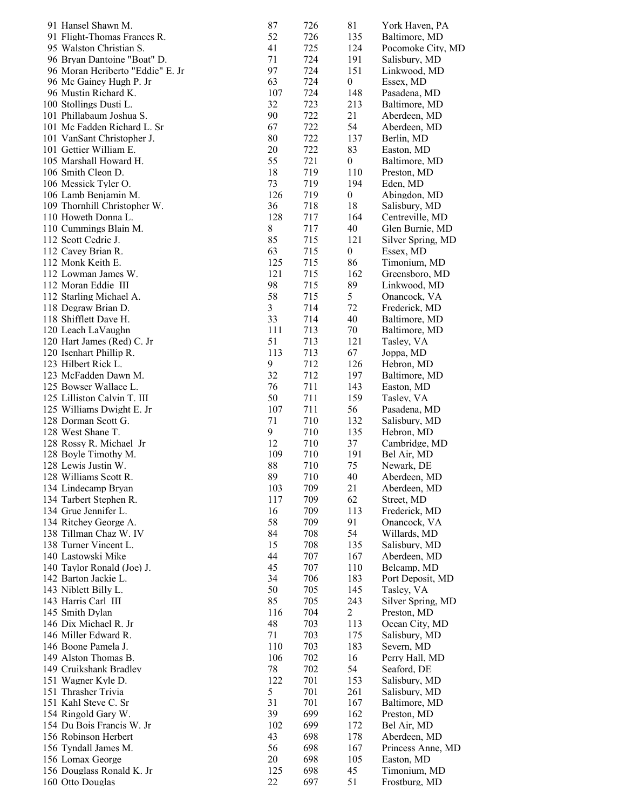| 91 Hansel Shawn M.                                      | 87         | 726        | 81               | York Haven, PA                 |
|---------------------------------------------------------|------------|------------|------------------|--------------------------------|
| 91 Flight-Thomas Frances R.                             | 52         | 726        | 135              | Baltimore, MD                  |
| 95 Walston Christian S.                                 | 41         | 725        | 124              | Pocomoke City, MD              |
| 96 Bryan Dantoine "Boat" D.                             | 71         | 724        | 191              | Salisbury, MD                  |
| 96 Moran Heriberto "Eddie" E. Jr                        | 97         | 724        | 151              | Linkwood, MD                   |
| 96 Mc Gainey Hugh P. Jr                                 | 63         | 724        | $\boldsymbol{0}$ | Essex, MD                      |
| 96 Mustin Richard K.                                    | 107        | 724        | 148              | Pasadena, MD                   |
| 100 Stollings Dusti L.                                  | 32<br>90   | 723        | 213              | Baltimore, MD                  |
| 101 Phillabaum Joshua S.<br>101 Mc Fadden Richard L. Sr | 67         | 722<br>722 | 21<br>54         | Aberdeen, MD<br>Aberdeen, MD   |
| 101 VanSant Christopher J.                              | 80         | 722        | 137              | Berlin, MD                     |
| 101 Gettier William E.                                  | 20         | 722        | 83               | Easton, MD                     |
| 105 Marshall Howard H.                                  | 55         | 721        | $\overline{0}$   | Baltimore, MD                  |
| 106 Smith Cleon D.                                      | 18         | 719        | 110              | Preston, MD                    |
| 106 Messick Tyler O.                                    | 73         | 719        | 194              | Eden, MD                       |
| 106 Lamb Benjamin M.                                    | 126        | 719        | $\boldsymbol{0}$ | Abingdon, MD                   |
| 109 Thornhill Christopher W.                            | 36         | 718        | 18               | Salisbury, MD                  |
| 110 Howeth Donna L.                                     | 128        | 717        | 164              | Centreville, MD                |
| 110 Cummings Blain M.                                   | $\,$ $\,$  | 717        | 40               | Glen Burnie, MD                |
| 112 Scott Cedric J.                                     | 85         | 715        | 121              | Silver Spring, MD              |
| 112 Cavey Brian R.                                      | 63         | 715        | $\boldsymbol{0}$ | Essex, MD                      |
| 112 Monk Keith E.                                       | 125        | 715        | 86               | Timonium, MD                   |
| 112 Lowman James W.                                     | 121        | 715        | 162              | Greensboro, MD                 |
| 112 Moran Eddie III                                     | 98         | 715        | 89               | Linkwood, MD                   |
| 112 Starling Michael A.                                 | 58         | 715        | 5                | Onancock, VA                   |
| 118 Degraw Brian D.<br>118 Shifflett Dave H.            | 3<br>33    | 714<br>714 | 72<br>40         | Frederick, MD<br>Baltimore, MD |
| 120 Leach LaVaughn                                      | 111        | 713        | 70               | Baltimore, MD                  |
| 120 Hart James (Red) C. Jr                              | 51         | 713        | 121              | Tasley, VA                     |
| 120 Isenhart Phillip R.                                 | 113        | 713        | 67               | Joppa, MD                      |
| 123 Hilbert Rick L.                                     | 9          | 712        | 126              | Hebron, MD                     |
| 123 McFadden Dawn M.                                    | 32         | 712        | 197              | Baltimore, MD                  |
| 125 Bowser Wallace L.                                   | 76         | 711        | 143              | Easton, MD                     |
| 125 Lilliston Calvin T. III                             | 50         | 711        | 159              | Tasley, VA                     |
| 125 Williams Dwight E. Jr                               | 107        | 711        | 56               | Pasadena, MD                   |
| 128 Dorman Scott G.                                     | 71         | 710        | 132              | Salisbury, MD                  |
| 128 West Shane T.                                       | 9          | 710        | 135              | Hebron, MD                     |
| 128 Rossy R. Michael Jr                                 | 12         | 710        | 37               | Cambridge, MD                  |
| 128 Boyle Timothy M.                                    | 109        | 710        | 191              | Bel Air, MD                    |
| 128 Lewis Justin W.                                     | 88         | 710        | 75               | Newark, DE                     |
| 128 Williams Scott R                                    | 89         | 710        | 40               | Aberdeen, MD                   |
| 134 Lindecamp Bryan<br>134 Tarbert Stephen R.           | 103<br>117 | 709<br>709 | 21<br>62         | Aberdeen, MD<br>Street, MD     |
| 134 Grue Jennifer L.                                    | 16         | 709        | 113              | Frederick, MD                  |
| 134 Ritchey George A.                                   | 58         | 709        | 91               | Onancock, VA                   |
| 138 Tillman Chaz W. IV                                  | 84         | 708        | 54               | Willards, MD                   |
| 138 Turner Vincent L.                                   | 15         | 708        | 135              | Salisbury, MD                  |
| 140 Lastowski Mike                                      | 44         | 707        | 167              | Aberdeen, MD                   |
| 140 Taylor Ronald (Joe) J.                              | 45         | 707        | 110              | Belcamp, MD                    |
| 142 Barton Jackie L.                                    | 34         | 706        | 183              | Port Deposit, MD               |
| 143 Niblett Billy L.                                    | 50         | 705        | 145              | Tasley, VA                     |
| 143 Harris Carl III                                     | 85         | 705        | 243              | Silver Spring, MD              |
| 145 Smith Dylan                                         | 116        | 704        | $\overline{c}$   | Preston, MD                    |
| 146 Dix Michael R. Jr                                   | 48         | 703        | 113              | Ocean City, MD                 |
| 146 Miller Edward R.                                    | 71         | 703        | 175              | Salisbury, MD                  |
| 146 Boone Pamela J.                                     | 110        | 703        | 183              | Severn, MD                     |
| 149 Alston Thomas B.                                    | 106        | 702        | 16               | Perry Hall, MD                 |
| 149 Cruikshank Bradley                                  | 78         | 702        | 54               | Seaford, DE                    |
| 151 Wagner Kyle D.<br>151 Thrasher Trivia               | 122<br>5   | 701<br>701 | 153<br>261       | Salisbury, MD<br>Salisbury, MD |
| 151 Kahl Steve C. Sr                                    | 31         | 701        | 167              | Baltimore, MD                  |
| 154 Ringold Gary W.                                     | 39         | 699        | 162              | Preston, MD                    |
| 154 Du Bois Francis W. Jr                               | 102        | 699        | 172              | Bel Air, MD                    |
| 156 Robinson Herbert                                    | 43         | 698        | 178              | Aberdeen, MD                   |
| 156 Tyndall James M.                                    | 56         | 698        | 167              | Princess Anne, MD              |
| 156 Lomax George                                        | 20         | 698        | 105              | Easton, MD                     |
| 156 Douglass Ronald K. Jr                               | 125        | 698        | 45               | Timonium, MD                   |
| 160 Otto Douglas                                        | 22         | 697        | 51               | Frostburg, MD                  |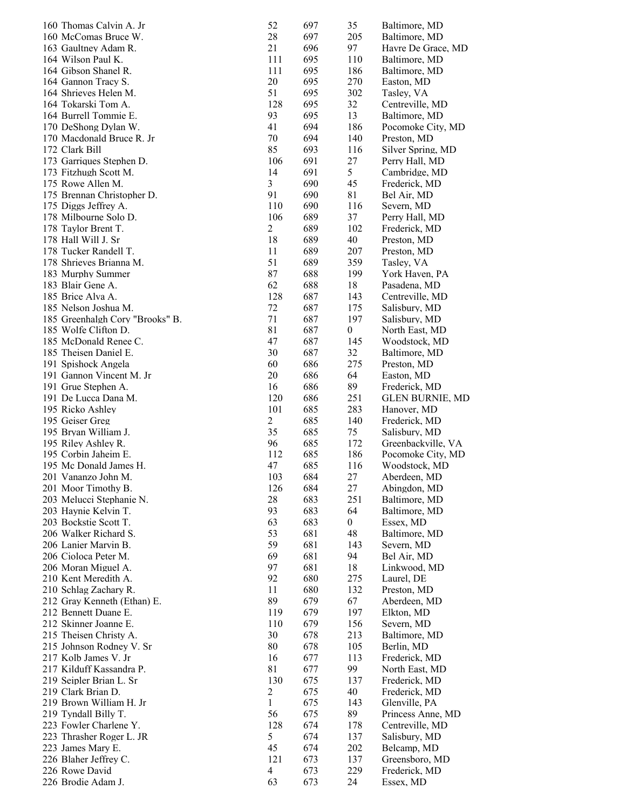| 160 Thomas Calvin A. Jr         | 52             | 697 | 35               | Baltimore, MD          |
|---------------------------------|----------------|-----|------------------|------------------------|
| 160 McComas Bruce W.            | 28             | 697 | 205              | Baltimore, MD          |
| 163 Gaultney Adam R.            | 21             | 696 | 97               | Havre De Grace, MD     |
| 164 Wilson Paul K.              | 111            | 695 | 110              | Baltimore, MD          |
| 164 Gibson Shanel R.            | 111            | 695 | 186              | Baltimore, MD          |
| 164 Gannon Tracy S.             | 20             | 695 | 270              | Easton, MD             |
| 164 Shrieves Helen M.           | 51             | 695 | 302              | Tasley, VA             |
| 164 Tokarski Tom A.             | 128            | 695 | 32               | Centreville, MD        |
| 164 Burrell Tommie E.           | 93             | 695 | 13               | Baltimore, MD          |
| 170 DeShong Dylan W.            | 41             | 694 | 186              | Pocomoke City, MD      |
| 170 Macdonald Bruce R. Jr       | 70             | 694 | 140              | Preston, MD            |
| 172 Clark Bill                  | 85             | 693 | 116              | Silver Spring, MD      |
| 173 Garriques Stephen D.        | 106            | 691 | 27               | Perry Hall, MD         |
| 173 Fitzhugh Scott M.           | 14             | 691 | 5                | Cambridge, MD          |
| 175 Rowe Allen M.               | 3              | 690 | 45               | Frederick, MD          |
| 175 Brennan Christopher D.      | 91             | 690 | 81               | Bel Air, MD            |
| 175 Diggs Jeffrey A.            | 110            | 690 | 116              | Severn, MD             |
| 178 Milbourne Solo D.           | 106            | 689 | 37               | Perry Hall, MD         |
| 178 Taylor Brent T.             | $\overline{2}$ | 689 | 102              | Frederick, MD          |
| 178 Hall Will J. Sr             | 18             | 689 | 40               | Preston, MD            |
| 178 Tucker Randell T.           | 11             | 689 | 207              | Preston, MD            |
| 178 Shrieves Brianna M.         | 51             | 689 | 359              | Tasley, VA             |
| 183 Murphy Summer               | 87             | 688 | 199              | York Haven, PA         |
| 183 Blair Gene A.               | 62             | 688 | 18               | Pasadena, MD           |
| 185 Brice Alva A.               | 128            | 687 | 143              | Centreville, MD        |
| 185 Nelson Joshua M.            | 72             | 687 | 175              | Salisbury, MD          |
| 185 Greenhalgh Cory "Brooks" B. | 71             | 687 | 197              | Salisbury, MD          |
| 185 Wolfe Clifton D.            | 81             | 687 | $\boldsymbol{0}$ | North East, MD         |
| 185 McDonald Renee C.           | 47             | 687 | 145              | Woodstock, MD          |
| 185 Theisen Daniel E.           | 30             | 687 | 32               | Baltimore, MD          |
| 191 Spishock Angela             | 60             | 686 | 275              | Preston, MD            |
| 191 Gannon Vincent M. Jr        | 20             | 686 | 64               | Easton, MD             |
| 191 Grue Stephen A.             | 16             | 686 | 89               | Frederick, MD          |
| 191 De Lucca Dana M.            | 120            | 686 | 251              | <b>GLEN BURNIE, MD</b> |
| 195 Ricko Ashley                | 101            | 685 | 283              | Hanover, MD            |
| 195 Geiser Greg                 | $\overline{c}$ | 685 | 140              | Frederick, MD          |
| 195 Bryan William J.            | 35             | 685 | 75               | Salisbury, MD          |
| 195 Riley Ashley R.             | 96             | 685 | 172              | Greenbackville, VA     |
| 195 Corbin Jaheim E.            | 112            | 685 | 186              | Pocomoke City, MD      |
| 195 Mc Donald James H.          | 47             | 685 | 116              | Woodstock, MD          |
| 201 Vananzo John M.             | 103            | 684 | 27               | Aberdeen, MD           |
| 201 Moor Timothy B.             | 126            | 684 | 27               | Abingdon, MD           |
| 203 Melucci Stephanie N.        | 28             | 683 | 251              | Baltimore, MD          |
| 203 Haynie Kelvin T.            | 93             | 683 | 64               | Baltimore, MD          |
| 203 Bockstie Scott T.           | 63             | 683 | $\boldsymbol{0}$ | Essex, MD              |
| 206 Walker Richard S.           | 53             | 681 | 48               | Baltimore, MD          |
| 206 Lanier Marvin B.            | 59             | 681 | 143              | Severn, MD             |
| 206 Cioloca Peter M.            | 69             | 681 | 94               | Bel Air, MD            |
| 206 Moran Miguel A.             | 97             | 681 | 18               | Linkwood, MD           |
| 210 Kent Meredith A.            | 92             | 680 | 275              | Laurel, DE             |
| 210 Schlag Zachary R.           | 11             | 680 | 132              | Preston, MD            |
| 212 Gray Kenneth (Ethan) E.     | 89             | 679 | 67               | Aberdeen, MD           |
| 212 Bennett Duane E.            | 119            | 679 | 197              | Elkton, MD             |
| 212 Skinner Joanne E.           | 110            | 679 | 156              | Severn, MD             |
| 215 Theisen Christy A.          | 30             | 678 | 213              | Baltimore, MD          |
| 215 Johnson Rodney V. Sr        | 80             | 678 | 105              | Berlin, MD             |
| 217 Kolb James V. Jr            | 16             | 677 | 113              | Frederick, MD          |
| 217 Kilduff Kassandra P.        | 81             | 677 | 99               | North East, MD         |
| 219 Seipler Brian L. Sr         | 130            | 675 | 137              | Frederick, MD          |
| 219 Clark Brian D.              | $\overline{c}$ | 675 | 40               | Frederick, MD          |
| 219 Brown William H. Jr         | 1              | 675 | 143              | Glenville, PA          |
| 219 Tyndall Billy T.            | 56             | 675 | 89               | Princess Anne, MD      |
| 223 Fowler Charlene Y.          | 128            | 674 | 178              | Centreville, MD        |
| 223 Thrasher Roger L. JR        | 5              | 674 | 137              | Salisbury, MD          |
| 223 James Mary E.               | 45             | 674 | 202              | Belcamp, MD            |
| 226 Blaher Jeffrey C.           | 121            | 673 | 137              | Greensboro, MD         |
| 226 Rowe David                  | $\overline{4}$ | 673 | 229              | Frederick, MD          |
| 226 Brodie Adam J.              | 63             | 673 | 24               | Essex, MD              |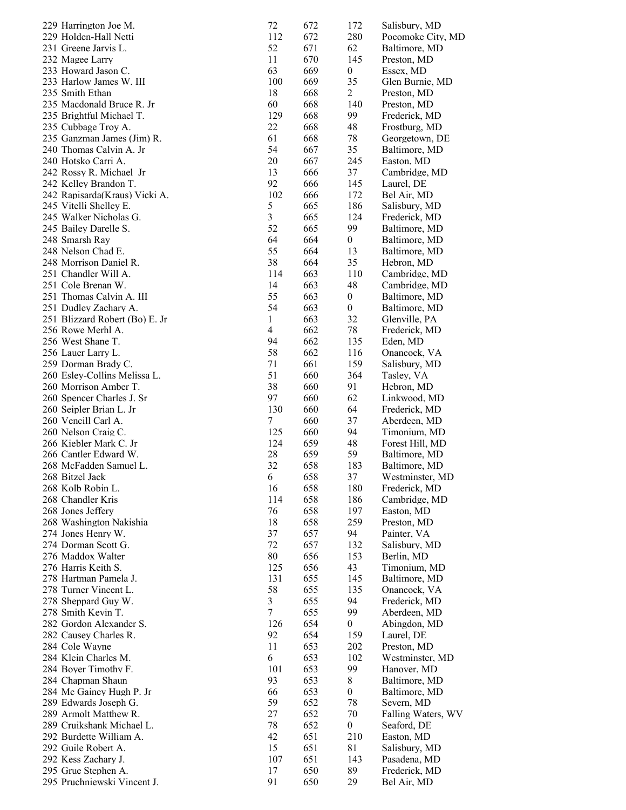| 229 Harrington Joe M.          | 72             | 672 | 172              | Salisbury, MD      |
|--------------------------------|----------------|-----|------------------|--------------------|
| 229 Holden-Hall Netti          | 112            | 672 | 280              | Pocomoke City, MD  |
| 231 Greene Jarvis L.           | 52             | 671 | 62               | Baltimore, MD      |
| 232 Magee Larry                | 11             | 670 | 145              | Preston, MD        |
| 233 Howard Jason C.            | 63             | 669 | $\boldsymbol{0}$ | Essex, MD          |
| 233 Harlow James W. III        | 100            | 669 | 35               | Glen Burnie, MD    |
| 235 Smith Ethan                | 18             | 668 | $\overline{2}$   | Preston, MD        |
| 235 Macdonald Bruce R. Jr      | 60             | 668 | 140              | Preston, MD        |
| 235 Brightful Michael T.       | 129            | 668 | 99               | Frederick, MD      |
| 235 Cubbage Troy A.            | 22             | 668 | 48               | Frostburg, MD      |
| 235 Ganzman James (Jim) R.     | 61             | 668 | 78               | Georgetown, DE     |
| 240 Thomas Calvin A. Jr        | 54             | 667 | 35               | Baltimore, MD      |
|                                |                |     |                  |                    |
| 240 Hotsko Carri A.            | 20             | 667 | 245              | Easton, MD         |
| 242 Rossy R. Michael Jr        | 13             | 666 | 37               | Cambridge, MD      |
| 242 Kelley Brandon T.          | 92             | 666 | 145              | Laurel, DE         |
| 242 Rapisarda(Kraus) Vicki A.  | 102            | 666 | 172              | Bel Air, MD        |
| 245 Vitelli Shelley E.         | 5              | 665 | 186              | Salisbury, MD      |
| 245 Walker Nicholas G.         | $\mathfrak{Z}$ | 665 | 124              | Frederick, MD      |
| 245 Bailey Darelle S.          | 52             | 665 | 99               | Baltimore, MD      |
| 248 Smarsh Ray                 | 64             | 664 | $\boldsymbol{0}$ | Baltimore, MD      |
| 248 Nelson Chad E.             | 55             | 664 | 13               | Baltimore, MD      |
| 248 Morrison Daniel R.         | 38             | 664 | 35               | Hebron, MD         |
| 251 Chandler Will A.           | 114            | 663 | 110              | Cambridge, MD      |
| 251 Cole Brenan W.             | 14             | 663 | 48               | Cambridge, MD      |
| 251 Thomas Calvin A. III       | 55             | 663 | $\boldsymbol{0}$ | Baltimore, MD      |
| 251 Dudley Zachary A.          | 54             | 663 | $\boldsymbol{0}$ | Baltimore, MD      |
| 251 Blizzard Robert (Bo) E. Jr | 1              | 663 | 32               | Glenville, PA      |
| 256 Rowe Merhl A.              | 4              | 662 | 78               | Frederick, MD      |
| 256 West Shane T.              | 94             | 662 | 135              | Eden, MD           |
| 256 Lauer Larry L.             | 58             | 662 | 116              | Onancock, VA       |
| 259 Dorman Brady C.            | 71             | 661 | 159              | Salisbury, MD      |
| 260 Esley-Collins Melissa L.   | 51             | 660 | 364              | Tasley, VA         |
| 260 Morrison Amber T.          | 38             | 660 | 91               | Hebron, MD         |
| 260 Spencer Charles J. Sr      | 97             | 660 | 62               | Linkwood, MD       |
| 260 Seipler Brian L. Jr        | 130            | 660 | 64               | Frederick, MD      |
| 260 Vencill Carl A.            | 7              | 660 | 37               | Aberdeen, MD       |
| 260 Nelson Craig C.            | 125            | 660 | 94               |                    |
| 266 Kiebler Mark C. Jr         | 124            | 659 | 48               | Timonium, MD       |
| 266 Cantler Edward W.          |                |     |                  | Forest Hill, MD    |
|                                | 28             | 659 | 59               | Baltimore, MD      |
| 268 McFadden Samuel L.         | 32             | 658 | 183              | Baltimore, MD      |
| 268 Bitzel Jack                | 6              | 658 | 37               | Westminster, MD    |
| 268 Kolb Robin L.              | 16             | 658 | 180              | Frederick, MD      |
| 268 Chandler Kris              | 114            | 658 | 186              | Cambridge, MD      |
| 268 Jones Jeffery              | 76             | 658 | 197              | Easton, MD         |
| 268 Washington Nakishia        | 18             | 658 | 259              | Preston, MD        |
| 274 Jones Henry W.             | 37             | 657 | 94               | Painter, VA        |
| 274 Dorman Scott G.            | 72             | 657 | 132              | Salisbury, MD      |
| 276 Maddox Walter              | 80             | 656 | 153              | Berlin, MD         |
| 276 Harris Keith S.            | 125            | 656 | 43               | Timonium, MD       |
| 278 Hartman Pamela J.          | 131            | 655 | 145              | Baltimore, MD      |
| 278 Turner Vincent L.          | 58             | 655 | 135              | Onancock, VA       |
| 278 Sheppard Guy W.            | 3              | 655 | 94               | Frederick, MD      |
| 278 Smith Kevin T.             | 7              | 655 | 99               | Aberdeen, MD       |
| 282 Gordon Alexander S.        | 126            | 654 | 0                | Abingdon, MD       |
| 282 Causey Charles R.          | 92             | 654 | 159              | Laurel, DE         |
| 284 Cole Wayne                 | 11             | 653 | 202              | Preston, MD        |
| 284 Klein Charles M.           | 6              | 653 | 102              | Westminster, MD    |
| 284 Boyer Timothy F.           | 101            | 653 | 99               | Hanover, MD        |
| 284 Chapman Shaun              | 93             | 653 | 8                | Baltimore, MD      |
| 284 Mc Gainey Hugh P. Jr       | 66             | 653 | 0                | Baltimore, MD      |
| 289 Edwards Joseph G.          | 59             | 652 |                  | Severn, MD         |
|                                |                |     | 78               |                    |
| 289 Armolt Matthew R.          | 27             | 652 | 70               | Falling Waters, WV |
| 289 Cruikshank Michael L.      | 78             | 652 | $\boldsymbol{0}$ | Seaford, DE        |
| 292 Burdette William A.        | 42             | 651 | 210              | Easton, MD         |
| 292 Guile Robert A.            | 15             | 651 | 81               | Salisbury, MD      |
| 292 Kess Zachary J.            | 107            | 651 | 143              | Pasadena, MD       |
| 295 Grue Stephen A.            | 17             | 650 | 89               | Frederick, MD      |
| 295 Pruchniewski Vincent J.    | 91             | 650 | 29               | Bel Air, MD        |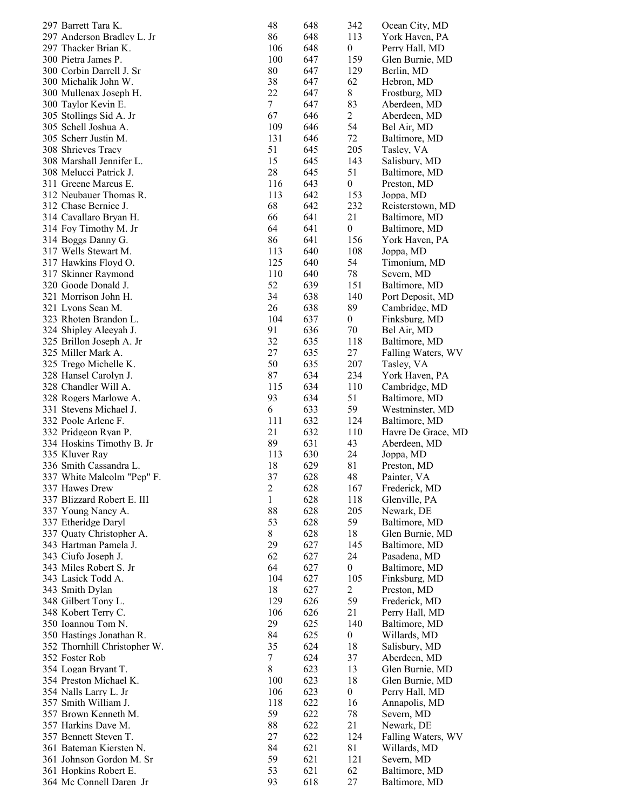| 297 Barrett Tara K.          | 48     | 648 | 342              | Ocean City, MD     |
|------------------------------|--------|-----|------------------|--------------------|
| 297 Anderson Bradley L. Jr   | 86     | 648 | 113              | York Haven, PA     |
| 297 Thacker Brian K.         | 106    | 648 | $\boldsymbol{0}$ | Perry Hall, MD     |
| 300 Pietra James P.          | 100    | 647 | 159              | Glen Burnie, MD    |
| 300 Corbin Darrell J. Sr     | 80     | 647 | 129              | Berlin, MD         |
| 300 Michalik John W.         | 38     | 647 | 62               | Hebron, MD         |
| 300 Mullenax Joseph H.       | 22     | 647 | 8                | Frostburg, MD      |
| 300 Taylor Kevin E.          | $\tau$ | 647 | 83               | Aberdeen, MD       |
| 305 Stollings Sid A. Jr      | 67     | 646 | $\overline{2}$   | Aberdeen, MD       |
| 305 Schell Joshua A.         | 109    | 646 | 54               | Bel Air, MD        |
| 305 Scherr Justin M.         | 131    | 646 | 72               | Baltimore, MD      |
| 308 Shrieves Tracy           | 51     | 645 | 205              | Tasley, VA         |
| 308 Marshall Jennifer L.     | 15     | 645 | 143              | Salisbury, MD      |
| 308 Melucci Patrick J.       | 28     | 645 | 51               | Baltimore, MD      |
| 311 Greene Marcus E.         | 116    | 643 | $\boldsymbol{0}$ | Preston, MD        |
| 312 Neubauer Thomas R.       | 113    | 642 | 153              | Joppa, MD          |
| 312 Chase Bernice J.         | 68     | 642 | 232              | Reisterstown, MD   |
| 314 Cavallaro Bryan H.       | 66     | 641 | 21               | Baltimore, MD      |
| 314 Foy Timothy M. Jr        | 64     | 641 | $\boldsymbol{0}$ | Baltimore, MD      |
| 314 Boggs Danny G.           | 86     | 641 | 156              | York Haven, PA     |
| 317 Wells Stewart M.         | 113    | 640 | 108              | Joppa, MD          |
| 317 Hawkins Floyd O.         | 125    | 640 | 54               | Timonium, MD       |
| 317 Skinner Raymond          | 110    | 640 | 78               | Severn, MD         |
| 320 Goode Donald J.          | 52     | 639 | 151              | Baltimore, MD      |
| 321 Morrison John H.         | 34     | 638 | 140              | Port Deposit, MD   |
| 321 Lyons Sean M.            | 26     | 638 | 89               | Cambridge, MD      |
| 323 Rhoten Brandon L.        | 104    | 637 | $\boldsymbol{0}$ | Finksburg, MD      |
| 324 Shipley Aleeyah J.       | 91     | 636 | 70               | Bel Air, MD        |
| 325 Brillon Joseph A. Jr     | 32     | 635 | 118              | Baltimore, MD      |
| 325 Miller Mark A.           | 27     | 635 | 27               | Falling Waters, WV |
| 325 Trego Michelle K.        | 50     | 635 | 207              | Tasley, VA         |
| 328 Hansel Carolyn J.        | 87     | 634 | 234              | York Haven, PA     |
| 328 Chandler Will A.         | 115    | 634 | 110              | Cambridge, MD      |
| 328 Rogers Marlowe A.        | 93     | 634 | 51               | Baltimore, MD      |
| 331 Stevens Michael J.       | 6      | 633 | 59               | Westminster, MD    |
| 332 Poole Arlene F.          | 111    | 632 | 124              | Baltimore, MD      |
| 332 Pridgeon Ryan P.         | 21     | 632 | 110              | Havre De Grace, MD |
| 334 Hoskins Timothy B. Jr    | 89     | 631 | 43               | Aberdeen, MD       |
| 335 Kluver Ray               | 113    | 630 | 24               | Joppa, MD          |
| 336 Smith Cassandra L.       | 18     | 629 | 81               | Preston, MD        |
| 337 White Malcolm "Pep" F.   | 37     | 628 | 48               | Painter, VA        |
| 337 Hawes Drew               | 2      | 628 | 167              | Frederick, MD      |
| 337 Blizzard Robert E. III   | 1      | 628 | 118              | Glenville, PA      |
| 337 Young Nancy A.           | 88     | 628 | 205              | Newark, DE         |
| 337 Etheridge Daryl          | 53     | 628 | 59               | Baltimore, MD      |
| 337 Quaty Christopher A.     | 8      | 628 | 18               | Glen Burnie, MD    |
| 343 Hartman Pamela J.        | 29     | 627 | 145              | Baltimore, MD      |
| 343 Ciufo Joseph J.          | 62     | 627 | 24               | Pasadena, MD       |
| 343 Miles Robert S. Jr       | 64     | 627 | $\boldsymbol{0}$ | Baltimore, MD      |
| 343 Lasick Todd A.           | 104    | 627 | 105              | Finksburg, MD      |
| 343 Smith Dylan              | 18     | 627 | $\overline{c}$   | Preston, MD        |
| 348 Gilbert Tony L.          | 129    | 626 | 59               | Frederick, MD      |
| 348 Kobert Terry C.          | 106    | 626 | 21               | Perry Hall, MD     |
| 350 Ioannou Tom N.           | 29     | 625 | 140              | Baltimore, MD      |
| 350 Hastings Jonathan R.     | 84     | 625 | $\boldsymbol{0}$ | Willards, MD       |
| 352 Thornhill Christopher W. | 35     | 624 | 18               | Salisbury, MD      |
| 352 Foster Rob               | $\tau$ | 624 | 37               | Aberdeen, MD       |
| 354 Logan Bryant T.          | $8\,$  | 623 | 13               | Glen Burnie, MD    |
| 354 Preston Michael K.       | 100    | 623 | 18               | Glen Burnie, MD    |
| 354 Nalls Larry L. Jr        | 106    | 623 | $\boldsymbol{0}$ | Perry Hall, MD     |
| 357 Smith William J.         | 118    | 622 | 16               | Annapolis, MD      |
| 357 Brown Kenneth M.         | 59     | 622 | 78               | Severn, MD         |
| 357 Harkins Dave M.          | 88     | 622 | 21               | Newark, DE         |
| 357 Bennett Steven T.        | 27     | 622 | 124              | Falling Waters, WV |
| 361 Bateman Kiersten N.      | 84     | 621 | 81               | Willards, MD       |
| 361 Johnson Gordon M. Sr     | 59     | 621 | 121              | Severn, MD         |
| 361 Hopkins Robert E.        | 53     | 621 | 62               | Baltimore, MD      |
| 364 Mc Connell Daren Jr      | 93     | 618 | 27               | Baltimore, MD      |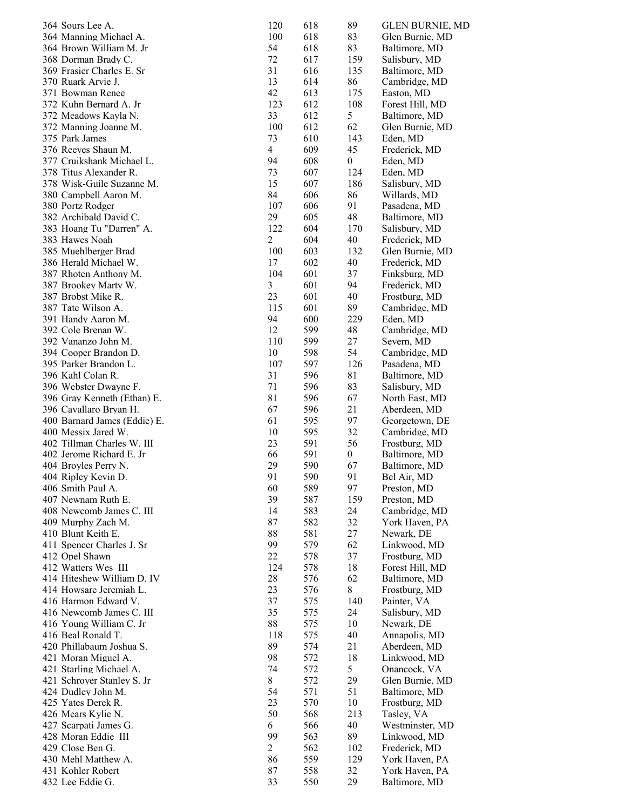| 364 Sours Lee A.                                 | 120            | 618        | 89               | <b>GLEN BURNIE, MD</b>           |
|--------------------------------------------------|----------------|------------|------------------|----------------------------------|
| 364 Manning Michael A.                           | 100            | 618        | 83               | Glen Burnie, MD                  |
| 364 Brown William M. Jr                          | 54             | 618        | 83               | Baltimore, MD                    |
| 368 Dorman Brady C.                              | 72             | 617        | 159              | Salisbury, MD                    |
| 369 Frasier Charles E. Sr                        | 31             | 616        | 135              | Baltimore, MD                    |
| 370 Ruark Arvie J.                               | 13             | 614        | 86               | Cambridge, MD                    |
| 371 Bowman Renee                                 | 42             | 613        | 175              | Easton, MD                       |
| 372 Kuhn Bernard A. Jr                           | 123            | 612        | 108              | Forest Hill, MD                  |
| 372 Meadows Kayla N.                             | 33             | 612        | 5                | Baltimore, MD                    |
| 372 Manning Joanne M.                            | 100            | 612        | 62               | Glen Burnie, MD                  |
| 375 Park James                                   | 73             | 610        | 143              | Eden, MD                         |
| 376 Reeves Shaun M.                              | $\overline{4}$ | 609        | 45               | Frederick, MD                    |
| 377 Cruikshank Michael L.                        | 94             | 608        | $\boldsymbol{0}$ | Eden, MD                         |
| 378 Titus Alexander R.                           | 73             | 607        | 124              | Eden, MD                         |
| 378 Wisk-Guile Suzanne M.                        | 15             | 607        | 186              | Salisbury, MD                    |
| 380 Campbell Aaron M.<br>380 Portz Rodger        | 84<br>107      | 606<br>606 | 86<br>91         | Willards, MD                     |
| 382 Archibald David C.                           | 29             | 605        | 48               | Pasadena, MD<br>Baltimore, MD    |
| 383 Hoang Tu "Darren" A.                         | 122            | 604        | 170              | Salisbury, MD                    |
| 383 Hawes Noah                                   | $\overline{c}$ | 604        | 40               | Frederick, MD                    |
| 385 Muehlberger Brad                             | 100            | 603        | 132              | Glen Burnie, MD                  |
| 386 Herald Michael W.                            | 17             | 602        | 40               | Frederick, MD                    |
| 387 Rhoten Anthony M.                            | 104            | 601        | 37               | Finksburg, MD                    |
| 387 Brookey Marty W.                             | 3              | 601        | 94               | Frederick, MD                    |
| 387 Brobst Mike R.                               | 23             | 601        | 40               | Frostburg, MD                    |
| 387 Tate Wilson A.                               | 115            | 601        | 89               | Cambridge, MD                    |
| 391 Handy Aaron M.                               | 94             | 600        | 229              | Eden, MD                         |
| 392 Cole Brenan W.                               | 12             | 599        | 48               | Cambridge, MD                    |
| 392 Vananzo John M.                              | 110            | 599        | 27               | Severn, MD                       |
| 394 Cooper Brandon D.                            | 10             | 598        | 54               | Cambridge, MD                    |
| 395 Parker Brandon L.                            | 107            | 597        | 126              | Pasadena, MD                     |
| 396 Kahl Colan R.                                | 31             | 596        | 81               | Baltimore, MD                    |
| 396 Webster Dwayne F.                            | 71             | 596        | 83               | Salisbury, MD                    |
| 396 Gray Kenneth (Ethan) E.                      | 81             | 596        | 67               | North East, MD                   |
| 396 Cavallaro Bryan H.                           | 67             | 596        | 21               | Aberdeen, MD                     |
| 400 Barnard James (Eddie) E.                     | 61             | 595        | 97               | Georgetown, DE                   |
| 400 Messix Jared W.                              | 10             | 595        | 32               | Cambridge, MD                    |
| 402 Tillman Charles W. III                       | 23             | 591        | 56               | Frostburg, MD                    |
| 402 Jerome Richard E. Jr                         | 66             | 591        | $\boldsymbol{0}$ | Baltimore, MD                    |
| 404 Broyles Perry N.                             | 29             | 590        | 67               | Baltimore, MD                    |
| 404 Ripley Kevin D.                              | 91             | 590        | 91               | Bel Air, MD                      |
| 406 Smith Paul A.                                | 60             | 589        | 97               | Preston, MD                      |
| 407 Newnam Ruth E.                               | 39             | 587        | 159              | Preston, MD                      |
| 408 Newcomb James C. III                         | 14             | 583        | 24               | Cambridge, MD                    |
| 409 Murphy Zach M.                               | 87             | 582        | 32               | York Haven, PA                   |
| 410 Blunt Keith E.                               | 88             | 581        | 27               | Newark, DE                       |
| 411 Spencer Charles J. Sr                        | 99             | 579        | 62               | Linkwood, MD                     |
| 412 Opel Shawn                                   | 22             | 578        | 37               | Frostburg, MD                    |
| 412 Watters Wes III                              | 124            | 578        | 18               | Forest Hill, MD                  |
| 414 Hiteshew William D. IV                       | 28             | 576        | 62               | Baltimore, MD                    |
| 414 Howsare Jeremiah L.                          | 23             | 576        | $\,8\,$          | Frostburg, MD                    |
| 416 Harmon Edward V.                             | 37             | 575        | 140              | Painter, VA                      |
| 416 Newcomb James C. III                         | 35             | 575        | 24               | Salisbury, MD                    |
| 416 Young William C. Jr                          | 88             | 575        | 10               | Newark, DE                       |
| 416 Beal Ronald T.                               | 118            | 575        | 40               | Annapolis, MD                    |
| 420 Phillabaum Joshua S.                         | 89             | 574        | 21               | Aberdeen, MD                     |
| 421 Moran Miguel A.                              | 98<br>74       | 572        | 18<br>5          | Linkwood, MD                     |
| 421 Starling Michael A.                          |                | 572        |                  | Onancock, VA                     |
| 421 Schroyer Stanley S. Jr<br>424 Dudley John M. | 8<br>54        | 572<br>571 | 29<br>51         | Glen Burnie, MD<br>Baltimore, MD |
| 425 Yates Derek R.                               | 23             | 570        | 10               | Frostburg, MD                    |
| 426 Mears Kylie N.                               | 50             | 568        | 213              |                                  |
| 427 Scarpati James G.                            | 6              | 566        | 40               | Tasley, VA<br>Westminster, MD    |
| 428 Moran Eddie III                              | 99             | 563        | 89               | Linkwood, MD                     |
| 429 Close Ben G.                                 | $\overline{c}$ | 562        | 102              | Frederick, MD                    |
| 430 Mehl Matthew A.                              | 86             | 559        | 129              | York Haven, PA                   |
| 431 Kohler Robert                                | 87             | 558        | 32               | York Haven, PA                   |
| 432 Lee Eddie G.                                 | 33             | 550        | 29               | Baltimore, MD                    |
|                                                  |                |            |                  |                                  |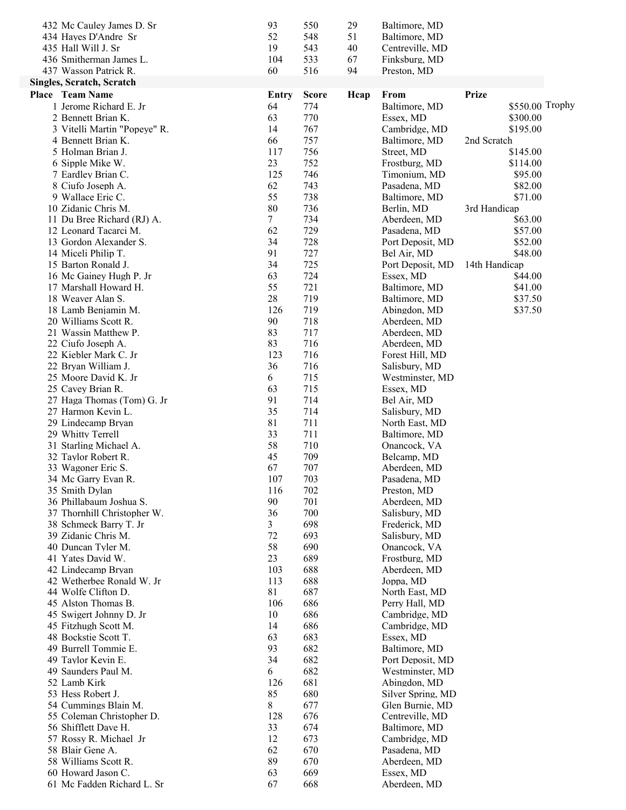| 432 Mc Cauley James D. Sr        | 93    | 550          | 29   | Baltimore, MD     |                 |  |
|----------------------------------|-------|--------------|------|-------------------|-----------------|--|
| 434 Hayes D'Andre Sr             | 52    | 548          | 51   | Baltimore, MD     |                 |  |
| 435 Hall Will J. Sr              | 19    | 543          | 40   | Centreville, MD   |                 |  |
| 436 Smitherman James L.          | 104   | 533          | 67   | Finksburg, MD     |                 |  |
| 437 Wasson Patrick R.            | 60    | 516          | 94   | Preston, MD       |                 |  |
| <b>Singles, Scratch, Scratch</b> |       |              |      |                   |                 |  |
| Place Team Name                  | Entry | <b>Score</b> | Hcap | From              | <b>Prize</b>    |  |
| 1 Jerome Richard E. Jr           | 64    | 774          |      | Baltimore, MD     | \$550.00 Trophy |  |
| 2 Bennett Brian K.               | 63    | 770          |      | Essex, MD         | \$300.00        |  |
| 3 Vitelli Martin "Popeye" R.     | 14    | 767          |      | Cambridge, MD     | \$195.00        |  |
| 4 Bennett Brian K.               | 66    | 757          |      | Baltimore, MD     | 2nd Scratch     |  |
| 5 Holman Brian J.                | 117   | 756          |      | Street, MD        | \$145.00        |  |
| 6 Sipple Mike W.                 | 23    | 752          |      | Frostburg, MD     | \$114.00        |  |
| 7 Eardley Brian C.               | 125   | 746          |      | Timonium, MD      | \$95.00         |  |
| 8 Ciufo Joseph A.                | 62    | 743          |      | Pasadena, MD      | \$82.00         |  |
| 9 Wallace Eric C.                | 55    | 738          |      | Baltimore, MD     | \$71.00         |  |
| 10 Zidanic Chris M.              | 80    | 736          |      | Berlin, MD        | 3rd Handicap    |  |
| 11 Du Bree Richard (RJ) A.       | 7     | 734          |      | Aberdeen, MD      | \$63.00         |  |
| 12 Leonard Tacarci M.            | 62    | 729          |      | Pasadena, MD      | \$57.00         |  |
| 13 Gordon Alexander S.           | 34    | 728          |      | Port Deposit, MD  | \$52.00         |  |
| 14 Miceli Philip T.              | 91    | 727          |      | Bel Air, MD       | \$48.00         |  |
| 15 Barton Ronald J.              | 34    | 725          |      | Port Deposit, MD  | 14th Handicap   |  |
| 16 Mc Gainey Hugh P. Jr          | 63    | 724          |      | Essex, MD         | \$44.00         |  |
| 17 Marshall Howard H.            | 55    | 721          |      | Baltimore, MD     | \$41.00         |  |
| 18 Weaver Alan S.                | 28    | 719          |      | Baltimore, MD     | \$37.50         |  |
| 18 Lamb Benjamin M.              | 126   | 719          |      | Abingdon, MD      | \$37.50         |  |
| 20 Williams Scott R.             | 90    | 718          |      | Aberdeen, MD      |                 |  |
| 21 Wassin Matthew P.             | 83    | 717          |      | Aberdeen, MD      |                 |  |
| 22 Ciufo Joseph A.               | 83    | 716          |      | Aberdeen, MD      |                 |  |
| 22 Kiebler Mark C. Jr            | 123   | 716          |      | Forest Hill, MD   |                 |  |
| 22 Bryan William J.              | 36    | 716          |      | Salisbury, MD     |                 |  |
| 25 Moore David K. Jr             | 6     | 715          |      | Westminster, MD   |                 |  |
| 25 Cavey Brian R.                | 63    | 715          |      | Essex, MD         |                 |  |
| 27 Haga Thomas (Tom) G. Jr       | 91    | 714          |      | Bel Air, MD       |                 |  |
| 27 Harmon Kevin L.               | 35    | 714          |      | Salisbury, MD     |                 |  |
| 29 Lindecamp Bryan               | 81    | 711          |      | North East, MD    |                 |  |
| 29 Whitty Terrell                | 33    | 711          |      | Baltimore, MD     |                 |  |
| 31 Starling Michael A.           | 58    | 710          |      | Onancock, VA      |                 |  |
| 32 Taylor Robert R.              | 45    | 709          |      | Belcamp, MD       |                 |  |
| 33 Wagoner Eric S.               | 67    | 707          |      | Aberdeen, MD      |                 |  |
| 34 Mc Garry Evan R.              | 107   | 703          |      | Pasadena, MD      |                 |  |
| 35 Smith Dylan                   | 116   | 702          |      | Preston, MD       |                 |  |
| 36 Phillabaum Joshua S.          | 90    | 701          |      | Aberdeen, MD      |                 |  |
| 37 Thornhill Christopher W.      | 36    | 700          |      | Salisbury, MD     |                 |  |
| 38 Schmeck Barry T. Jr           | 3     | 698          |      | Frederick, MD     |                 |  |
| 39 Zidanic Chris M.              | 72    | 693          |      | Salisbury, MD     |                 |  |
| 40 Duncan Tyler M.               | 58    | 690          |      | Onancock, VA      |                 |  |
| 41 Yates David W.                | 23    | 689          |      | Frostburg, MD     |                 |  |
| 42 Lindecamp Bryan               | 103   | 688          |      | Aberdeen, MD      |                 |  |
| 42 Wetherbee Ronald W. Jr        | 113   | 688          |      | Joppa, MD         |                 |  |
| 44 Wolfe Clifton D.              | 81    | 687          |      | North East, MD    |                 |  |
| 45 Alston Thomas B.              | 106   | 686          |      | Perry Hall, MD    |                 |  |
| 45 Swigert Johnny D. Jr          | 10    | 686          |      | Cambridge, MD     |                 |  |
| 45 Fitzhugh Scott M.             | 14    | 686          |      | Cambridge, MD     |                 |  |
| 48 Bockstie Scott T.             | 63    | 683          |      | Essex, MD         |                 |  |
| 49 Burrell Tommie E.             | 93    | 682          |      | Baltimore, MD     |                 |  |
| 49 Taylor Kevin E.               | 34    | 682          |      | Port Deposit, MD  |                 |  |
| 49 Saunders Paul M.              | 6     | 682          |      | Westminster, MD   |                 |  |
| 52 Lamb Kirk                     | 126   | 681          |      | Abingdon, MD      |                 |  |
| 53 Hess Robert J.                | 85    | 680          |      | Silver Spring, MD |                 |  |
| 54 Cummings Blain M.             | 8     | 677          |      | Glen Burnie, MD   |                 |  |
| 55 Coleman Christopher D.        | 128   | 676          |      | Centreville, MD   |                 |  |
| 56 Shifflett Dave H.             | 33    | 674          |      | Baltimore, MD     |                 |  |
| 57 Rossy R. Michael Jr           | 12    | 673          |      | Cambridge, MD     |                 |  |
| 58 Blair Gene A.                 | 62    | 670          |      | Pasadena, MD      |                 |  |
| 58 Williams Scott R.             | 89    | 670          |      | Aberdeen, MD      |                 |  |
| 60 Howard Jason C.               | 63    | 669          |      | Essex, MD         |                 |  |
| 61 Mc Fadden Richard L. Sr       | 67    | 668          |      | Aberdeen, MD      |                 |  |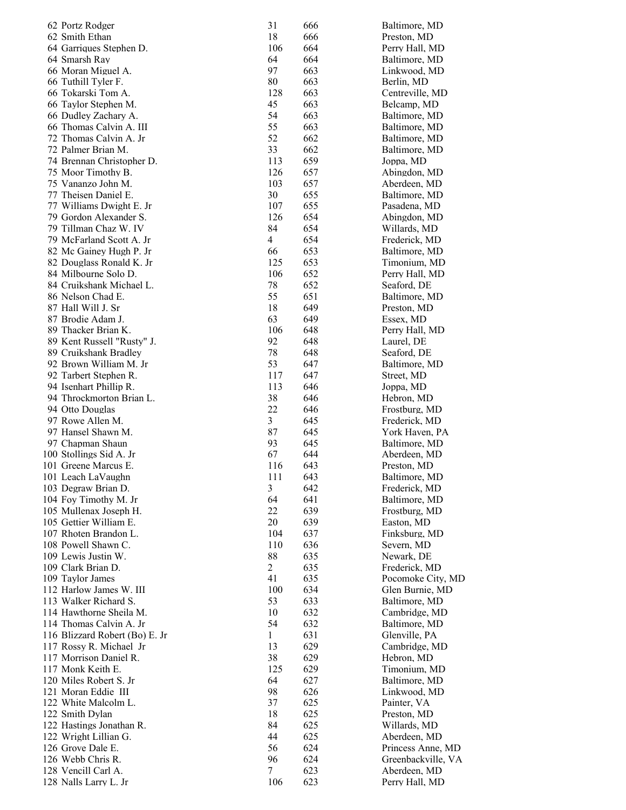| 62 Portz Rodger                | 31             | 666 | Baltimore, MD      |
|--------------------------------|----------------|-----|--------------------|
| 62 Smith Ethan                 | 18             | 666 | Preston, MD        |
| 64 Garriques Stephen D.        | 106            | 664 | Perry Hall, MD     |
| 64 Smarsh Ray                  | 64             | 664 | Baltimore, MD      |
| 66 Moran Miguel A.             | 97             | 663 | Linkwood, MD       |
| 66 Tuthill Tyler F.            | 80             | 663 | Berlin, MD         |
| 66 Tokarski Tom A.             | 128            | 663 | Centreville, MD    |
| 66 Taylor Stephen M.           | 45             | 663 | Belcamp, MD        |
| 66 Dudley Zachary A.           | 54             | 663 | Baltimore, MD      |
| 66 Thomas Calvin A. III        | 55             | 663 | Baltimore, MD      |
| 72 Thomas Calvin A. Jr         | 52             | 662 | Baltimore, MD      |
| 72 Palmer Brian M.             | 33             | 662 | Baltimore, MD      |
| 74 Brennan Christopher D.      | 113            | 659 | Joppa, MD          |
| 75 Moor Timothy B.             | 126            | 657 | Abingdon, MD       |
| 75 Vananzo John M.             | 103            | 657 | Aberdeen, MD       |
| 77 Theisen Daniel E.           | 30             | 655 | Baltimore, MD      |
| 77 Williams Dwight E. Jr       | 107            | 655 | Pasadena, MD       |
| 79 Gordon Alexander S.         | 126            | 654 | Abingdon, MD       |
| 79 Tillman Chaz W. IV          | 84             | 654 | Willards, MD       |
| 79 McFarland Scott A. Jr       | 4              | 654 | Frederick, MD      |
| 82 Mc Gainey Hugh P. Jr        | 66             | 653 |                    |
|                                |                |     | Baltimore, MD      |
| 82 Douglass Ronald K. Jr       | 125            | 653 | Timonium, MD       |
| 84 Milbourne Solo D.           | 106            | 652 | Perry Hall, MD     |
| 84 Cruikshank Michael L.       | 78             | 652 | Seaford, DE        |
| 86 Nelson Chad E.              | 55             | 651 | Baltimore, MD      |
| 87 Hall Will J. Sr             | 18             | 649 | Preston, MD        |
| 87 Brodie Adam J.              | 63             | 649 | Essex, MD          |
| 89 Thacker Brian K.            | 106            | 648 | Perry Hall, MD     |
| 89 Kent Russell "Rusty" J.     | 92             | 648 | Laurel, DE         |
| 89 Cruikshank Bradley          | 78             | 648 | Seaford, DE        |
| 92 Brown William M. Jr         | 53             | 647 | Baltimore, MD      |
| 92 Tarbert Stephen R.          | 117            | 647 | Street, MD         |
| 94 Isenhart Phillip R.         | 113            | 646 | Joppa, MD          |
| 94 Throckmorton Brian L.       | 38             | 646 | Hebron, MD         |
| 94 Otto Douglas                | 22             | 646 | Frostburg, MD      |
| 97 Rowe Allen M.               | 3              | 645 | Frederick, MD      |
| 97 Hansel Shawn M.             | 87             | 645 | York Haven, PA     |
| 97 Chapman Shaun               | 93             | 645 | Baltimore, MD      |
| 100 Stollings Sid A. Jr        | 67             | 644 | Aberdeen, MD       |
| 101 Greene Marcus E.           | 116            | 643 | Preston, MD        |
| 101 Leach LaVaughn             | 111            | 643 | Baltimore, MD      |
| 103 Degraw Brian D.            | 3              | 642 | Frederick, MD      |
| 104 Foy Timothy M. Jr          | 64             | 641 | Baltimore, MD      |
| 105 Mullenax Joseph H.         | 22             | 639 | Frostburg, MD      |
| 105 Gettier William E.         | 20             | 639 | Easton, MD         |
| 107 Rhoten Brandon L.          | 104            | 637 | Finksburg, MD      |
| 108 Powell Shawn C.            | 110            | 636 | Severn, MD         |
| 109 Lewis Justin W.            | 88             | 635 | Newark, DE         |
| 109 Clark Brian D.             | $\overline{c}$ | 635 | Frederick, MD      |
| 109 Taylor James               | 41             | 635 | Pocomoke City, MD  |
| 112 Harlow James W. III        | 100            | 634 | Glen Burnie, MD    |
| 113 Walker Richard S.          | 53             | 633 | Baltimore, MD      |
| 114 Hawthorne Sheila M.        | 10             | 632 | Cambridge, MD      |
| 114 Thomas Calvin A. Jr        | 54             | 632 | Baltimore, MD      |
| 116 Blizzard Robert (Bo) E. Jr | 1              | 631 | Glenville, PA      |
| 117 Rossy R. Michael Jr        | 13             | 629 | Cambridge, MD      |
| 117 Morrison Daniel R.         | 38             | 629 | Hebron, MD         |
| 117 Monk Keith E.              | 125            | 629 | Timonium, MD       |
| 120 Miles Robert S. Jr         | 64             | 627 | Baltimore, MD      |
| 121 Moran Eddie III            | 98             | 626 | Linkwood, MD       |
| 122 White Malcolm L.           | 37             | 625 | Painter, VA        |
| 122 Smith Dylan                | 18             | 625 | Preston, MD        |
| 122 Hastings Jonathan R.       | 84             | 625 | Willards, MD       |
| 122 Wright Lillian G.          | 44             | 625 | Aberdeen, MD       |
| 126 Grove Dale E.              | 56             | 624 | Princess Anne, MD  |
| 126 Webb Chris R.              | 96             | 624 | Greenbackville, VA |
| 128 Vencill Carl A.            | 7              | 623 | Aberdeen, MD       |
| 128 Nalls Larry L. Jr          | 106            | 623 | Perry Hall, MD     |
|                                |                |     |                    |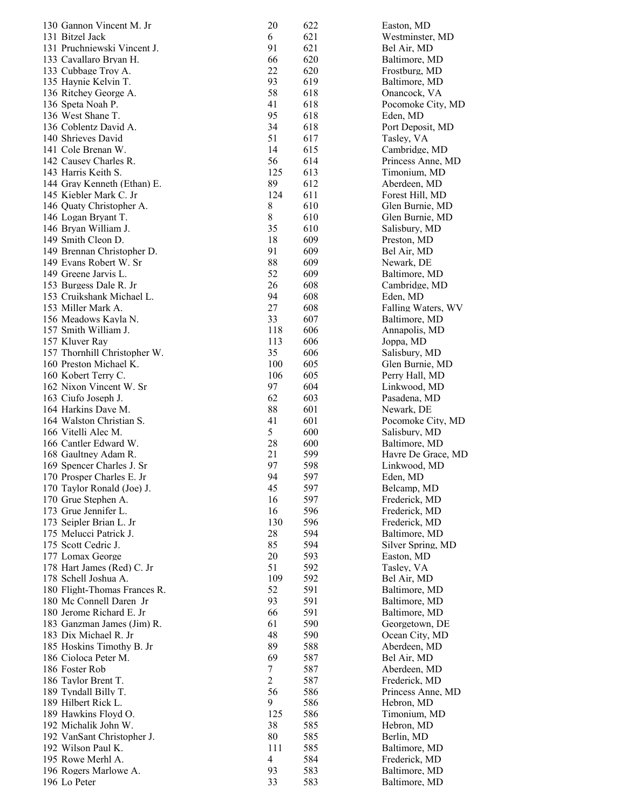| 130 Gannon Vincent M. Jr                          | 20             | 622        | Easton, MD                     |
|---------------------------------------------------|----------------|------------|--------------------------------|
| 131 Bitzel Jack                                   | 6              | 621        | Westminster, MD                |
| 131 Pruchniewski Vincent J.                       | 91             | 621        | Bel Air, MD                    |
| 133 Cavallaro Bryan H.                            | 66             | 620        | Baltimore, MD                  |
| 133 Cubbage Troy A.                               | 22             | 620        | Frostburg, MD                  |
| 135 Haynie Kelvin T.                              | 93             | 619        | Baltimore, MD                  |
| 136 Ritchey George A.                             | 58             | 618        | Onancock, VA                   |
| 136 Speta Noah P.                                 | 41             | 618        | Pocomoke City, MD              |
| 136 West Shane T.                                 | 95             | 618        | Eden, MD                       |
| 136 Coblentz David A.                             | 34             | 618        | Port Deposit, MD               |
| 140 Shrieves David                                | 51             | 617        | Tasley, VA                     |
| 141 Cole Brenan W.                                | 14             | 615        | Cambridge, MD                  |
| 142 Causey Charles R.                             | 56             | 614        | Princess Anne, MD              |
| 143 Harris Keith S.                               | 125            | 613        | Timonium, MD                   |
| 144 Gray Kenneth (Ethan) E.                       | 89             | 612        | Aberdeen, MD                   |
| 145 Kiebler Mark C. Jr                            | 124            | 611        | Forest Hill, MD                |
| 146 Quaty Christopher A.                          | 8              | 610        | Glen Burnie, MD                |
| 146 Logan Bryant T.                               | $\,8\,$        | 610        | Glen Burnie, MD                |
| 146 Bryan William J.                              | 35             | 610        | Salisbury, MD                  |
| 149 Smith Cleon D.                                | 18             | 609        | Preston, MD                    |
| 149 Brennan Christopher D.                        | 91             | 609        | Bel Air, MD                    |
| 149 Evans Robert W. Sr                            | 88             | 609        | Newark, DE                     |
| 149 Greene Jarvis L.                              | 52             | 609        | Baltimore, MD                  |
| 153 Burgess Dale R. Jr                            | 26             | 608        | Cambridge, MD                  |
| 153 Cruikshank Michael L.                         | 94             | 608        | Eden, MD                       |
| 153 Miller Mark A.                                | 27             | 608        | Falling Waters, WV             |
| 156 Meadows Kayla N.                              | 33             | 607        | Baltimore, MD                  |
| 157 Smith William J.                              | 118            | 606        | Annapolis, MD                  |
| 157 Kluver Ray                                    | 113            | 606        | Joppa, MD                      |
| 157 Thornhill Christopher W.                      | 35             | 606        | Salisbury, MD                  |
| 160 Preston Michael K.                            | 100            | 605        | Glen Burnie, MD                |
| 160 Kobert Terry C.                               | 106            | 605        | Perry Hall, MD                 |
| 162 Nixon Vincent W. Sr                           | 97             | 604        | Linkwood, MD                   |
| 163 Ciufo Joseph J.                               | 62             | 603        | Pasadena, MD                   |
| 164 Harkins Dave M.                               | 88             | 601        | Newark, DE                     |
| 164 Walston Christian S.                          | 41             | 601        | Pocomoke City, MD              |
| 166 Vitelli Alec M.                               | 5              | 600        | Salisbury, MD                  |
| 166 Cantler Edward W.                             | 28             | 600        | Baltimore, MD                  |
| 168 Gaultney Adam R.                              | 21             | 599        | Havre De Grace, MD             |
| 169 Spencer Charles J. Sr                         | 97             | 598        | Linkwood, MD                   |
| 170 Prosper Charles E. Jr                         | 94<br>45       | 597        | Eden, MD                       |
| 170 Taylor Ronald (Joe) J.<br>170 Grue Stephen A. | 16             | 597<br>597 | Belcamp, MD                    |
| 173 Grue Jennifer L.                              | 16             | 596        | Frederick, MD<br>Frederick, MD |
| 173 Seipler Brian L. Jr                           | 130            | 596        | Frederick, MD                  |
| 175 Melucci Patrick J.                            | 28             | 594        | Baltimore, MD                  |
| 175 Scott Cedric J.                               | 85             | 594        | Silver Spring, MD              |
| 177 Lomax George                                  | 20             | 593        | Easton, MD                     |
| 178 Hart James (Red) C. Jr                        | 51             | 592        | Tasley, VA                     |
| 178 Schell Joshua A.                              | 109            | 592        | Bel Air, MD                    |
| 180 Flight-Thomas Frances R.                      | 52             | 591        | Baltimore, MD                  |
| 180 Mc Connell Daren Jr                           | 93             | 591        | Baltimore, MD                  |
| 180 Jerome Richard E. Jr                          | 66             | 591        | Baltimore, MD                  |
| 183 Ganzman James (Jim) R.                        | 61             | 590        | Georgetown, DE                 |
| 183 Dix Michael R. Jr                             | 48             | 590        | Ocean City, MD                 |
| 185 Hoskins Timothy B. Jr                         | 89             | 588        | Aberdeen, MD                   |
| 186 Cioloca Peter M.                              | 69             | 587        | Bel Air, MD                    |
| 186 Foster Rob                                    | 7              | 587        | Aberdeen, MD                   |
| 186 Taylor Brent T.                               | $\overline{c}$ | 587        | Frederick, MD                  |
| 189 Tyndall Billy T.                              | 56             | 586        | Princess Anne, MD              |
| 189 Hilbert Rick L.                               | 9              | 586        | Hebron, MD                     |
| 189 Hawkins Floyd O.                              | 125            | 586        | Timonium, MD                   |
| 192 Michalik John W.                              | 38             | 585        | Hebron, MD                     |
| 192 VanSant Christopher J.                        | 80             | 585        | Berlin, MD                     |
| 192 Wilson Paul K.                                | 111            | 585        | Baltimore, MD                  |
| 195 Rowe Merhl A.                                 | $\overline{4}$ | 584        | Frederick, MD                  |
| 196 Rogers Marlowe A.                             | 93             | 583        | Baltimore, MD                  |
| 196 Lo Peter                                      | 33             | 583        | Baltimore, MD                  |
|                                                   |                |            |                                |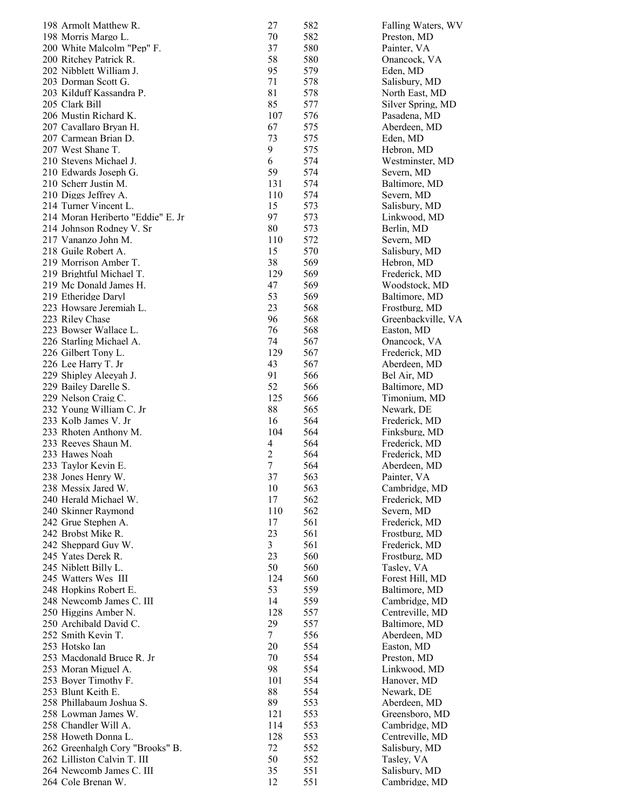| 198 Armolt Matthew R.                                      | 27             | 582        | Falling Waters, WV              |
|------------------------------------------------------------|----------------|------------|---------------------------------|
| 198 Morris Margo L.                                        | 70             | 582        | Preston, MD                     |
| 200 White Malcolm "Pep" F.                                 | 37             | 580        | Painter, VA                     |
| 200 Ritchey Patrick R.                                     | 58             | 580        | Onancock, VA                    |
| 202 Nibblett William J.                                    | 95             | 579        | Eden, MD                        |
| 203 Dorman Scott G.                                        | 71             | 578        | Salisbury, MD                   |
| 203 Kilduff Kassandra P.                                   | 81             | 578        | North East, MD                  |
| 205 Clark Bill                                             | 85             | 577        | Silver Spring, MD               |
| 206 Mustin Richard K.                                      | 107            | 576        | Pasadena, MD                    |
| 207 Cavallaro Bryan H.                                     | 67             | 575        | Aberdeen, MD                    |
| 207 Carmean Brian D.                                       | 73             | 575        | Eden, MD                        |
| 207 West Shane T.                                          | 9              | 575        | Hebron, MD                      |
| 210 Stevens Michael J.                                     | 6              | 574        | Westminster, MD                 |
| 210 Edwards Joseph G.                                      | 59             | 574        | Severn, MD                      |
| 210 Scherr Justin M.                                       | 131            | 574        | Baltimore, MD                   |
| 210 Diggs Jeffrey A.                                       | 110            | 574        | Severn, MD                      |
| 214 Turner Vincent L.<br>214 Moran Heriberto "Eddie" E. Jr | 15<br>97       | 573        | Salisbury, MD                   |
| 214 Johnson Rodney V. Sr                                   | 80             | 573<br>573 | Linkwood, MD                    |
| 217 Vananzo John M.                                        | 110            | 572        | Berlin, MD<br>Severn, MD        |
| 218 Guile Robert A.                                        | 15             | 570        | Salisbury, MD                   |
| 219 Morrison Amber T.                                      | 38             | 569        | Hebron, MD                      |
| 219 Brightful Michael T.                                   | 129            | 569        | Frederick, MD                   |
| 219 Mc Donald James H.                                     | 47             | 569        | Woodstock, MD                   |
| 219 Etheridge Daryl                                        | 53             | 569        | Baltimore, MD                   |
| 223 Howsare Jeremiah L.                                    | 23             | 568        | Frostburg, MD                   |
| 223 Riley Chase                                            | 96             | 568        | Greenbackville, VA              |
| 223 Bowser Wallace L.                                      | 76             | 568        | Easton, MD                      |
| 226 Starling Michael A.                                    | 74             | 567        | Onancock, VA                    |
| 226 Gilbert Tony L.                                        | 129            | 567        | Frederick, MD                   |
| 226 Lee Harry T. Jr                                        | 43             | 567        | Aberdeen, MD                    |
| 229 Shipley Aleeyah J.                                     | 91             | 566        | Bel Air, MD                     |
| 229 Bailey Darelle S.                                      | 52             | 566        | Baltimore, MD                   |
| 229 Nelson Craig C.                                        | 125            | 566        | Timonium, MD                    |
| 232 Young William C. Jr                                    | 88             | 565        | Newark, DE                      |
| 233 Kolb James V. Jr                                       | 16             | 564        | Frederick, MD                   |
| 233 Rhoten Anthony M.                                      | 104            | 564        | Finksburg, MD                   |
| 233 Reeves Shaun M.                                        | 4              | 564        | Frederick, MD                   |
| 233 Hawes Noah                                             | $\overline{c}$ | 564        | Frederick, MD                   |
| 233 Taylor Kevin E.                                        | 7              | 564        | Aberdeen, MD                    |
| 238 Jones Henry W.                                         | 37             | 563        | Painter, VA                     |
| 238 Messix Jared W.                                        | 10             | 563        | Cambridge, MD                   |
| 240 Herald Michael W.                                      | 17             | 562        | Frederick, MD                   |
| 240 Skinner Raymond                                        | 110            | 562        | Severn, MD                      |
| 242 Grue Stephen A.                                        | 17             | 561        | Frederick, MD                   |
| 242 Brobst Mike R.                                         | 23             | 561        | Frostburg, MD                   |
| 242 Sheppard Guy W.                                        | 3              | 561        | Frederick, MD                   |
| 245 Yates Derek R.                                         | 23             | 560        | Frostburg, MD                   |
| 245 Niblett Billy L.                                       | 50             | 560        | Tasley, VA                      |
| 245 Watters Wes III                                        | 124            | 560        | Forest Hill, MD                 |
| 248 Hopkins Robert E.                                      | 53             | 559        | Baltimore, MD                   |
| 248 Newcomb James C. III                                   | 14             | 559        | Cambridge, MD                   |
| 250 Higgins Amber N.                                       | 128            | 557        | Centreville, MD                 |
| 250 Archibald David C.                                     | 29             | 557        | Baltimore, MD                   |
| 252 Smith Kevin T.                                         | 7              | 556        | Aberdeen, MD                    |
| 253 Hotsko Ian                                             | 20             | 554        | Easton, MD                      |
| 253 Macdonald Bruce R. Jr                                  | 70             | 554        | Preston, MD                     |
| 253 Moran Miguel A.                                        | 98             | 554        | Linkwood, MD                    |
| 253 Boyer Timothy F.                                       | 101<br>88      | 554        | Hanover, MD                     |
| 253 Blunt Keith E.<br>258 Phillabaum Joshua S.             |                | 554<br>553 | Newark, DE                      |
| 258 Lowman James W.                                        | 89             |            | Aberdeen, MD                    |
| 258 Chandler Will A.                                       | 121<br>114     | 553<br>553 | Greensboro, MD<br>Cambridge, MD |
| 258 Howeth Donna L.                                        | 128            | 553        | Centreville, MD                 |
| 262 Greenhalgh Cory "Brooks" B.                            | 72             | 552        | Salisbury, MD                   |
| 262 Lilliston Calvin T. III                                | 50             | 552        | Tasley, VA                      |
| 264 Newcomb James C. III                                   | 35             | 551        | Salisbury, MD                   |
| 264 Cole Brenan W.                                         | 12             | 551        | Cambridge, MD                   |
|                                                            |                |            |                                 |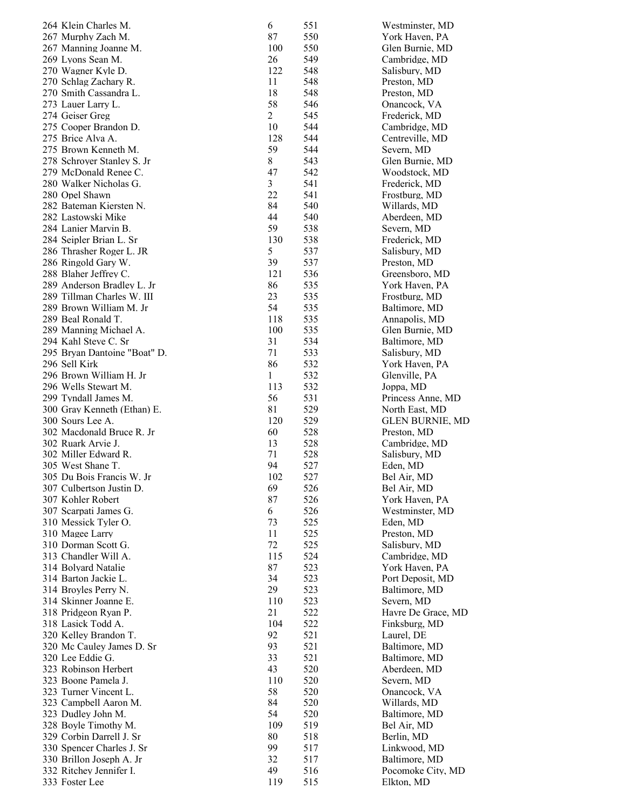| 264 Klein Charles M.                                  | 6              | 551        | Westminster, MD               |
|-------------------------------------------------------|----------------|------------|-------------------------------|
| 267 Murphy Zach M.                                    | 87             | 550        | York Haven, PA                |
| 267 Manning Joanne M.                                 | 100            | 550        | Glen Burnie, MD               |
| 269 Lyons Sean M.                                     | 26             | 549        | Cambridge, MD                 |
| 270 Wagner Kyle D.                                    | 122            | 548        | Salisbury, MD                 |
| 270 Schlag Zachary R.                                 | 11             | 548        | Preston, MD                   |
| 270 Smith Cassandra L.                                | 18             | 548        | Preston, MD                   |
| 273 Lauer Larry L.                                    | 58             | 546        | Onancock, VA                  |
| 274 Geiser Greg                                       | $\overline{c}$ | 545        | Frederick, MD                 |
| 275 Cooper Brandon D.                                 | 10             | 544        | Cambridge, MD                 |
| 275 Brice Alva A.                                     | 128            | 544        | Centreville, MD               |
| 275 Brown Kenneth M.                                  | 59             | 544        | Severn, MD                    |
| 278 Schroyer Stanley S. Jr                            | 8              | 543        | Glen Burnie, MD               |
| 279 McDonald Renee C.                                 | 47<br>3        | 542        | Woodstock, MD                 |
| 280 Walker Nicholas G.                                | 22             | 541        | Frederick, MD                 |
| 280 Opel Shawn<br>282 Bateman Kiersten N.             | 84             | 541<br>540 | Frostburg, MD                 |
| 282 Lastowski Mike                                    | 44             | 540        | Willards, MD<br>Aberdeen, MD  |
| 284 Lanier Marvin B.                                  | 59             | 538        | Severn, MD                    |
| 284 Seipler Brian L. Sr                               | 130            | 538        | Frederick, MD                 |
| 286 Thrasher Roger L. JR                              | 5              | 537        | Salisbury, MD                 |
| 286 Ringold Gary W.                                   | 39             | 537        | Preston, MD                   |
| 288 Blaher Jeffrey C.                                 | 121            | 536        | Greensboro, MD                |
| 289 Anderson Bradley L. Jr                            | 86             | 535        | York Haven, PA                |
| 289 Tillman Charles W. III                            | 23             | 535        | Frostburg, MD                 |
| 289 Brown William M. Jr                               | 54             | 535        | Baltimore, MD                 |
| 289 Beal Ronald T.                                    | 118            | 535        | Annapolis, MD                 |
| 289 Manning Michael A.                                | 100            | 535        | Glen Burnie, MD               |
| 294 Kahl Steve C. Sr                                  | 31             | 534        | Baltimore, MD                 |
| 295 Bryan Dantoine "Boat" D.                          | 71             | 533        | Salisbury, MD                 |
| 296 Sell Kirk                                         | 86             | 532        | York Haven, PA                |
| 296 Brown William H. Jr                               | $\mathbf{1}$   | 532        | Glenville, PA                 |
| 296 Wells Stewart M.                                  | 113            | 532        | Joppa, MD                     |
| 299 Tyndall James M.                                  | 56             | 531        | Princess Anne, MD             |
| 300 Gray Kenneth (Ethan) E.                           | 81             | 529        | North East, MD                |
| 300 Sours Lee A.                                      | 120            | 529        | <b>GLEN BURNIE, MD</b>        |
| 302 Macdonald Bruce R. Jr                             | 60             | 528        | Preston, MD                   |
| 302 Ruark Arvie J.                                    | 13             | 528        | Cambridge, MD                 |
| 302 Miller Edward R.                                  | 71             | 528        | Salisbury, MD                 |
| 305 West Shane T.                                     | 94             | 527        | Eden, MD                      |
| 305 Du Bois Francis W. Jr                             | 102            | 527        | Bel Air, MD                   |
| 307 Culbertson Justin D.                              | 69             | 526        | Bel Air, MD                   |
| 307 Kohler Robert                                     | 87             | 526        | York Haven, PA                |
| 307 Scarpati James G.                                 | 6              | 526        | Westminster, MD               |
| 310 Messick Tyler O.                                  | 73             | 525        | Eden, MD                      |
| 310 Magee Larry                                       | 11             | 525        | Preston, MD                   |
| 310 Dorman Scott G.                                   | 72             | 525        | Salisbury, MD                 |
| 313 Chandler Will A.                                  | 115            | 524        | Cambridge, MD                 |
| 314 Bolyard Natalie                                   | 87             | 523        | York Haven, PA                |
| 314 Barton Jackie L.                                  | 34             | 523        | Port Deposit, MD              |
| 314 Broyles Perry N.                                  | 29             | 523        | Baltimore, MD                 |
| 314 Skinner Joanne E.                                 | 110            | 523        | Severn, MD                    |
| 318 Pridgeon Ryan P.                                  | 21             | 522        | Havre De Grace, MD            |
| 318 Lasick Todd A.                                    | 104            | 522        | Finksburg, MD                 |
| 320 Kelley Brandon T.                                 | 92             | 521        | Laurel, DE                    |
| 320 Mc Cauley James D. Sr                             | 93             | 521        | Baltimore, MD                 |
| 320 Lee Eddie G.                                      | 33             | 521        | Baltimore, MD                 |
| 323 Robinson Herbert                                  | 43             | 520        | Aberdeen, MD                  |
| 323 Boone Pamela J.                                   | 110            | 520        | Severn, MD                    |
| 323 Turner Vincent L.                                 | 58             | 520        | Onancock, VA                  |
| 323 Campbell Aaron M.                                 | 84             | 520        | Willards, MD                  |
| 323 Dudley John M.                                    | 54             | 520        | Baltimore, MD                 |
| 328 Boyle Timothy M.                                  | 109            | 519        | Bel Air, MD                   |
| 329 Corbin Darrell J. Sr                              | 80<br>99       | 518        | Berlin, MD                    |
| 330 Spencer Charles J. Sr<br>330 Brillon Joseph A. Jr | 32             | 517<br>517 | Linkwood, MD<br>Baltimore, MD |
| 332 Ritchey Jennifer I.                               | 49             | 516        | Pocomoke City, MD             |
| 333 Foster Lee                                        | 119            | 515        | Elkton, MD                    |
|                                                       |                |            |                               |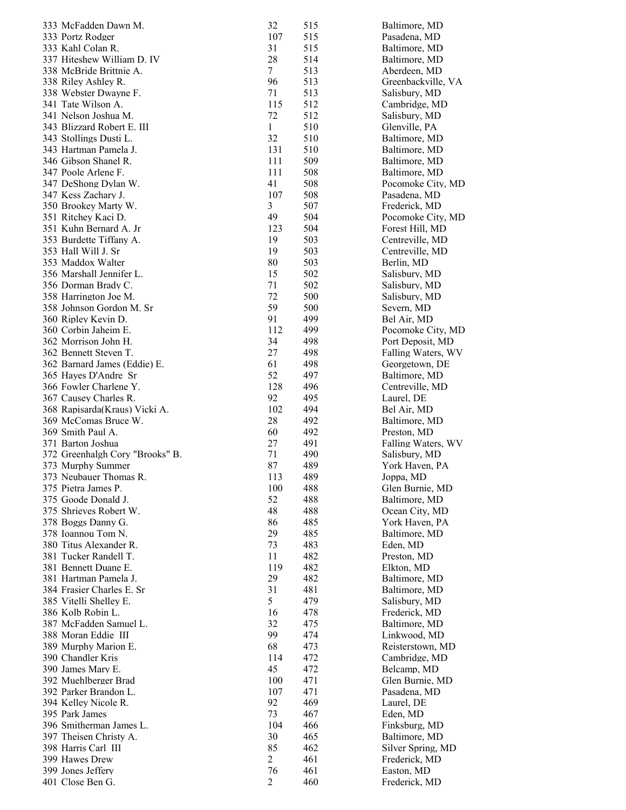| 333 McFadden Dawn M.                          | 32             | 515        | Baltimore, MD                        |
|-----------------------------------------------|----------------|------------|--------------------------------------|
| 333 Portz Rodger                              | 107            | 515        | Pasadena, MD                         |
| 333 Kahl Colan R.                             | 31             | 515        | Baltimore, MD                        |
| 337 Hiteshew William D. IV                    | 28             | 514        | Baltimore, MD                        |
| 338 McBride Brittnie A.                       | 7              | 513        | Aberdeen, MD                         |
| 338 Riley Ashley R.                           | 96             | 513        | Greenbackville, VA                   |
| 338 Webster Dwayne F.                         | 71             | 513        | Salisbury, MD                        |
| 341 Tate Wilson A.                            | 115            | 512        | Cambridge, MD                        |
| 341 Nelson Joshua M.                          | 72             | 512        | Salisbury, MD                        |
| 343 Blizzard Robert E. III                    | 1              | 510        | Glenville, PA                        |
| 343 Stollings Dusti L.                        | 32             | 510        | Baltimore, MD                        |
| 343 Hartman Pamela J.                         | 131            | 510        | Baltimore, MD                        |
| 346 Gibson Shanel R.                          | 111            | 509        | Baltimore, MD                        |
| 347 Poole Arlene F.                           | 111            | 508        | Baltimore, MD                        |
| 347 DeShong Dylan W.                          | 41             | 508        | Pocomoke City, MD                    |
| 347 Kess Zachary J.                           | 107            | 508        | Pasadena, MD                         |
| 350 Brookey Marty W.                          | 3<br>49        | 507        | Frederick, MD                        |
| 351 Ritchey Kaci D.<br>351 Kuhn Bernard A. Jr | 123            | 504<br>504 | Pocomoke City, MD<br>Forest Hill, MD |
| 353 Burdette Tiffany A.                       | 19             | 503        | Centreville, MD                      |
| 353 Hall Will J. Sr                           | 19             | 503        | Centreville, MD                      |
| 353 Maddox Walter                             | 80             | 503        | Berlin, MD                           |
| 356 Marshall Jennifer L.                      | 15             | 502        | Salisbury, MD                        |
| 356 Dorman Brady C.                           | 71             | 502        | Salisbury, MD                        |
| 358 Harrington Joe M.                         | 72             | 500        | Salisbury, MD                        |
| 358 Johnson Gordon M. Sr                      | 59             | 500        | Severn, MD                           |
| 360 Ripley Kevin D.                           | 91             | 499        | Bel Air, MD                          |
| 360 Corbin Jaheim E.                          | 112            | 499        | Pocomoke City, MD                    |
| 362 Morrison John H.                          | 34             | 498        | Port Deposit, MD                     |
| 362 Bennett Steven T.                         | 27             | 498        | Falling Waters, WV                   |
| 362 Barnard James (Eddie) E.                  | 61             | 498        | Georgetown, DE                       |
| 365 Hayes D'Andre Sr                          | 52             | 497        | Baltimore, MD                        |
| 366 Fowler Charlene Y.                        | 128            | 496        | Centreville, MD                      |
| 367 Causey Charles R.                         | 92             | 495        | Laurel, DE                           |
| 368 Rapisarda(Kraus) Vicki A.                 | 102            | 494        | Bel Air, MD                          |
| 369 McComas Bruce W.                          | 28             | 492        | Baltimore, MD                        |
| 369 Smith Paul A.                             | 60             | 492        | Preston, MD                          |
| 371 Barton Joshua                             | 27             | 491        | Falling Waters, WV                   |
| 372 Greenhalgh Cory "Brooks" B.               | 71             | 490        | Salisbury, MD                        |
| 373 Murphy Summer                             | 87             | 489        | York Haven, PA                       |
| 373 Neubauer Thomas R.                        | 113            | 489        | Joppa, MD                            |
| 375 Pietra James P.                           | 100            | 488        | Glen Burnie, MD                      |
| 375 Goode Donald J.                           | 52             | 488        | Baltimore, MD                        |
| 375 Shrieves Robert W.                        | 48             | 488        | Ocean City, MD                       |
| 378 Boggs Danny G.                            | 86             | 485        | York Haven, PA                       |
| 378 Ioannou Tom N.                            | 29             | 485        | Baltimore, MD                        |
| 380 Titus Alexander R.                        | 73             | 483        | Eden, MD                             |
| 381 Tucker Randell T.                         | 11             | 482        | Preston, MD                          |
| 381 Bennett Duane E.                          | 119            | 482        | Elkton, MD                           |
| 381 Hartman Pamela J.                         | 29             | 482        | Baltimore, MD                        |
| 384 Frasier Charles E. Sr                     | 31             | 481        | Baltimore, MD                        |
| 385 Vitelli Shelley E.                        | 5              | 479        | Salisbury, MD                        |
| 386 Kolb Robin L.                             | 16             | 478        | Frederick, MD                        |
| 387 McFadden Samuel L.                        | 32             | 475        | Baltimore, MD                        |
| 388 Moran Eddie III                           | 99             | 474        | Linkwood, MD                         |
| 389 Murphy Marion E.                          | 68             | 473        | Reisterstown, MD                     |
| 390 Chandler Kris                             | 114            | 472        | Cambridge, MD                        |
| 390 James Mary E.                             | 45             | 472        | Belcamp, MD                          |
| 392 Muehlberger Brad                          | 100            | 471        | Glen Burnie, MD                      |
| 392 Parker Brandon L.                         | 107            | 471        | Pasadena, MD                         |
| 394 Kelley Nicole R.                          | 92             | 469        | Laurel, DE                           |
| 395 Park James                                | 73             | 467        | Eden, MD                             |
| 396 Smitherman James L.                       | 104            | 466        | Finksburg, MD                        |
| 397 Theisen Christy A.                        | 30             | 465        | Baltimore, MD                        |
| 398 Harris Carl III                           | 85             | 462        | Silver Spring, MD                    |
| 399 Hawes Drew                                | $\overline{c}$ | 461        | Frederick, MD                        |
| 399 Jones Jeffery                             | 76             | 461        | Easton, MD                           |
| 401 Close Ben G.                              | 2              | 460        | Frederick, MD                        |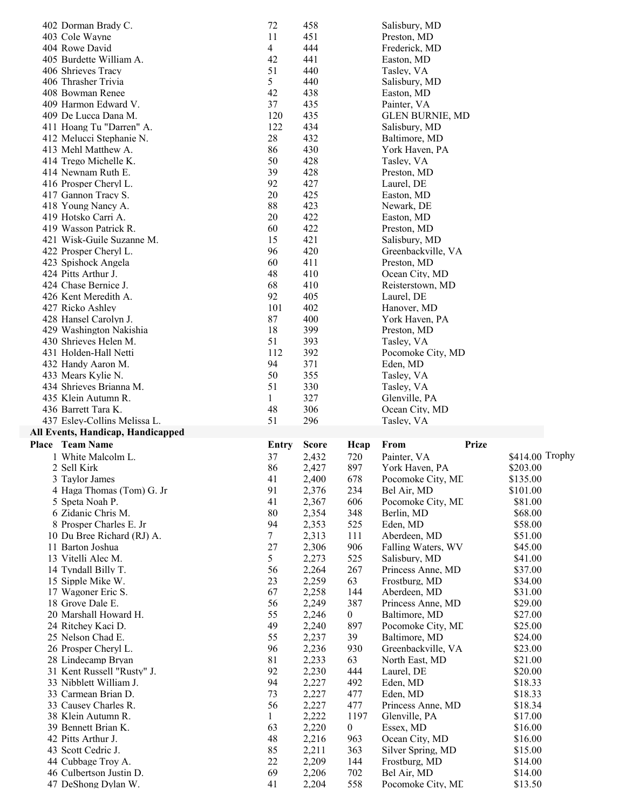| 402 Dorman Brady C.               | 72             | 458          |                  | Salisbury, MD          |                 |  |
|-----------------------------------|----------------|--------------|------------------|------------------------|-----------------|--|
| 403 Cole Wayne                    | 11             | 451          |                  | Preston, MD            |                 |  |
| 404 Rowe David                    | $\overline{4}$ | 444          |                  | Frederick, MD          |                 |  |
| 405 Burdette William A.           | 42             | 441          |                  | Easton, MD             |                 |  |
| 406 Shrieves Tracy                | 51             | 440          |                  | Tasley, VA             |                 |  |
| 406 Thrasher Trivia               | 5              | 440          |                  | Salisbury, MD          |                 |  |
| 408 Bowman Renee                  | 42             | 438          |                  | Easton, MD             |                 |  |
| 409 Harmon Edward V.              | 37             | 435          |                  | Painter, VA            |                 |  |
| 409 De Lucca Dana M.              | 120            | 435          |                  | <b>GLEN BURNIE, MD</b> |                 |  |
| 411 Hoang Tu "Darren" A.          | 122            | 434          |                  | Salisbury, MD          |                 |  |
| 412 Melucci Stephanie N.          | 28             | 432          |                  |                        |                 |  |
| 413 Mehl Matthew A.               | 86             | 430          |                  | Baltimore, MD          |                 |  |
|                                   |                |              |                  | York Haven, PA         |                 |  |
| 414 Trego Michelle K.             | 50             | 428          |                  | Tasley, VA             |                 |  |
| 414 Newnam Ruth E.                | 39             | 428          |                  | Preston, MD            |                 |  |
| 416 Prosper Cheryl L.             | 92             | 427          |                  | Laurel, DE             |                 |  |
| 417 Gannon Tracy S.               | 20             | 425          |                  | Easton, MD             |                 |  |
| 418 Young Nancy A.                | 88             | 423          |                  | Newark, DE             |                 |  |
| 419 Hotsko Carri A.               | 20             | 422          |                  | Easton, MD             |                 |  |
| 419 Wasson Patrick R.             | 60             | 422          |                  | Preston, MD            |                 |  |
| 421 Wisk-Guile Suzanne M.         | 15             | 421          |                  | Salisbury, MD          |                 |  |
| 422 Prosper Cheryl L.             | 96             | 420          |                  | Greenbackville, VA     |                 |  |
| 423 Spishock Angela               | 60             | 411          |                  | Preston, MD            |                 |  |
| 424 Pitts Arthur J.               | 48             | 410          |                  | Ocean City, MD         |                 |  |
| 424 Chase Bernice J.              | 68             | 410          |                  | Reisterstown, MD       |                 |  |
| 426 Kent Meredith A.              | 92             | 405          |                  | Laurel, DE             |                 |  |
| 427 Ricko Ashley                  | 101            | 402          |                  | Hanover, MD            |                 |  |
| 428 Hansel Carolyn J.             | 87             | 400          |                  | York Haven, PA         |                 |  |
| 429 Washington Nakishia           | 18             | 399          |                  | Preston, MD            |                 |  |
| 430 Shrieves Helen M.             | 51             | 393          |                  | Tasley, VA             |                 |  |
| 431 Holden-Hall Netti             | 112            | 392          |                  | Pocomoke City, MD      |                 |  |
| 432 Handy Aaron M.                | 94             | 371          |                  | Eden, MD               |                 |  |
| 433 Mears Kylie N.                | 50             | 355          |                  | Tasley, VA             |                 |  |
| 434 Shrieves Brianna M.           | 51             | 330          |                  | Tasley, VA             |                 |  |
| 435 Klein Autumn R.               | 1              | 327          |                  | Glenville, PA          |                 |  |
|                                   |                |              |                  |                        |                 |  |
|                                   |                |              |                  |                        |                 |  |
| 436 Barrett Tara K.               | 48             | 306          |                  | Ocean City, MD         |                 |  |
| 437 Esley-Collins Melissa L.      | 51             | 296          |                  | Tasley, VA             |                 |  |
| All Events, Handicap, Handicapped |                |              |                  |                        |                 |  |
| Place Team Name                   | Entry          | <b>Score</b> | Hcap             | From                   | <b>Prize</b>    |  |
| 1 White Malcolm L.                | 37             | 2,432        | 720              | Painter, VA            | \$414.00 Trophy |  |
| 2 Sell Kirk                       | 86             | 2,427        | 897              | York Haven, PA         | \$203.00        |  |
| 3 Taylor James                    | 41             | 2,400        | 678              | Pocomoke City, ME      | \$135.00        |  |
| 4 Haga Thomas (Tom) G. Jr         | 91             | 2,376        | 234              | Bel Air, MD            | \$101.00        |  |
| 5 Speta Noah P.                   | 41             | 2,367        | 606              | Pocomoke City, ML      | \$81.00         |  |
| 6 Zidanic Chris M.                | 80             | 2,354        | 348              | Berlin, MD             | \$68.00         |  |
| 8 Prosper Charles E. Jr           | 94             | 2,353        | 525              | Eden, MD               | \$58.00         |  |
| 10 Du Bree Richard (RJ) A.        | $\tau$         | 2,313        | 111              | Aberdeen, MD           | \$51.00         |  |
| 11 Barton Joshua                  | 27             | 2,306        | 906              | Falling Waters, WV     | \$45.00         |  |
| 13 Vitelli Alec M.                | 5              | 2,273        | 525              | Salisbury, MD          | \$41.00         |  |
| 14 Tyndall Billy T.               | 56             | 2,264        | 267              | Princess Anne, MD      | \$37.00         |  |
| 15 Sipple Mike W.                 | 23             | 2,259        | 63               | Frostburg, MD          | \$34.00         |  |
| 17 Wagoner Eric S.                | 67             | 2,258        | 144              | Aberdeen, MD           | \$31.00         |  |
| 18 Grove Dale E.                  | 56             | 2,249        | 387              | Princess Anne, MD      | \$29.00         |  |
| 20 Marshall Howard H.             | 55             | 2,246        | 0                | Baltimore, MD          | \$27.00         |  |
| 24 Ritchey Kaci D.                | 49             | 2,240        | 897              | Pocomoke City, ML      | \$25.00         |  |
| 25 Nelson Chad E.                 | 55             | 2,237        | 39               | Baltimore, MD          | \$24.00         |  |
| 26 Prosper Cheryl L.              | 96             | 2,236        | 930              | Greenbackville, VA     | \$23.00         |  |
| 28 Lindecamp Bryan                | 81             | 2,233        | 63               | North East, MD         | \$21.00         |  |
| 31 Kent Russell "Rusty" J.        | 92             | 2,230        | 444              | Laurel, DE             | \$20.00         |  |
| 33 Nibblett William J.            | 94             | 2,227        | 492              | Eden, MD               | \$18.33         |  |
| 33 Carmean Brian D.               | 73             | 2,227        | 477              | Eden, MD               | \$18.33         |  |
| 33 Causey Charles R.              | 56             | 2,227        | 477              | Princess Anne, MD      | \$18.34         |  |
| 38 Klein Autumn R.                | 1              | 2,222        | 1197             | Glenville, PA          | \$17.00         |  |
| 39 Bennett Brian K.               | 63             | 2,220        | $\boldsymbol{0}$ | Essex, MD              | \$16.00         |  |
| 42 Pitts Arthur J.                | 48             | 2,216        | 963              | Ocean City, MD         | \$16.00         |  |
| 43 Scott Cedric J.                | 85             | 2,211        | 363              | Silver Spring, MD      | \$15.00         |  |
| 44 Cubbage Troy A.                | 22             | 2,209        | 144              | Frostburg, MD          | \$14.00         |  |
| 46 Culbertson Justin D.           | 69             | 2,206        | 702              | Bel Air, MD            | \$14.00         |  |
| 47 DeShong Dylan W.               | 41             | 2,204        | 558              | Pocomoke City, ML      | \$13.50         |  |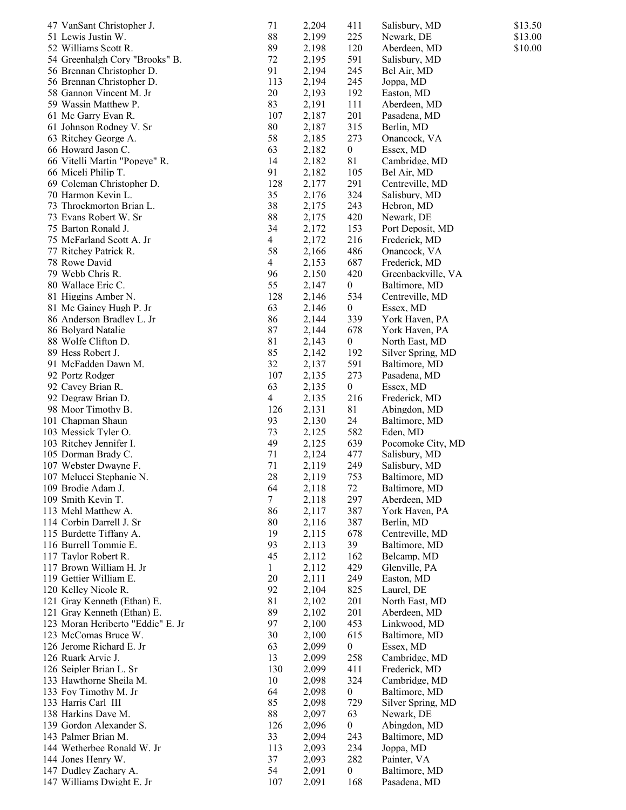| 47 VanSant Christopher J.                         | 71             | 2,204          | 411                     | Salisbury, MD              | \$13.50 |
|---------------------------------------------------|----------------|----------------|-------------------------|----------------------------|---------|
| 51 Lewis Justin W.                                | 88             | 2,199          | 225                     | Newark, DE                 | \$13.00 |
| 52 Williams Scott R.                              | 89             | 2,198          | 120                     | Aberdeen, MD               | \$10.00 |
| 54 Greenhalgh Cory "Brooks" B.                    | 72             | 2,195          | 591                     | Salisbury, MD              |         |
| 56 Brennan Christopher D.                         | 91             | 2,194          | 245                     | Bel Air, MD                |         |
| 56 Brennan Christopher D.                         | 113            | 2,194          | 245                     | Joppa, MD                  |         |
| 58 Gannon Vincent M. Jr                           | 20             | 2,193          | 192                     | Easton, MD                 |         |
| 59 Wassin Matthew P.                              | 83             | 2,191          | 111                     | Aberdeen, MD               |         |
| 61 Mc Garry Evan R.                               | 107            | 2,187          | 201                     | Pasadena, MD               |         |
| 61 Johnson Rodney V. Sr                           | 80             | 2,187          | 315                     | Berlin, MD                 |         |
| 63 Ritchey George A.                              | 58             | 2,185          | 273                     | Onancock, VA               |         |
| 66 Howard Jason C.                                | 63             | 2,182          | $\boldsymbol{0}$        | Essex, MD                  |         |
| 66 Vitelli Martin "Popeye" R.                     | 14             | 2,182          | 81                      | Cambridge, MD              |         |
| 66 Miceli Philip T.                               | 91             | 2,182          | 105                     | Bel Air, MD                |         |
| 69 Coleman Christopher D.                         | 128            | 2,177          | 291                     | Centreville, MD            |         |
| 70 Harmon Kevin L.                                | 35             | 2,176          | 324                     | Salisbury, MD              |         |
| 73 Throckmorton Brian L.                          | 38             | 2,175          | 243                     | Hebron, MD                 |         |
| 73 Evans Robert W. Sr                             | 88             | 2,175          | 420                     | Newark, DE                 |         |
| 75 Barton Ronald J.                               | 34             | 2,172          | 153                     | Port Deposit, MD           |         |
| 75 McFarland Scott A. Jr                          | $\overline{4}$ | 2,172          | 216                     | Frederick, MD              |         |
| 77 Ritchey Patrick R.                             | 58             | 2,166          | 486                     | Onancock, VA               |         |
| 78 Rowe David                                     | $\overline{4}$ | 2,153          | 687                     | Frederick, MD              |         |
| 79 Webb Chris R.                                  | 96             | 2,150          | 420                     | Greenbackville, VA         |         |
| 80 Wallace Eric C.                                | 55             | 2,147          | $\boldsymbol{0}$        | Baltimore, MD              |         |
| 81 Higgins Amber N.                               | 128            | 2,146          | 534                     | Centreville, MD            |         |
| 81 Mc Gainey Hugh P. Jr                           | 63             | 2,146          | $\boldsymbol{0}$        | Essex, MD                  |         |
| 86 Anderson Bradley L. Jr                         | 86             | 2,144          | 339                     | York Haven, PA             |         |
| 86 Bolyard Natalie                                | 87             | 2,144          | 678                     | York Haven, PA             |         |
| 88 Wolfe Clifton D.                               | 81             | 2,143          | $\boldsymbol{0}$        | North East, MD             |         |
| 89 Hess Robert J.                                 | 85             | 2,142          | 192                     | Silver Spring, MD          |         |
| 91 McFadden Dawn M.                               | 32             | 2,137          | 591                     | Baltimore, MD              |         |
| 92 Portz Rodger                                   | 107            | 2,135          | 273                     | Pasadena, MD               |         |
| 92 Cavey Brian R.                                 | 63             | 2,135          | $\boldsymbol{0}$        | Essex, MD                  |         |
| 92 Degraw Brian D.                                | $\overline{4}$ | 2,135          | 216                     | Frederick, MD              |         |
| 98 Moor Timothy B.                                | 126            | 2,131          | 81                      | Abingdon, MD               |         |
| 101 Chapman Shaun                                 | 93             | 2,130          | 24                      | Baltimore, MD              |         |
| 103 Messick Tyler O.                              | 73             | 2,125          | 582                     | Eden, MD                   |         |
| 103 Ritchey Jennifer I.                           | 49             | 2,125          | 639                     | Pocomoke City, MD          |         |
| 105 Dorman Brady C.                               | 71             | 2,124          | 477                     | Salisbury, MD              |         |
| 107 Webster Dwayne F.                             | 71             | 2,119          | 249                     | Salisbury, MD              |         |
| 107 Melucci Stephanie N.                          | 28             | 2,119          | 753                     | Baltimore, MD              |         |
| 109 Brodie Adam J.                                | 64             | 2,118          | 72                      | Baltimore, MD              |         |
| 109 Smith Kevin T.                                | 7              | 2,118          | 297                     | Aberdeen, MD               |         |
| 113 Mehl Matthew A.                               | 86             | 2,117          | 387                     | York Haven, PA             |         |
| 114 Corbin Darrell J. Sr                          | 80             | 2,116          | 387                     | Berlin, MD                 |         |
| 115 Burdette Tiffany A.                           | 19             | 2,115          | 678                     | Centreville, MD            |         |
| 116 Burrell Tommie E.                             | 93             | 2,113          | 39                      | Baltimore, MD              |         |
| 117 Taylor Robert R.                              | 45             | 2,112          | 162                     | Belcamp, MD                |         |
| 117 Brown William H. Jr                           | $\mathbf{1}$   | 2,112          | 429                     | Glenville, PA              |         |
| 119 Gettier William E.                            | 20             | 2,111          | 249                     | Easton, MD                 |         |
| 120 Kelley Nicole R.                              | 92             | 2,104          | 825                     | Laurel, DE                 |         |
| 121 Gray Kenneth (Ethan) E.                       | 81             | 2,102          | 201                     | North East, MD             |         |
| 121 Gray Kenneth (Ethan) E.                       | 89             | 2,102          | 201                     | Aberdeen, MD               |         |
| 123 Moran Heriberto "Eddie" E. Jr                 | 97             | 2,100          | 453                     | Linkwood, MD               |         |
| 123 McComas Bruce W.                              | 30             | 2,100          | 615                     | Baltimore, MD              |         |
| 126 Jerome Richard E. Jr                          | 63             | 2,099          | $\overline{0}$          | Essex, MD                  |         |
| 126 Ruark Arvie J.                                | 13             | 2,099          | 258                     | Cambridge, MD              |         |
| 126 Seipler Brian L. Sr                           | 130            | 2,099          | 411                     | Frederick, MD              |         |
| 133 Hawthorne Sheila M.                           | 10             | 2,098          | 324                     | Cambridge, MD              |         |
| 133 Foy Timothy M. Jr                             | 64             | 2,098          | $\boldsymbol{0}$        | Baltimore, MD              |         |
| 133 Harris Carl III                               | 85             | 2,098          | 729                     | Silver Spring, MD          |         |
| 138 Harkins Dave M.                               | 88             | 2,097          | 63                      | Newark, DE                 |         |
| 139 Gordon Alexander S.                           | 126<br>33      | 2,096          | $\boldsymbol{0}$<br>243 | Abingdon, MD               |         |
| 143 Palmer Brian M.<br>144 Wetherbee Ronald W. Jr | 113            | 2,094<br>2,093 | 234                     | Baltimore, MD<br>Joppa, MD |         |
| 144 Jones Henry W.                                | 37             | 2,093          | 282                     | Painter, VA                |         |
| 147 Dudley Zachary A.                             | 54             | 2,091          | 0                       | Baltimore, MD              |         |
| 147 Williams Dwight E. Jr                         | 107            | 2,091          | 168                     | Pasadena, MD               |         |
|                                                   |                |                |                         |                            |         |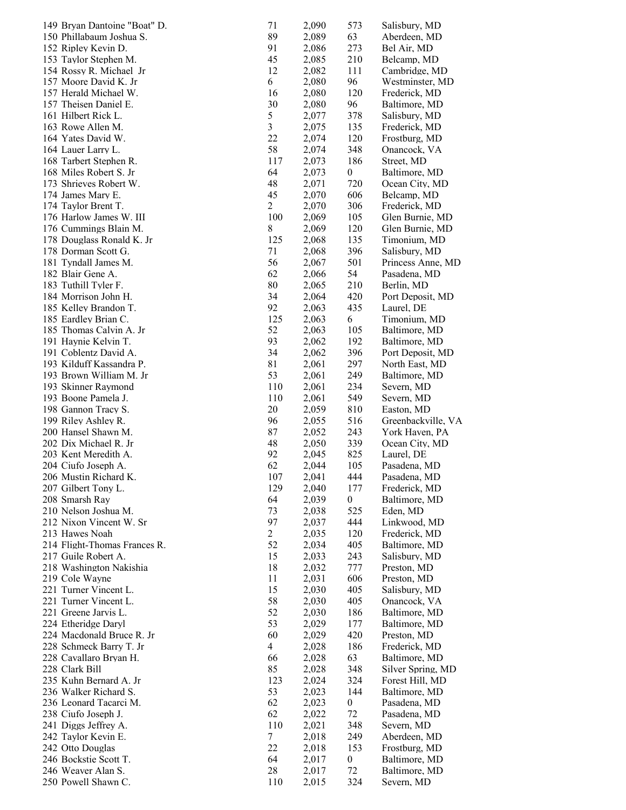| 149 Bryan Dantoine "Boat" D.               | 71             | 2,090          | 573              | Salisbury, MD            |
|--------------------------------------------|----------------|----------------|------------------|--------------------------|
| 150 Phillabaum Joshua S.                   | 89             | 2,089          | 63               | Aberdeen, MD             |
| 152 Ripley Kevin D.                        | 91             | 2,086          | 273              | Bel Air, MD              |
| 153 Taylor Stephen M.                      | 45             | 2,085          | 210              | Belcamp, MD              |
| 154 Rossy R. Michael Jr                    | 12             | 2,082          | 111              | Cambridge, MD            |
| 157 Moore David K. Jr                      | 6              | 2,080          | 96               | Westminster, MD          |
| 157 Herald Michael W.                      | 16             | 2,080          | 120              | Frederick, MD            |
| 157 Theisen Daniel E.                      | 30             | 2,080          | 96               | Baltimore, MD            |
| 161 Hilbert Rick L.                        | 5              | 2,077          | 378              | Salisbury, MD            |
| 163 Rowe Allen M.                          | 3              | 2,075          | 135              | Frederick, MD            |
| 164 Yates David W.                         | 22             | 2,074          | 120              | Frostburg, MD            |
| 164 Lauer Larry L.                         | 58             | 2,074          | 348              | Onancock, VA             |
| 168 Tarbert Stephen R.                     | 117            | 2,073          | 186              | Street, MD               |
| 168 Miles Robert S. Jr                     | 64             | 2,073          | $\boldsymbol{0}$ | Baltimore, MD            |
| 173 Shrieves Robert W.                     | 48             | 2,071          | 720              | Ocean City, MD           |
| 174 James Mary E.                          | 45             | 2,070          | 606              | Belcamp, MD              |
| 174 Taylor Brent T.                        | 2              | 2,070          | 306              | Frederick, MD            |
| 176 Harlow James W. III                    | 100            | 2,069          | 105              | Glen Burnie, MD          |
| 176 Cummings Blain M.                      | 8              | 2,069          | 120              | Glen Burnie, MD          |
| 178 Douglass Ronald K. Jr                  | 125            | 2,068          | 135              | Timonium, MD             |
| 178 Dorman Scott G.                        | 71             | 2,068          | 396              | Salisbury, MD            |
| 181 Tyndall James M.                       | 56             | 2,067          | 501              | Princess Anne, MD        |
| 182 Blair Gene A.                          | 62             | 2,066          | 54               | Pasadena, MD             |
| 183 Tuthill Tyler F.                       | 80             | 2,065          | 210              | Berlin, MD               |
| 184 Morrison John H.                       | 34             | 2,064          | 420              | Port Deposit, MD         |
| 185 Kelley Brandon T.                      | 92             | 2,063          | 435              | Laurel, DE               |
| 185 Eardley Brian C.                       | 125            | 2,063          | 6                | Timonium, MD             |
| 185 Thomas Calvin A. Jr                    | 52             | 2,063          | 105              | Baltimore, MD            |
| 191 Haynie Kelvin T.                       | 93             | 2,062          | 192              | Baltimore, MD            |
| 191 Coblentz David A.                      | 34             | 2,062          | 396              | Port Deposit, MD         |
| 193 Kilduff Kassandra P.                   | 81             | 2,061          | 297              | North East, MD           |
| 193 Brown William M. Jr                    | 53<br>110      | 2,061          | 249<br>234       | Baltimore, MD            |
| 193 Skinner Raymond<br>193 Boone Pamela J. | 110            | 2,061<br>2,061 | 549              | Severn, MD<br>Severn, MD |
| 198 Gannon Tracy S.                        | 20             | 2,059          | 810              | Easton, MD               |
| 199 Riley Ashley R.                        | 96             | 2,055          | 516              | Greenbackville, VA       |
| 200 Hansel Shawn M.                        | 87             | 2,052          | 243              | York Haven, PA           |
| 202 Dix Michael R. Jr                      | 48             | 2,050          | 339              | Ocean City, MD           |
| 203 Kent Meredith A.                       | 92             | 2,045          | 825              | Laurel, DE               |
| 204 Ciufo Joseph A.                        | 62             | 2,044          | 105              | Pasadena, MD             |
| 206 Mustin Richard K                       | 107            | 2,041          | 444              | Pasadena, MD             |
| 207 Gilbert Tony L.                        | 129            | 2,040          | 177              | Frederick, MD            |
| 208 Smarsh Ray                             | 64             | 2,039          | 0                | Baltimore, MD            |
| 210 Nelson Joshua M.                       | 73             | 2,038          | 525              | Eden, MD                 |
| 212 Nixon Vincent W. Sr                    | 97             | 2,037          | 444              | Linkwood, MD             |
| 213 Hawes Noah                             | $\overline{2}$ | 2,035          | 120              | Frederick, MD            |
| 214 Flight-Thomas Frances R.               | 52             | 2,034          | 405              | Baltimore, MD            |
| 217 Guile Robert A.                        | 15             | 2,033          | 243              | Salisbury, MD            |
| 218 Washington Nakishia                    | 18             | 2,032          | 777              | Preston, MD              |
| 219 Cole Wayne                             | 11             | 2,031          | 606              | Preston, MD              |
| 221 Turner Vincent L.                      | 15             | 2,030          | 405              | Salisbury, MD            |
| 221 Turner Vincent L.                      | 58             | 2,030          | 405              | Onancock, VA             |
| 221 Greene Jarvis L.                       | 52             | 2,030          | 186              | Baltimore, MD            |
| 224 Etheridge Daryl                        | 53             | 2,029          | 177              | Baltimore, MD            |
| 224 Macdonald Bruce R. Jr                  | 60             | 2,029          | 420              | Preston, MD              |
| 228 Schmeck Barry T. Jr                    | $\overline{4}$ | 2,028          | 186              | Frederick, MD            |
| 228 Cavallaro Bryan H.                     | 66             | 2,028          | 63               | Baltimore, MD            |
| 228 Clark Bill                             | 85             | 2,028          | 348              | Silver Spring, MD        |
| 235 Kuhn Bernard A. Jr                     | 123            | 2,024          | 324              | Forest Hill, MD          |
| 236 Walker Richard S.                      | 53             | 2,023          | 144              | Baltimore, MD            |
| 236 Leonard Tacarci M.                     | 62             | 2,023          | 0                | Pasadena, MD             |
| 238 Ciufo Joseph J.                        | 62             | 2,022          | 72               | Pasadena, MD             |
| 241 Diggs Jeffrey A.                       | 110            | 2,021          | 348              | Severn, MD               |
| 242 Taylor Kevin E.                        | $\tau$         | 2,018          | 249              | Aberdeen, MD             |
| 242 Otto Douglas                           | 22             | 2,018          | 153              | Frostburg, MD            |
| 246 Bockstie Scott T.                      | 64             | 2,017          | $\boldsymbol{0}$ | Baltimore, MD            |
|                                            |                |                |                  |                          |
| 246 Weaver Alan S.                         | 28             | 2,017          | 72               | Baltimore, MD            |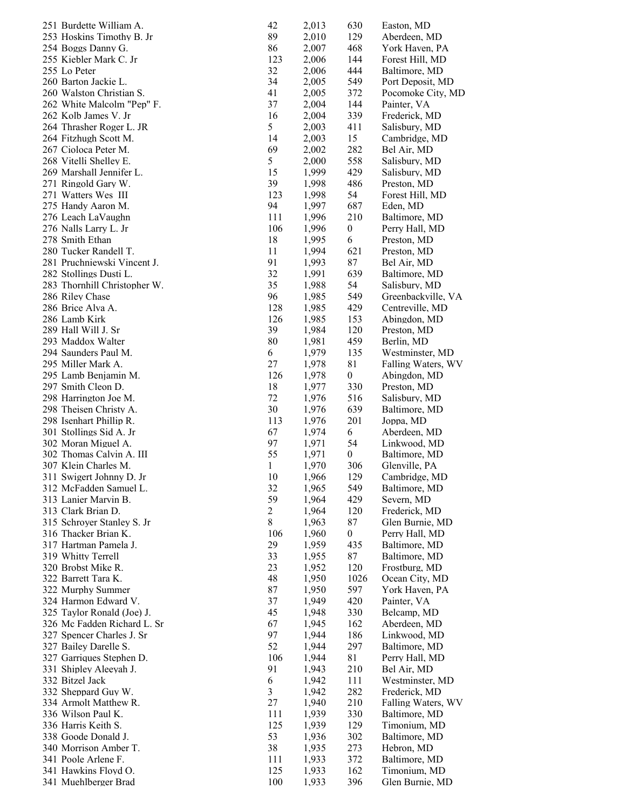| 251 Burdette William A.      | 42             | 2,013 | 630              | Easton, MD         |
|------------------------------|----------------|-------|------------------|--------------------|
| 253 Hoskins Timothy B. Jr    | 89             | 2,010 | 129              | Aberdeen, MD       |
| 254 Boggs Danny G.           | 86             | 2,007 | 468              | York Haven, PA     |
| 255 Kiebler Mark C. Jr       | 123            | 2,006 | 144              | Forest Hill, MD    |
| 255 Lo Peter                 | 32             | 2,006 | 444              | Baltimore, MD      |
| 260 Barton Jackie L.         | 34             | 2,005 | 549              | Port Deposit, MD   |
| 260 Walston Christian S.     | 41             | 2,005 | 372              | Pocomoke City, MD  |
| 262 White Malcolm "Pep" F.   | 37             | 2,004 | 144              | Painter, VA        |
| 262 Kolb James V. Jr         | 16             | 2,004 | 339              | Frederick, MD      |
| 264 Thrasher Roger L. JR     | 5              | 2,003 | 411              | Salisbury, MD      |
| 264 Fitzhugh Scott M.        | 14             | 2,003 | 15               | Cambridge, MD      |
| 267 Cioloca Peter M.         | 69             | 2,002 | 282              | Bel Air, MD        |
|                              | 5              | 2,000 |                  |                    |
| 268 Vitelli Shelley E.       |                |       | 558              | Salisbury, MD      |
| 269 Marshall Jennifer L.     | 15             | 1,999 | 429              | Salisbury, MD      |
| 271 Ringold Gary W.          | 39             | 1,998 | 486              | Preston, MD        |
| 271 Watters Wes III          | 123            | 1,998 | 54               | Forest Hill, MD    |
| 275 Handy Aaron M.           | 94             | 1,997 | 687              | Eden, MD           |
| 276 Leach LaVaughn           | 111            | 1,996 | 210              | Baltimore, MD      |
| 276 Nalls Larry L. Jr        | 106            | 1,996 | $\boldsymbol{0}$ | Perry Hall, MD     |
| 278 Smith Ethan              | 18             | 1,995 | 6                | Preston, MD        |
| 280 Tucker Randell T.        | 11             | 1,994 | 621              | Preston, MD        |
| 281 Pruchniewski Vincent J.  | 91             | 1,993 | 87               | Bel Air, MD        |
| 282 Stollings Dusti L.       | 32             | 1,991 | 639              | Baltimore, MD      |
| 283 Thornhill Christopher W. | 35             | 1,988 | 54               | Salisbury, MD      |
| 286 Riley Chase              | 96             | 1,985 | 549              | Greenbackville, VA |
| 286 Brice Alva A.            | 128            | 1,985 | 429              | Centreville, MD    |
| 286 Lamb Kirk                | 126            | 1,985 | 153              | Abingdon, MD       |
| 289 Hall Will J. Sr          | 39             | 1,984 | 120              | Preston, MD        |
| 293 Maddox Walter            | 80             | 1,981 | 459              | Berlin, MD         |
| 294 Saunders Paul M.         | 6              | 1,979 | 135              | Westminster, MD    |
| 295 Miller Mark A.           | 27             | 1,978 | 81               | Falling Waters, WV |
| 295 Lamb Benjamin M.         | 126            | 1,978 | $\boldsymbol{0}$ | Abingdon, MD       |
| 297 Smith Cleon D.           | 18             | 1,977 | 330              | Preston, MD        |
| 298 Harrington Joe M.        | 72             | 1,976 | 516              | Salisbury, MD      |
| 298 Theisen Christy A.       | 30             | 1,976 | 639              | Baltimore, MD      |
|                              |                |       | 201              |                    |
| 298 Isenhart Phillip R.      | 113            | 1,976 |                  | Joppa, MD          |
| 301 Stollings Sid A. Jr      | 67             | 1,974 | 6                | Aberdeen, MD       |
| 302 Moran Miguel A.          | 97             | 1,971 | 54               | Linkwood, MD       |
| 302 Thomas Calvin A. III     | 55             | 1,971 | $\boldsymbol{0}$ | Baltimore, MD      |
| 307 Klein Charles M.         | 1              | 1,970 | 306              | Glenville, PA      |
| 311 Swigert Johnny D. Jr     | 10             | 1,966 | 129              | Cambridge, MD      |
| 312 McFadden Samuel L.       | 32             | 1,965 | 549              | Baltimore, MD      |
| 313 Lanier Marvin B.         | 59             | 1,964 | 429              | Severn, MD         |
| 313 Clark Brian D.           | $\overline{c}$ | 1,964 | 120              | Frederick, MD      |
| 315 Schroyer Stanley S. Jr   | $\,$ 8 $\,$    | 1,963 | 87               | Glen Burnie, MD    |
| 316 Thacker Brian K.         | 106            | 1,960 | 0                | Perry Hall, MD     |
| 317 Hartman Pamela J.        | 29             | 1,959 | 435              | Baltimore, MD      |
| 319 Whitty Terrell           | 33             | 1,955 | 87               | Baltimore, MD      |
| 320 Brobst Mike R.           | 23             | 1,952 | 120              | Frostburg, MD      |
| 322 Barrett Tara K.          | 48             | 1,950 | 1026             | Ocean City, MD     |
| 322 Murphy Summer            | 87             | 1,950 | 597              | York Haven, PA     |
| 324 Harmon Edward V.         | 37             | 1,949 | 420              | Painter, VA        |
| 325 Taylor Ronald (Joe) J.   | 45             | 1,948 | 330              | Belcamp, MD        |
| 326 Mc Fadden Richard L. Sr  | 67             | 1,945 | 162              | Aberdeen, MD       |
| 327 Spencer Charles J. Sr    | 97             | 1,944 | 186              | Linkwood, MD       |
| 327 Bailey Darelle S.        | 52             | 1,944 | 297              | Baltimore, MD      |
| 327 Garriques Stephen D.     | 106            | 1,944 | 81               | Perry Hall, MD     |
| 331 Shipley Aleeyah J.       | 91             | 1,943 | 210              | Bel Air, MD        |
| 332 Bitzel Jack              | 6              | 1,942 | 111              | Westminster, MD    |
| 332 Sheppard Guy W.          | 3              | 1,942 | 282              | Frederick, MD      |
|                              |                |       |                  |                    |
| 334 Armolt Matthew R.        | 27             | 1,940 | 210              | Falling Waters, WV |
| 336 Wilson Paul K.           | 111            | 1,939 | 330              | Baltimore, MD      |
| 336 Harris Keith S.          | 125            | 1,939 | 129              | Timonium, MD       |
| 338 Goode Donald J.          | 53             | 1,936 | 302              | Baltimore, MD      |
| 340 Morrison Amber T.        | 38             | 1,935 | 273              | Hebron, MD         |
| 341 Poole Arlene F.          | 111            | 1,933 | 372              | Baltimore, MD      |
| 341 Hawkins Floyd O.         | 125            | 1,933 | 162              | Timonium, MD       |
| 341 Muehlberger Brad         | 100            | 1,933 | 396              | Glen Burnie, MD    |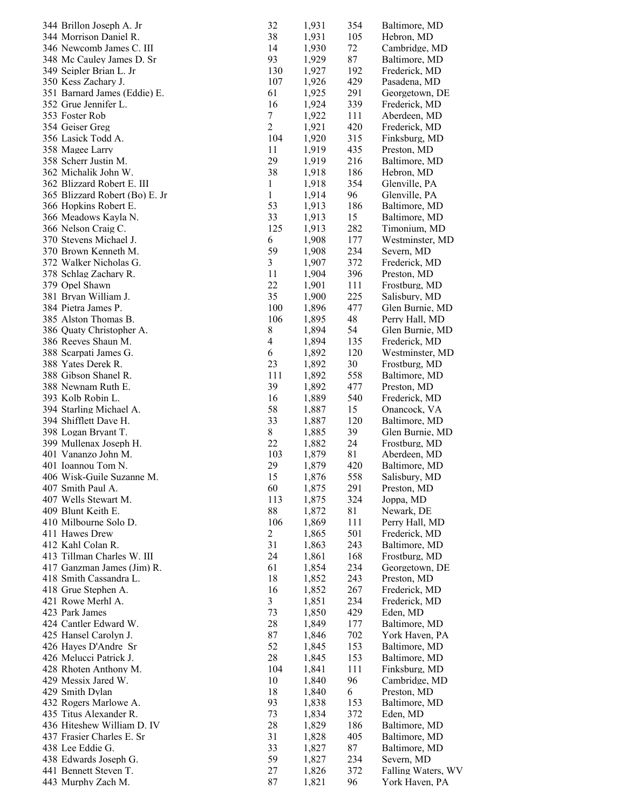| 344 Brillon Joseph A. Jr       | 32                       | 1,931 | 354 | Baltimore, MD      |
|--------------------------------|--------------------------|-------|-----|--------------------|
| 344 Morrison Daniel R.         | 38                       | 1,931 | 105 | Hebron, MD         |
| 346 Newcomb James C. III       | 14                       | 1,930 | 72  | Cambridge, MD      |
| 348 Mc Cauley James D. Sr      | 93                       | 1,929 | 87  | Baltimore, MD      |
| 349 Seipler Brian L. Jr        | 130                      | 1,927 | 192 | Frederick, MD      |
| 350 Kess Zachary J.            | 107                      | 1,926 | 429 | Pasadena, MD       |
| 351 Barnard James (Eddie) E.   | 61                       | 1,925 | 291 | Georgetown, DE     |
| 352 Grue Jennifer L.           | 16                       | 1,924 | 339 | Frederick, MD      |
| 353 Foster Rob                 | $\tau$                   | 1,922 | 111 | Aberdeen, MD       |
| 354 Geiser Greg                | $\overline{c}$           | 1,921 | 420 | Frederick, MD      |
| 356 Lasick Todd A.             | 104                      | 1,920 | 315 | Finksburg, MD      |
| 358 Magee Larry                | 11                       | 1,919 | 435 | Preston, MD        |
| 358 Scherr Justin M.           | 29                       | 1,919 | 216 | Baltimore, MD      |
| 362 Michalik John W.           | 38                       | 1,918 | 186 | Hebron, MD         |
| 362 Blizzard Robert E. III     | $\mathbf{1}$             | 1,918 | 354 | Glenville, PA      |
| 365 Blizzard Robert (Bo) E. Jr | $\mathbf{1}$             | 1,914 | 96  | Glenville, PA      |
| 366 Hopkins Robert E.          | 53                       | 1,913 | 186 | Baltimore, MD      |
| 366 Meadows Kayla N.           | 33                       | 1,913 | 15  | Baltimore, MD      |
| 366 Nelson Craig C.            | 125                      | 1,913 | 282 | Timonium, MD       |
| 370 Stevens Michael J.         | 6                        | 1,908 | 177 | Westminster, MD    |
| 370 Brown Kenneth M.           | 59                       | 1,908 | 234 | Severn, MD         |
| 372 Walker Nicholas G.         | 3                        | 1,907 | 372 | Frederick, MD      |
| 378 Schlag Zachary R.          | 11                       | 1,904 | 396 | Preston, MD        |
| 379 Opel Shawn                 | 22                       | 1,901 | 111 | Frostburg, MD      |
| 381 Bryan William J.           | 35                       | 1,900 | 225 | Salisbury, MD      |
| 384 Pietra James P.            | 100                      | 1,896 | 477 | Glen Burnie, MD    |
| 385 Alston Thomas B.           | 106                      | 1,895 | 48  | Perry Hall, MD     |
| 386 Quaty Christopher A.       | 8                        | 1,894 | 54  | Glen Burnie, MD    |
| 386 Reeves Shaun M.            | $\overline{\mathcal{A}}$ | 1,894 | 135 | Frederick, MD      |
| 388 Scarpati James G.          | 6                        | 1,892 | 120 | Westminster, MD    |
| 388 Yates Derek R.             | 23                       | 1,892 | 30  | Frostburg, MD      |
| 388 Gibson Shanel R.           | 111                      | 1,892 | 558 | Baltimore, MD      |
| 388 Newnam Ruth E.             | 39                       | 1,892 | 477 | Preston, MD        |
| 393 Kolb Robin L.              | 16                       | 1,889 | 540 | Frederick, MD      |
| 394 Starling Michael A.        | 58                       | 1,887 | 15  | Onancock, VA       |
| 394 Shifflett Dave H.          | 33                       | 1,887 | 120 | Baltimore, MD      |
| 398 Logan Bryant T.            | 8                        | 1,885 | 39  | Glen Burnie, MD    |
| 399 Mullenax Joseph H.         | 22                       | 1,882 | 24  | Frostburg, MD      |
| 401 Vananzo John M.            | 103                      | 1,879 | 81  | Aberdeen, MD       |
| 401 Ioannou Tom N.             | 29                       | 1,879 | 420 | Baltimore, MD      |
| 406 Wisk-Guile Suzanne M.      | 15                       | 1,876 | 558 | Salisbury, MD      |
| 407 Smith Paul A.              | 60                       | 1,875 | 291 | Preston, MD        |
| 407 Wells Stewart M.           | 113                      | 1,875 | 324 | Joppa, MD          |
| 409 Blunt Keith E.             | 88                       | 1,872 | 81  | Newark, DE         |
| 410 Milbourne Solo D.          | 106                      | 1,869 | 111 | Perry Hall, MD     |
| 411 Hawes Drew                 | $\overline{c}$           | 1,865 | 501 | Frederick, MD      |
| 412 Kahl Colan R.              | 31                       | 1,863 | 243 | Baltimore, MD      |
| 413 Tillman Charles W. III     | 24                       | 1,861 | 168 | Frostburg, MD      |
| 417 Ganzman James (Jim) R.     | 61                       | 1,854 | 234 | Georgetown, DE     |
| 418 Smith Cassandra L.         | 18                       | 1,852 | 243 | Preston, MD        |
| 418 Grue Stephen A.            | 16                       | 1,852 | 267 | Frederick, MD      |
| 421 Rowe Merhl A.              | 3                        | 1,851 | 234 | Frederick, MD      |
| 423 Park James                 | 73                       | 1,850 | 429 | Eden, MD           |
| 424 Cantler Edward W.          | 28                       | 1,849 | 177 | Baltimore, MD      |
| 425 Hansel Carolyn J.          | 87                       | 1,846 | 702 | York Haven, PA     |
| 426 Hayes D'Andre Sr           | 52                       | 1,845 | 153 | Baltimore, MD      |
| 426 Melucci Patrick J.         | 28                       | 1,845 | 153 | Baltimore, MD      |
| 428 Rhoten Anthony M.          | 104                      | 1,841 | 111 | Finksburg, MD      |
| 429 Messix Jared W.            | 10                       | 1,840 | 96  | Cambridge, MD      |
| 429 Smith Dylan                | 18                       | 1,840 | 6   | Preston, MD        |
| 432 Rogers Marlowe A.          | 93                       | 1,838 | 153 | Baltimore, MD      |
| 435 Titus Alexander R.         | 73                       | 1,834 | 372 | Eden, MD           |
| 436 Hiteshew William D. IV     | 28                       | 1,829 | 186 | Baltimore, MD      |
| 437 Frasier Charles E. Sr      | 31                       | 1,828 | 405 | Baltimore, MD      |
| 438 Lee Eddie G.               | 33                       | 1,827 | 87  | Baltimore, MD      |
| 438 Edwards Joseph G.          | 59                       | 1,827 | 234 | Severn, MD         |
| 441 Bennett Steven T.          | 27                       | 1,826 | 372 | Falling Waters, WV |
| 443 Murphy Zach M.             | 87                       | 1,821 | 96  | York Haven, PA     |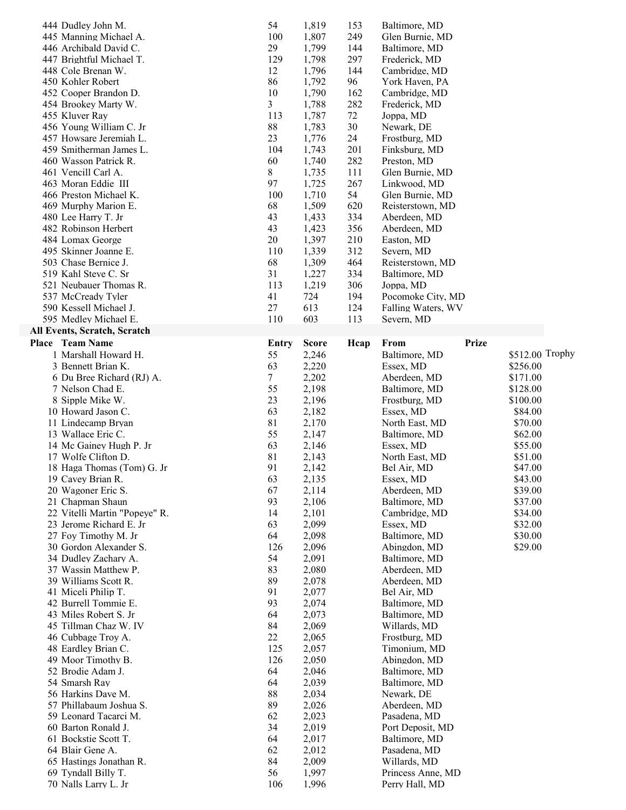| 444 Dudley John M.                            | 54       | 1,819          | 153       | Baltimore, MD                   |              |                 |
|-----------------------------------------------|----------|----------------|-----------|---------------------------------|--------------|-----------------|
| 445 Manning Michael A.                        | 100      | 1,807          | 249       | Glen Burnie, MD                 |              |                 |
| 446 Archibald David C.                        | 29       | 1,799          | 144       | Baltimore, MD                   |              |                 |
| 447 Brightful Michael T.                      | 129      | 1,798          | 297       | Frederick, MD                   |              |                 |
| 448 Cole Brenan W.                            | 12       | 1,796          | 144       | Cambridge, MD                   |              |                 |
| 450 Kohler Robert                             | 86       | 1,792          | 96        | York Haven, PA                  |              |                 |
| 452 Cooper Brandon D.                         | 10       | 1,790          | 162       | Cambridge, MD                   |              |                 |
| 454 Brookey Marty W.                          | 3        | 1,788          | 282       | Frederick, MD                   |              |                 |
| 455 Kluver Ray                                | 113      | 1,787          | 72        | Joppa, MD                       |              |                 |
| 456 Young William C. Jr                       | 88       | 1,783          | 30        | Newark, DE                      |              |                 |
| 457 Howsare Jeremiah L.                       | 23       | 1,776          | 24        | Frostburg, MD                   |              |                 |
| 459 Smitherman James L.                       | 104      | 1,743          | 201       | Finksburg, MD                   |              |                 |
| 460 Wasson Patrick R.                         | 60       | 1,740          | 282       | Preston, MD                     |              |                 |
| 461 Vencill Carl A.                           | 8<br>97  | 1,735          | 111       | Glen Burnie, MD                 |              |                 |
| 463 Moran Eddie III<br>466 Preston Michael K. | 100      | 1,725<br>1,710 | 267<br>54 | Linkwood, MD<br>Glen Burnie, MD |              |                 |
| 469 Murphy Marion E.                          | 68       | 1,509          | 620       | Reisterstown, MD                |              |                 |
| 480 Lee Harry T. Jr                           | 43       | 1,433          | 334       | Aberdeen, MD                    |              |                 |
| 482 Robinson Herbert                          | 43       | 1,423          | 356       | Aberdeen, MD                    |              |                 |
| 484 Lomax George                              | 20       | 1,397          | 210       | Easton, MD                      |              |                 |
| 495 Skinner Joanne E.                         | 110      | 1,339          | 312       | Severn, MD                      |              |                 |
| 503 Chase Bernice J.                          | 68       | 1,309          | 464       | Reisterstown, MD                |              |                 |
| 519 Kahl Steve C. Sr                          | 31       | 1,227          | 334       | Baltimore, MD                   |              |                 |
| 521 Neubauer Thomas R.                        | 113      | 1,219          | 306       | Joppa, MD                       |              |                 |
| 537 McCready Tyler                            | 41       | 724            | 194       | Pocomoke City, MD               |              |                 |
| 590 Kessell Michael J.                        | 27       | 613            | 124       | Falling Waters, WV              |              |                 |
| 595 Medley Michael E.                         | 110      | 603            | 113       | Severn, MD                      |              |                 |
| <b>All Events, Scratch, Scratch</b>           |          |                |           |                                 |              |                 |
| Place Team Name                               | Entry    | <b>Score</b>   | Hcap      | From                            | <b>Prize</b> |                 |
| 1 Marshall Howard H.                          | 55       | 2,246          |           | Baltimore, MD                   |              | \$512.00 Trophy |
| 3 Bennett Brian K.                            | 63       | 2,220          |           | Essex, MD                       |              | \$256.00        |
| 6 Du Bree Richard (RJ) A.                     | 7        | 2,202          |           | Aberdeen, MD                    |              | \$171.00        |
| 7 Nelson Chad E.                              | 55       | 2,198          |           | Baltimore, MD                   |              | \$128.00        |
|                                               |          |                |           |                                 |              |                 |
|                                               | 23       | 2,196          |           |                                 |              | \$100.00        |
| 8 Sipple Mike W.<br>10 Howard Jason C.        | 63       | 2,182          |           | Frostburg, MD<br>Essex, MD      |              | \$84.00         |
| 11 Lindecamp Bryan                            | 81       | 2,170          |           | North East, MD                  |              | \$70.00         |
| 13 Wallace Eric C.                            | 55       | 2,147          |           | Baltimore, MD                   |              | \$62.00         |
| 14 Mc Gainey Hugh P. Jr                       | 63       | 2,146          |           | Essex, MD                       |              | \$55.00         |
| 17 Wolfe Clifton D.                           | 81       | 2,143          |           | North East, MD                  |              | \$51.00         |
| 18 Haga Thomas (Tom) G. Jr                    | 91       | 2,142          |           | Bel Air, MD                     |              | \$47.00         |
| 19 Cavey Brian R.                             | 63       | 2,135          |           | Essex, MD                       |              | \$43.00         |
| 20 Wagoner Eric S.                            | 67       | 2,114          |           | Aberdeen, MD                    |              | \$39.00         |
| 21 Chapman Shaun                              | 93       | 2,106          |           | Baltimore, MD                   |              | \$37.00         |
| 22 Vitelli Martin "Popeye" R.                 | 14       | 2,101          |           | Cambridge, MD                   |              | \$34.00         |
| 23 Jerome Richard E. Jr                       | 63       | 2,099          |           | Essex, MD                       |              | \$32.00         |
| 27 Foy Timothy M. Jr                          | 64       | 2,098          |           | Baltimore, MD                   |              | \$30.00         |
| 30 Gordon Alexander S.                        | 126      | 2,096          |           | Abingdon, MD                    |              | \$29.00         |
| 34 Dudley Zachary A.                          | 54       | 2,091          |           | Baltimore, MD                   |              |                 |
| 37 Wassin Matthew P.                          | 83       | 2,080          |           | Aberdeen, MD                    |              |                 |
| 39 Williams Scott R.                          | 89       | 2,078          |           | Aberdeen, MD                    |              |                 |
| 41 Miceli Philip T.                           | 91       | 2,077          |           | Bel Air, MD                     |              |                 |
| 42 Burrell Tommie E.                          | 93       | 2,074          |           | Baltimore, MD                   |              |                 |
| 43 Miles Robert S. Jr                         | 64       | 2,073          |           | Baltimore, MD                   |              |                 |
| 45 Tillman Chaz W. IV                         | 84       | 2,069          |           | Willards, MD                    |              |                 |
| 46 Cubbage Troy A.                            | 22       | 2,065          |           | Frostburg, MD                   |              |                 |
| 48 Eardley Brian C.                           | 125      | 2,057          |           | Timonium, MD                    |              |                 |
| 49 Moor Timothy B.                            | 126      | 2,050          |           | Abingdon, MD                    |              |                 |
| 52 Brodie Adam J.                             | 64       | 2,046          |           | Baltimore, MD                   |              |                 |
| 54 Smarsh Ray                                 | 64       | 2,039          |           | Baltimore, MD                   |              |                 |
| 56 Harkins Dave M.<br>57 Phillabaum Joshua S. | 88       | 2,034          |           | Newark, DE                      |              |                 |
| 59 Leonard Tacarci M.                         | 89<br>62 | 2,026          |           | Aberdeen, MD<br>Pasadena, MD    |              |                 |
| 60 Barton Ronald J.                           | 34       | 2,023          |           | Port Deposit, MD                |              |                 |
| 61 Bockstie Scott T.                          | 64       | 2,019<br>2,017 |           | Baltimore, MD                   |              |                 |
| 64 Blair Gene A.                              | 62       | 2,012          |           | Pasadena, MD                    |              |                 |
| 65 Hastings Jonathan R.                       | 84       | 2,009          |           | Willards, MD                    |              |                 |
| 69 Tyndall Billy T.                           | 56       | 1,997          |           | Princess Anne, MD               |              |                 |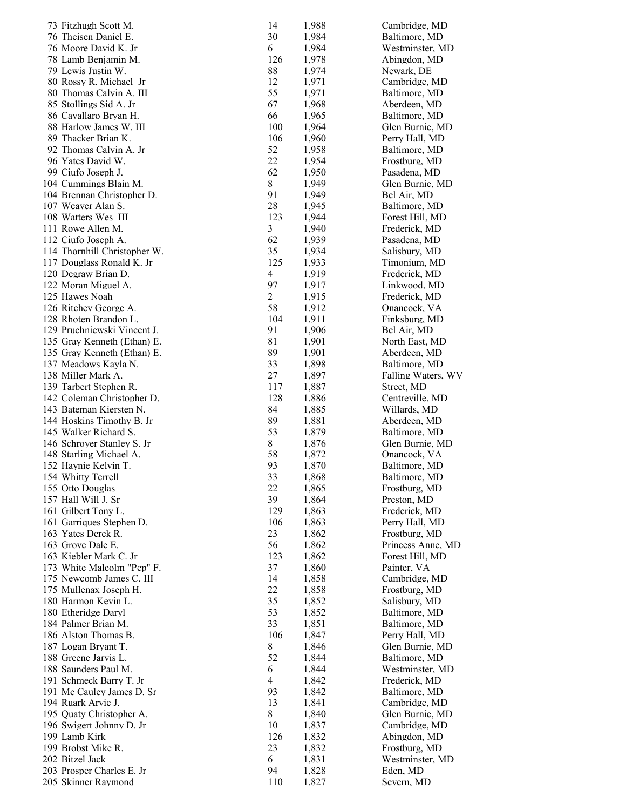| 73 Fitzhugh Scott M.         | 14                       | 1,988 | Cambridge, MD      |
|------------------------------|--------------------------|-------|--------------------|
| 76 Theisen Daniel E.         | 30                       | 1,984 | Baltimore, MD      |
| 76 Moore David K. Jr         | 6                        | 1,984 | Westminster, MD    |
| 78 Lamb Benjamin M.          | 126                      | 1,978 | Abingdon, MD       |
| 79 Lewis Justin W.           | 88                       | 1,974 | Newark, DE         |
| 80 Rossy R. Michael Jr       | 12                       | 1,971 | Cambridge, MD      |
| 80 Thomas Calvin A. III      | 55                       | 1,971 | Baltimore, MD      |
| 85 Stollings Sid A. Jr       | 67                       | 1,968 | Aberdeen, MD       |
| 86 Cavallaro Bryan H.        | 66                       | 1,965 | Baltimore, MD      |
| 88 Harlow James W. III       | 100                      | 1,964 | Glen Burnie, MD    |
| 89 Thacker Brian K.          | 106                      | 1,960 | Perry Hall, MD     |
| 92 Thomas Calvin A. Jr       | 52                       | 1,958 | Baltimore, MD      |
| 96 Yates David W.            | 22                       | 1,954 | Frostburg, MD      |
| 99 Ciufo Joseph J.           | 62                       | 1,950 | Pasadena, MD       |
| 104 Cummings Blain M.        | 8                        | 1,949 | Glen Burnie, MD    |
| 104 Brennan Christopher D.   | 91                       | 1,949 | Bel Air, MD        |
| 107 Weaver Alan S.           | 28                       | 1,945 | Baltimore, MD      |
| 108 Watters Wes III          | 123                      | 1,944 | Forest Hill, MD    |
| 111 Rowe Allen M.            | 3                        | 1,940 | Frederick, MD      |
| 112 Ciufo Joseph A.          | 62                       | 1,939 | Pasadena, MD       |
| 114 Thornhill Christopher W. | 35                       | 1,934 | Salisbury, MD      |
| 117 Douglass Ronald K. Jr    | 125                      | 1,933 | Timonium, MD       |
| 120 Degraw Brian D.          | $\overline{\mathcal{A}}$ | 1,919 | Frederick, MD      |
| 122 Moran Miguel A.          | 97                       | 1,917 | Linkwood, MD       |
| 125 Hawes Noah               | $\overline{2}$           | 1,915 | Frederick, MD      |
| 126 Ritchey George A.        | 58                       | 1,912 | Onancock, VA       |
| 128 Rhoten Brandon L.        | 104                      | 1,911 | Finksburg, MD      |
| 129 Pruchniewski Vincent J.  | 91                       | 1,906 | Bel Air, MD        |
| 135 Gray Kenneth (Ethan) E.  | 81                       | 1,901 | North East, MD     |
| 135 Gray Kenneth (Ethan) E.  | 89                       | 1,901 | Aberdeen, MD       |
| 137 Meadows Kayla N.         | 33                       | 1,898 | Baltimore, MD      |
| 138 Miller Mark A.           | 27                       | 1,897 | Falling Waters, WV |
| 139 Tarbert Stephen R.       | 117                      | 1,887 | Street, MD         |
| 142 Coleman Christopher D.   | 128                      | 1,886 | Centreville, MD    |
| 143 Bateman Kiersten N.      | 84                       | 1,885 | Willards, MD       |
| 144 Hoskins Timothy B. Jr    | 89                       | 1,881 | Aberdeen, MD       |
| 145 Walker Richard S.        | 53                       | 1,879 | Baltimore, MD      |
| 146 Schroyer Stanley S. Jr   | 8                        | 1,876 | Glen Burnie, MD    |
| 148 Starling Michael A.      | 58                       | 1,872 | Onancock, VA       |
| 152 Haynie Kelvin T.         | 93                       | 1,870 | Baltimore, MD      |
| 154 Whitty Terrell           | 33                       | 1,868 | Baltimore, MD      |
| 155 Otto Douglas             | 22                       | 1,865 | Frostburg, MD      |
| 157 Hall Will J. Sr          | 39                       | 1,864 | Preston, MD        |
| 161 Gilbert Tony L.          | 129                      | 1,863 | Frederick, MD      |
| 161 Garriques Stephen D.     | 106                      | 1,863 | Perry Hall, MD     |
| 163 Yates Derek R.           | 23                       | 1,862 | Frostburg, MD      |
| 163 Grove Dale E.            | 56                       | 1,862 | Princess Anne, MD  |
| 163 Kiebler Mark C. Jr       | 123                      | 1,862 | Forest Hill, MD    |
| 173 White Malcolm "Pep" F.   | 37                       | 1,860 | Painter, VA        |
| 175 Newcomb James C. III     | 14                       | 1,858 | Cambridge, MD      |
| 175 Mullenax Joseph H.       | 22                       | 1,858 | Frostburg, MD      |
| 180 Harmon Kevin L.          | 35                       | 1,852 | Salisbury, MD      |
| 180 Etheridge Daryl          | 53                       | 1,852 | Baltimore, MD      |
| 184 Palmer Brian M.          | 33                       | 1,851 | Baltimore, MD      |
| 186 Alston Thomas B.         | 106                      | 1,847 | Perry Hall, MD     |
| 187 Logan Bryant T.          | 8                        | 1,846 | Glen Burnie, MD    |
| 188 Greene Jarvis L.         | 52                       | 1,844 | Baltimore, MD      |
| 188 Saunders Paul M.         | 6                        | 1,844 | Westminster, MD    |
| 191 Schmeck Barry T. Jr      | 4                        | 1,842 | Frederick, MD      |
| 191 Mc Cauley James D. Sr    | 93                       | 1,842 | Baltimore, MD      |
| 194 Ruark Arvie J.           | 13                       | 1,841 | Cambridge, MD      |
| 195 Quaty Christopher A.     | 8                        | 1,840 | Glen Burnie, MD    |
| 196 Swigert Johnny D. Jr     | 10                       | 1,837 | Cambridge, MD      |
| 199 Lamb Kirk                | 126                      | 1,832 | Abingdon, MD       |
| 199 Brobst Mike R.           | 23                       | 1,832 | Frostburg, MD      |
| 202 Bitzel Jack              | 6                        | 1,831 | Westminster, MD    |
| 203 Prosper Charles E. Jr    | 94                       | 1,828 | Eden, MD           |
| 205 Skinner Raymond          | 110                      | 1,827 | Severn, MD         |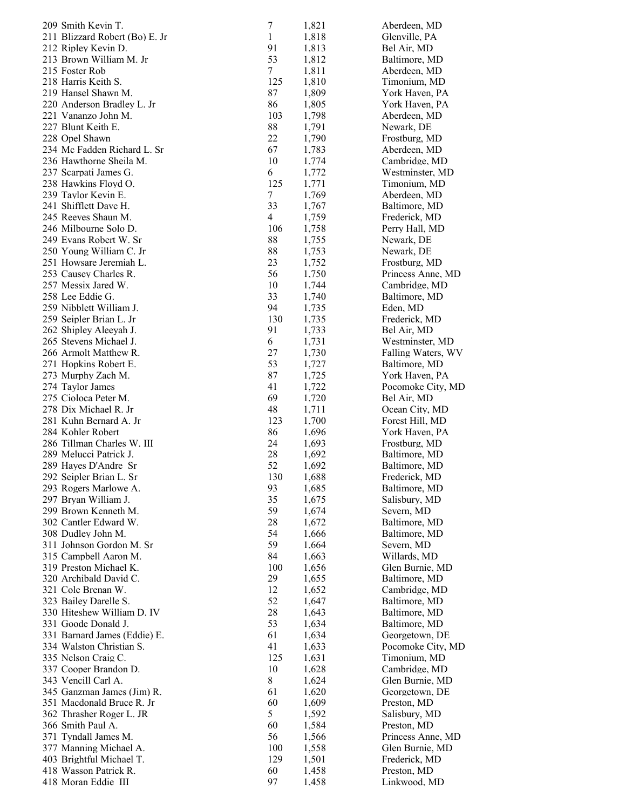| 209 Smith Kevin T.                       | $\boldsymbol{7}$ | 1,821          | Aberdeen, MD                  |
|------------------------------------------|------------------|----------------|-------------------------------|
| 211 Blizzard Robert (Bo) E. Jr           | $\mathbf{1}$     | 1,818          | Glenville, PA                 |
| 212 Ripley Kevin D.                      | 91               | 1,813          | Bel Air, MD                   |
| 213 Brown William M. Jr                  | 53               | 1,812          | Baltimore, MD                 |
| 215 Foster Rob                           | 7                | 1,811          | Aberdeen, MD                  |
| 218 Harris Keith S.                      | 125              | 1,810          | Timonium, MD                  |
| 219 Hansel Shawn M.                      | 87               | 1,809          | York Haven, PA                |
| 220 Anderson Bradley L. Jr               | 86               | 1,805          | York Haven, PA                |
| 221 Vananzo John M.                      | 103              | 1,798          | Aberdeen, MD                  |
| 227 Blunt Keith E.                       | 88               | 1,791          | Newark, DE                    |
| 228 Opel Shawn                           | 22               | 1,790          | Frostburg, MD                 |
| 234 Mc Fadden Richard L. Sr              | 67               | 1,783          | Aberdeen, MD                  |
| 236 Hawthorne Sheila M.                  | 10               | 1,774          | Cambridge, MD                 |
| 237 Scarpati James G.                    | 6                | 1,772          | Westminster, MD               |
| 238 Hawkins Floyd O.                     | 125              | 1,771          | Timonium, MD                  |
| 239 Taylor Kevin E.                      | 7                | 1,769          | Aberdeen, MD                  |
| 241 Shifflett Dave H.                    | 33               | 1,767          | Baltimore, MD                 |
| 245 Reeves Shaun M.                      | 4                | 1,759          | Frederick, MD                 |
| 246 Milbourne Solo D.                    | 106              | 1,758          | Perry Hall, MD                |
| 249 Evans Robert W. Sr                   | 88               | 1,755          | Newark, DE                    |
| 250 Young William C. Jr                  | 88               | 1,753          | Newark, DE                    |
| 251 Howsare Jeremiah L.                  | 23               | 1,752          | Frostburg, MD                 |
| 253 Causey Charles R.                    | 56               | 1,750          | Princess Anne, MD             |
| 257 Messix Jared W.                      | 10               | 1,744          | Cambridge, MD                 |
| 258 Lee Eddie G.                         | 33               | 1,740          | Baltimore, MD                 |
| 259 Nibblett William J.                  | 94               | 1,735          | Eden, MD                      |
| 259 Seipler Brian L. Jr                  | 130              | 1,735          | Frederick, MD                 |
| 262 Shipley Aleeyah J.                   | 91               | 1,733          | Bel Air, MD                   |
| 265 Stevens Michael J.                   | 6                | 1,731          | Westminster, MD               |
| 266 Armolt Matthew R.                    | 27<br>53         | 1,730          | Falling Waters, WV            |
| 271 Hopkins Robert E.                    |                  | 1,727          | Baltimore, MD                 |
| 273 Murphy Zach M.                       | 87<br>41         | 1,725          | York Haven, PA                |
| 274 Taylor James<br>275 Cioloca Peter M. | 69               | 1,722<br>1,720 | Pocomoke City, MD             |
| 278 Dix Michael R. Jr                    | 48               | 1,711          | Bel Air, MD<br>Ocean City, MD |
| 281 Kuhn Bernard A. Jr                   | 123              | 1,700          | Forest Hill, MD               |
| 284 Kohler Robert                        | 86               | 1,696          | York Haven, PA                |
| 286 Tillman Charles W. III               | 24               | 1,693          | Frostburg, MD                 |
| 289 Melucci Patrick J.                   | 28               | 1,692          | Baltimore, MD                 |
| 289 Hayes D'Andre Sr                     | 52               | 1,692          | Baltimore, MD                 |
| 292 Seipler Brian L. Sr                  | 130              | 1,688          | Frederick, MD                 |
| 293 Rogers Marlowe A.                    | 93               | 1,685          | Baltimore, MD                 |
| 297 Bryan William J.                     | 35               | 1,675          | Salisbury, MD                 |
| 299 Brown Kenneth M.                     | 59               | 1,674          | Severn, MD                    |
| 302 Cantler Edward W.                    | 28               | 1,672          | Baltimore, MD                 |
| 308 Dudley John M.                       | 54               | 1,666          | Baltimore, MD                 |
| 311 Johnson Gordon M. Sr                 | 59               | 1,664          | Severn, MD                    |
| 315 Campbell Aaron M.                    | 84               | 1,663          | Willards, MD                  |
| 319 Preston Michael K.                   | 100              | 1,656          | Glen Burnie, MD               |
| 320 Archibald David C.                   | 29               | 1,655          | Baltimore, MD                 |
| 321 Cole Brenan W.                       | 12               | 1,652          | Cambridge, MD                 |
| 323 Bailey Darelle S.                    | 52               | 1,647          | Baltimore, MD                 |
| 330 Hiteshew William D. IV               | 28               | 1,643          | Baltimore, MD                 |
| 331 Goode Donald J.                      | 53               | 1,634          | Baltimore, MD                 |
| 331 Barnard James (Eddie) E.             | 61               | 1,634          | Georgetown, DE                |
| 334 Walston Christian S.                 | 41               | 1,633          | Pocomoke City, MD             |
| 335 Nelson Craig C.                      | 125              | 1,631          | Timonium, MD                  |
| 337 Cooper Brandon D.                    | 10               | 1,628          | Cambridge, MD                 |
| 343 Vencill Carl A.                      | 8                | 1,624          | Glen Burnie, MD               |
| 345 Ganzman James (Jim) R.               | 61               | 1,620          | Georgetown, DE                |
| 351 Macdonald Bruce R. Jr                | 60               | 1,609          | Preston, MD                   |
| 362 Thrasher Roger L. JR                 | 5                | 1,592          | Salisbury, MD                 |
| 366 Smith Paul A.                        | 60               | 1,584          | Preston, MD                   |
| 371 Tyndall James M.                     | 56               | 1,566          | Princess Anne, MD             |
| 377 Manning Michael A.                   | 100              | 1,558          | Glen Burnie, MD               |
| 403 Brightful Michael T.                 | 129              | 1,501          | Frederick, MD                 |
| 418 Wasson Patrick R.                    | 60               | 1,458          | Preston, MD                   |
| 418 Moran Eddie III                      | 97               | 1,458          | Linkwood, MD                  |